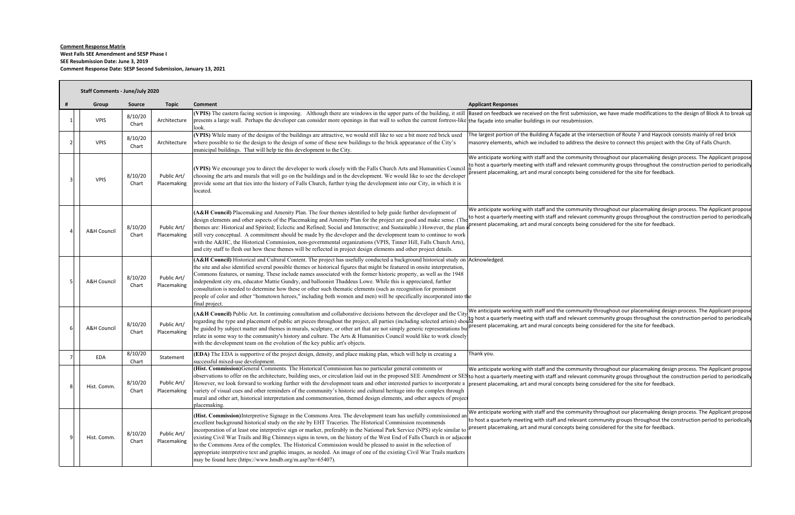## **Comment Response Matrix West Falls SEE Amendment and SESP Phase I SEE Resubmission Date: June 3, 2019 Comment Response Date: SESP Second Submission, January 13, 2021**

| Staff Comments - June/July 2020 |                  |                            |                                                                                                                                                                                                                                                                                                                                                                                                                                                                                                                                                                                                                                                                                                                                                                                        |                                                                                                                                                                                                                                                                                                                                                                                                                                                  |  |  |
|---------------------------------|------------------|----------------------------|----------------------------------------------------------------------------------------------------------------------------------------------------------------------------------------------------------------------------------------------------------------------------------------------------------------------------------------------------------------------------------------------------------------------------------------------------------------------------------------------------------------------------------------------------------------------------------------------------------------------------------------------------------------------------------------------------------------------------------------------------------------------------------------|--------------------------------------------------------------------------------------------------------------------------------------------------------------------------------------------------------------------------------------------------------------------------------------------------------------------------------------------------------------------------------------------------------------------------------------------------|--|--|
| Group                           | <b>Source</b>    | <b>Topic</b>               | <b>Comment</b>                                                                                                                                                                                                                                                                                                                                                                                                                                                                                                                                                                                                                                                                                                                                                                         | <b>Applicant Responses</b>                                                                                                                                                                                                                                                                                                                                                                                                                       |  |  |
| <b>VPIS</b>                     | 8/10/20<br>Chart | Architecture               | presents a large wall. Perhaps the developer can consider more openings in that wall to soften the current fortress-like the façade into smaller buildings in our resubmission.<br>look.                                                                                                                                                                                                                                                                                                                                                                                                                                                                                                                                                                                               | (VPIS) The eastern facing section is imposing. Although there are windows in the upper parts of the building, it still Based on feedback we received on the first submission, we have made modifications to the design of Bloc                                                                                                                                                                                                                   |  |  |
| <b>VPIS</b>                     | 8/10/20<br>Chart | Architecture               | (VPIS) While many of the designs of the buildings are attractive, we would still like to see a bit more red brick used<br>where possible to tie the design to the design of some of these new buildings to the brick appearance of the City's<br>municipal buildings. That will help tie this development to the City.                                                                                                                                                                                                                                                                                                                                                                                                                                                                 | The largest portion of the Building A façade at the intersection of Route 7 and Haycock consists mainly of red brick<br>masonry elements, which we included to address the desire to connect this project with the City of Falls Church.                                                                                                                                                                                                         |  |  |
| <b>VPIS</b>                     | 8/10/20<br>Chart | Public Art/<br>Placemaking | (VPIS) We encourage you to direct the developer to work closely with the Falls Church Arts and Humanities Council<br>choosing the arts and murals that will go on the buildings and in the development. We would like to see the developer<br>provide some art that ties into the history of Falls Church, further tying the development into our City, in which it is<br>located.                                                                                                                                                                                                                                                                                                                                                                                                     | We anticipate working with staff and the community throughout our placemaking design process. The Applicant propose<br>to host a quarterly meeting with staff and relevant community groups throughout the construction period to periodically<br>present placemaking, art and mural concepts being considered for the site for feedback.                                                                                                        |  |  |
| A&H Council                     | 8/10/20<br>Chart | Public Art/<br>Placemaking | (A&H Council) Placemaking and Amenity Plan. The four themes identified to help guide further development of<br>design elements and other aspects of the Placemaking and Amenity Plan for the project are good and make sense. (The<br>themes are: Historical and Spirited; Eclectic and Refined; Social and Interactive; and Sustainable.) However, the plan<br>still very conceptual. A commitment should be made by the developer and the development team to continue to work<br>with the A&HC, the Historical Commission, non-governmental organizations (VPIS, Tinner Hill, Falls Church Arts),<br>and city staff to flesh out how these themes will be reflected in project design elements and other project details.                                                           | We anticipate working with staff and the community throughout our placemaking design process. The Applicant propose<br>to host a quarterly meeting with staff and relevant community groups throughout the construction period to periodically<br>present placemaking, art and mural concepts being considered for the site for feedback.                                                                                                        |  |  |
| <b>A&amp;H Council</b>          | 8/10/20<br>Chart | Public Art/<br>Placemaking | (A&H Council) Historical and Cultural Content. The project has usefully conducted a background historical study on Acknowledged.<br>the site and also identified several possible themes or historical figures that might be featured in onsite interpretation,<br>Commons features, or naming. These include names associated with the former historic property, as well as the 1948<br>independent city era, educator Mattie Gundry, and balloonist Thaddeus Lowe. While this is appreciated, further<br>consultation is needed to determine how these or other such thematic elements (such as recognition for prominent<br>people of color and other "hometown heroes," including both women and men) will be specifically incorporated into the<br>final project.                 |                                                                                                                                                                                                                                                                                                                                                                                                                                                  |  |  |
| <b>A&amp;H Council</b>          | 8/10/20<br>Chart | Public Art/<br>Placemaking | (A&H Council) Public Art. In continuing consultation and collaborative decisions between the developer and the City<br>be guided by subject matter and themes in murals, sculpture, or other art that are not simply generic representations bu<br>relate in some way to the community's history and culture. The Arts & Humanities Council would like to work closely<br>with the development team on the evolution of the key public art's objects.                                                                                                                                                                                                                                                                                                                                  | We anticipate working with staff and the community throughout our placemaking design process. The Applicant propose<br>regarding the type and placement of public art pieces throughout the project, all parties (including selected artists) should be a quarterly meeting with staff and relevant community groups throughout the construction peri<br>present placemaking, art and mural concepts being considered for the site for feedback. |  |  |
| EDA                             | 8/10/20<br>Chart | Statement                  | (EDA) The EDA is supportive of the project design, density, and place making plan, which will help in creating a<br>successful mixed-use development                                                                                                                                                                                                                                                                                                                                                                                                                                                                                                                                                                                                                                   | Thank you.                                                                                                                                                                                                                                                                                                                                                                                                                                       |  |  |
| Hist. Comm.                     | 8/10/20<br>Chart | Public Art/<br>Placemaking | (Hist. Commission) General Comments. The Historical Commission has no particular general comments or<br>However, we look forward to working further with the development team and other interested parties to incorporate a present placemaking, art and mural concepts being considered for the site for feedback.<br>variety of visual cues and other reminders of the community's historic and cultural heritage into the complex through<br>mural and other art, historical interpretation and commemoration, themed design elements, and other aspects of project<br>placemaking.                                                                                                                                                                                                 | We anticipate working with staff and the community throughout our placemaking design process. The Applicant propose<br>observations to offer on the architecture, building uses, or circulation laid out in the proposed SEE Amendment or SES to host a quarterly meeting with staff and relevant community groups throughout the construction period                                                                                            |  |  |
| Hist. Comm.                     | 8/10/20<br>Chart | Public Art/<br>Placemaking | (Hist. Commission) Interpretive Signage in the Commons Area. The development team has usefully commissioned an<br>excellent background historical study on the site by EHT Traceries. The Historical Commission recommends<br>incorporation of at least one interpretive sign or marker, preferably in the National Park Service (NPS) style similar to<br>existing Civil War Trails and Big Chimneys signs in town, on the history of the West End of Falls Church in or adjacent<br>to the Commons Area of the complex. The Historical Commission would be pleased to assist in the selection of<br>appropriate interpretive text and graphic images, as needed. An image of one of the existing Civil War Trails markers<br>may be found here (https://www.hmdb.org/m.asp?m=65407). | We anticipate working with staff and the community throughout our placemaking design process. The Applicant propose<br>to host a quarterly meeting with staff and relevant community groups throughout the construction period to periodically<br>present placemaking, art and mural concepts being considered for the site for feedback.                                                                                                        |  |  |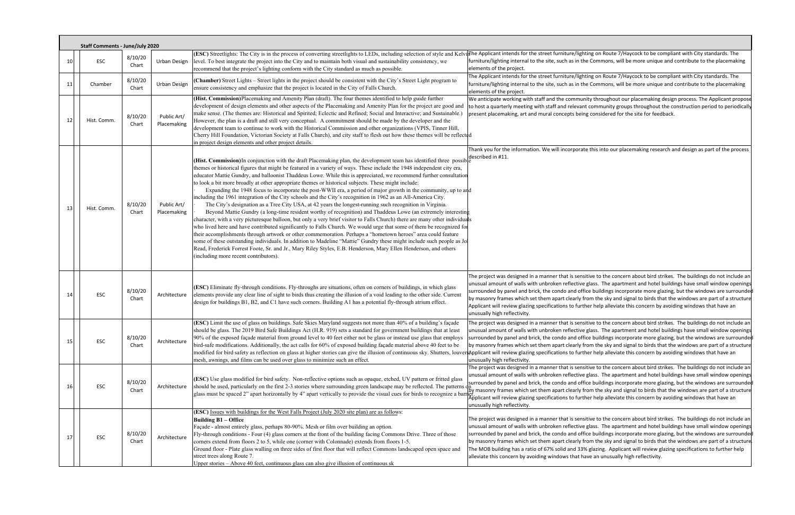|    | <b>Staff Comments - June/July 2020</b> |                  |                            |                                                                                                                                                                                                                                                                                                                                                                                                                                                                                                                                                                                                                                                                                                                                                                                                                                                                                                                                                                                                                                                                                                                                                                                                                                                                                                                                                                                                                                                                                                                                                                                                                                    |                                                                                                                                                                                                                                                                                                                                                                                                                                                                                                                                                                                                                                                                                                                  |
|----|----------------------------------------|------------------|----------------------------|------------------------------------------------------------------------------------------------------------------------------------------------------------------------------------------------------------------------------------------------------------------------------------------------------------------------------------------------------------------------------------------------------------------------------------------------------------------------------------------------------------------------------------------------------------------------------------------------------------------------------------------------------------------------------------------------------------------------------------------------------------------------------------------------------------------------------------------------------------------------------------------------------------------------------------------------------------------------------------------------------------------------------------------------------------------------------------------------------------------------------------------------------------------------------------------------------------------------------------------------------------------------------------------------------------------------------------------------------------------------------------------------------------------------------------------------------------------------------------------------------------------------------------------------------------------------------------------------------------------------------------|------------------------------------------------------------------------------------------------------------------------------------------------------------------------------------------------------------------------------------------------------------------------------------------------------------------------------------------------------------------------------------------------------------------------------------------------------------------------------------------------------------------------------------------------------------------------------------------------------------------------------------------------------------------------------------------------------------------|
| 10 | <b>ESC</b>                             | 8/10/20<br>Chart | Urban Design               | level. To best integrate the project into the City and to maintain both visual and sustainability consistency, we<br>recommend that the project's lighting conform with the City standard as much as possible.                                                                                                                                                                                                                                                                                                                                                                                                                                                                                                                                                                                                                                                                                                                                                                                                                                                                                                                                                                                                                                                                                                                                                                                                                                                                                                                                                                                                                     | (ESC) Streetlights: The City is in the process of converting streetlights to LEDs, including selection of style and KelvidThe Applicant intends for the street furniture/lighting on Route 7/Haycock to be compliant with City<br>furniture/lighting internal to the site, such as in the Commons, will be more unique and contribute to the placemaking<br>elements of the project.                                                                                                                                                                                                                                                                                                                             |
| 11 | Chamber                                | 8/10/20<br>Chart | Urban Design               | (Chamber) Street Lights - Street lights in the project should be consistent with the City's Street Light program to<br>ensure consistency and emphasize that the project is located in the City of Falls Church.                                                                                                                                                                                                                                                                                                                                                                                                                                                                                                                                                                                                                                                                                                                                                                                                                                                                                                                                                                                                                                                                                                                                                                                                                                                                                                                                                                                                                   | The Applicant intends for the street furniture/lighting on Route 7/Haycock to be compliant with City standards. The<br>furniture/lighting internal to the site, such as in the Commons, will be more unique and contribute to the placemaking<br>elements of the project.                                                                                                                                                                                                                                                                                                                                                                                                                                        |
| 12 | Hist. Comm.                            | 8/10/20<br>Chart | Public Art/<br>Placemaking | (Hist. Commission) Placemaking and Amenity Plan (draft). The four themes identified to help guide further<br>development of design elements and other aspects of the Placemaking and Amenity Plan for the project are good and<br>make sense. (The themes are: Historical and Spirited; Eclectic and Refined; Social and Interactive; and Sustainable.)<br>However, the plan is a draft and still very conceptual. A commitment should be made by the developer and the<br>development team to continue to work with the Historical Commission and other organizations (VPIS, Tinner Hill,<br>Cherry Hill Foundation, Victorian Society at Falls Church), and city staff to flesh out how these themes will be reflected<br>in project design elements and other project details.                                                                                                                                                                                                                                                                                                                                                                                                                                                                                                                                                                                                                                                                                                                                                                                                                                                  | We anticipate working with staff and the community throughout our placemaking design process. The Applicant prop<br>to host a quarterly meeting with staff and relevant community groups throughout the construction period to periodic<br>present placemaking, art and mural concepts being considered for the site for feedback.                                                                                                                                                                                                                                                                                                                                                                               |
| 13 | Hist. Comm.                            | 8/10/20<br>Chart | Public Art/<br>Placemaking | (Hist. Commission) In conjunction with the draft Placemaking plan, the development team has identified three possible<br>themes an kitteria 1.5<br>themes or historical figures that might be featured in a variety of ways. These include the 1948 independent city era,<br>educator Mattie Gundry, and balloonist Thaddeus Lowe. While this is appreciated, we recommend further consultation<br>to look a bit more broadly at other appropriate themes or historical subjects. These might include:<br>Expanding the 1948 focus to incorporate the post-WWII era, a period of major growth in the community, up to and<br>including the 1961 integration of the City schools and the City's recognition in 1962 as an All-America City.<br>The City's designation as a Tree City USA, at 42 years the longest-running such recognition in Virginia.<br>Beyond Mattie Gundry (a long-time resident worthy of recognition) and Thaddeus Lowe (an extremely interesting<br>character, with a very picturesque balloon, but only a very brief visitor to Falls Church) there are many other individuals<br>who lived here and have contributed significantly to Falls Church. We would urge that some of them be recognized for<br>their accomplishments through artwork or other commemoration. Perhaps a "hometown heroes" area could feature<br>some of these outstanding individuals. In addition to Madeline "Mattie" Gundry these might include such people as Jo<br>Read, Frederick Forrest Foote, Sr. and Jr., Mary Riley Styles, E.B. Henderson, Mary Ellen Henderson, and others<br>(including more recent contributors). | Thank you for the information. We will incorporate this into our placemaking research and design as part of the proce                                                                                                                                                                                                                                                                                                                                                                                                                                                                                                                                                                                            |
| 14 | <b>ESC</b>                             | 8/10/20<br>Chart | Architecture               | (ESC) Eliminate fly-through conditions. Fly-throughs are situations, often on corners of buildings, in which glass<br>elements provide any clear line of sight to birds thus creating the illusion of a void leading to the other side. Current<br>design for buildings B1, B2, and C1 have such corners. Building A1 has a potential fly-through atrium effect.                                                                                                                                                                                                                                                                                                                                                                                                                                                                                                                                                                                                                                                                                                                                                                                                                                                                                                                                                                                                                                                                                                                                                                                                                                                                   | The project was designed in a manner that is sensitive to the concern about bird strikes. The buildings do not include<br>unusual amount of walls with unbroken reflective glass. The apartment and hotel buildings have small window openin<br>surrounded by panel and brick, the condo and office buildings incorporate more glazing, but the windows are surroun<br>by masonry frames which set them apart clearly from the sky and signal to birds that the windows are part of a structi<br>Applicant will review glazing specifications to further help alleviate this concern by avoiding windows that have an<br>unusually high reflectivity.                                                            |
| 15 | ESC                                    | 8/10/20<br>Chart | Architecture               | (ESC) Limit the use of glass on buildings. Safe Skies Maryland suggests not more than 40% of a building's façade<br>should be glass. The 2019 Bird Safe Buildings Act (H.R. 919) sets a standard for government buildings that at least<br>90% of the exposed façade material from ground level to 40 feet either not be glass or instead use glass that employs<br>bird-safe modifications. Additionally, the act calls for 60% of exposed building façade material above 40 feet to be<br>modified for bird safety as reflection on glass at higher stories can give the illusion of continuous sky. Shutters, louver Applicant will review glazing specifications to further help alleviate this concern by avoiding wi<br>mesh, awnings, and films can be used over glass to minimize such an effect.                                                                                                                                                                                                                                                                                                                                                                                                                                                                                                                                                                                                                                                                                                                                                                                                                          | The project was designed in a manner that is sensitive to the concern about bird strikes. The buildings do not include<br>unusual amount of walls with unbroken reflective glass. The apartment and hotel buildings have small window openii<br>surrounded by panel and brick, the condo and office buildings incorporate more glazing, but the windows are surroun<br>by masonry frames which set them apart clearly from the sky and signal to birds that the windows are part of a structi<br>unusually high reflectivity.                                                                                                                                                                                    |
| 16 | ESC                                    | 8/10/20<br>Chart | Architecture               | (ESC) Use glass modified for bird safety. Non-reflective options such as opaque, etched, UV pattern or fritted glass<br>should be used, particularly on the first 2-3 stories where surrounding green landscape may be reflected. The patterns<br>glass must be spaced 2" apart horizontally by 4" apart vertically to provide the visual cues for birds to recognize a barrier. Applicant will review glazing specifications to further help alleviate this concern by avoiding                                                                                                                                                                                                                                                                                                                                                                                                                                                                                                                                                                                                                                                                                                                                                                                                                                                                                                                                                                                                                                                                                                                                                   | The project was designed in a manner that is sensitive to the concern about bird strikes. The buildings do not include<br>unusual amount of walls with unbroken reflective glass. The apartment and hotel buildings have small window openin<br>surrounded by panel and brick, the condo and office buildings incorporate more glazing, but the windows are surroun<br>dn<br>Tby masonry frames which set them apart clearly from the sky and signal to birds that the windows are part of a structu<br>unusually high reflectivity.                                                                                                                                                                             |
| 17 | ESC                                    | 8/10/20<br>Chart | Architecture               | <b>(ESC)</b> Issues with buildings for the West Falls Project (July 2020 site plan) are as follows:<br>Building B1 - Office<br>Façade - almost entirely glass, perhaps 80-90%. Mesh or film over building an option.<br>Fly-through conditions - Four (4) glass corners at the front of the building facing Commons Drive. Three of those<br>corners extend from floors 2 to 5, while one (corner with Colonnade) extends from floors 1-5.<br>Ground floor - Plate glass walling on three sides of first floor that will reflect Commons landscaped open space and<br>street trees along Route 7.<br>Upper stories - Above 40 feet, continuous glass can also give illusion of continuous sk                                                                                                                                                                                                                                                                                                                                                                                                                                                                                                                                                                                                                                                                                                                                                                                                                                                                                                                                       | The project was designed in a manner that is sensitive to the concern about bird strikes. The buildings do not include<br>unusual amount of walls with unbroken reflective glass. The apartment and hotel buildings have small window openin<br>surrounded by panel and brick, the condo and office buildings incorporate more glazing, but the windows are surroun<br>by masonry frames which set them apart clearly from the sky and signal to birds that the windows are part of a structi<br>The MOB building has a ratio of 67% solid and 33% glazing. Applicant will review glazing specifications to further help<br>alleviate this concern by avoiding windows that have an unusually high reflectivity. |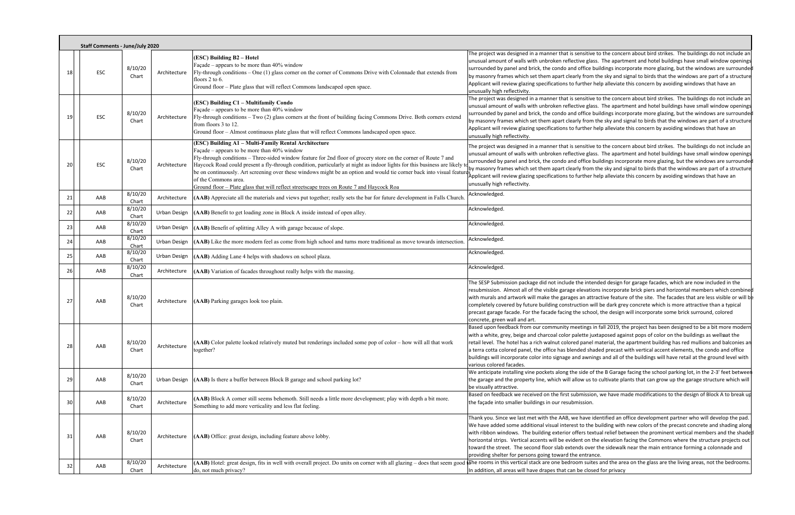|    |    | <b>Staff Comments - June/July 2020</b> |                           |              |                                                                                                                                                                                                                                                                                                                                                                                                                                                                                                                                                                                                      |                                                                                                                                                                                                                                                                                                                                                                                                                                                                                                                                                                                                                                                                                        |
|----|----|----------------------------------------|---------------------------|--------------|------------------------------------------------------------------------------------------------------------------------------------------------------------------------------------------------------------------------------------------------------------------------------------------------------------------------------------------------------------------------------------------------------------------------------------------------------------------------------------------------------------------------------------------------------------------------------------------------------|----------------------------------------------------------------------------------------------------------------------------------------------------------------------------------------------------------------------------------------------------------------------------------------------------------------------------------------------------------------------------------------------------------------------------------------------------------------------------------------------------------------------------------------------------------------------------------------------------------------------------------------------------------------------------------------|
|    | 18 | ESC                                    | 8/10/20<br>Chart          | Architecture | (ESC) Building B2 - Hotel<br>Façade - appears to be more than 40% window<br>Fly-through conditions - One (1) glass corner on the corner of Commons Drive with Colonnade that extends from<br>floors 2 to 6.<br>Ground floor - Plate glass that will reflect Commons landscaped open space.                                                                                                                                                                                                                                                                                                           | The project was designed in a manner that is sensitive to the concern about bird strikes. The buildings do not include an<br>unusual amount of walls with unbroken reflective glass. The apartment and hotel buildings have small window openings<br>surrounded by panel and brick, the condo and office buildings incorporate more glazing, but the windows are surrounded<br>by masonry frames which set them apart clearly from the sky and signal to birds that the windows are part of a structure<br>Applicant will review glazing specifications to further help alleviate this concern by avoiding windows that have an<br>unusually high reflectivity.                        |
|    | 19 | ESC                                    | 8/10/20<br>Chart          | Architecture | (ESC) Building C1 - Multifamily Condo<br>Façade - appears to be more than 40% window<br>Fly-through conditions - Two (2) glass corners at the front of building facing Commons Drive. Both corners extend<br>from floors 3 to 12.<br>Ground floor - Almost continuous plate glass that will reflect Commons landscaped open space.                                                                                                                                                                                                                                                                   | The project was designed in a manner that is sensitive to the concern about bird strikes. The buildings do not include an<br>unusual amount of walls with unbroken reflective glass. The apartment and hotel buildings have small window openings<br>surrounded by panel and brick, the condo and office buildings incorporate more glazing, but the windows are surrounded<br>by masonry frames which set them apart clearly from the sky and signal to birds that the windows are part of a structure<br>Applicant will review glazing specifications to further help alleviate this concern by avoiding windows that have an<br>unusually high reflectivity.                        |
|    | 20 | ESC                                    | 8/10/20<br>Chart          | Architecture | (ESC) Building A1 - Multi-Family Rental Architecture<br>Façade – appears to be more than $40\%$ window<br>Fly-through conditions - Three-sided window feature for 2nd floor of grocery store on the corner of Route 7 and<br>Haycock Road could present a fly-through condition, particularly at night as indoor lights for this business are likely to<br>be on continuously. Art screening over these windows might be an option and would tie corner back into visual featur<br>of the Commons area.<br>Ground floor - Plate glass that will reflect streetscape trees on Route 7 and Haycock Roa | The project was designed in a manner that is sensitive to the concern about bird strikes. The buildings do not include an<br>unusual amount of walls with unbroken reflective glass. The apartment and hotel buildings have small window openings<br>surrounded by panel and brick, the condo and office buildings incorporate more glazing, but the windows are surrounded<br>by masonry frames which set them apart clearly from the sky and signal to birds that the windows are part of a structure<br>Åpplicant will review glazing specifications to further help alleviate this concern by avoiding windows that have an<br>unusually high reflectivity.                        |
|    | 21 | AAB                                    | 8/10/20<br>Chart          | Architecture | (AAB) Appreciate all the materials and views put together; really sets the bar for future development in Falls Church.                                                                                                                                                                                                                                                                                                                                                                                                                                                                               | Acknowledged.                                                                                                                                                                                                                                                                                                                                                                                                                                                                                                                                                                                                                                                                          |
|    | 22 | AAB                                    | 8/10/20<br>Chart          | Urban Design | (AAB) Benefit to get loading zone in Block A inside instead of open alley.                                                                                                                                                                                                                                                                                                                                                                                                                                                                                                                           | Acknowledged.                                                                                                                                                                                                                                                                                                                                                                                                                                                                                                                                                                                                                                                                          |
|    | 23 | AAB                                    | 8/10/20<br>Chart          | Urban Design | (AAB) Benefit of splitting Alley A with garage because of slope.                                                                                                                                                                                                                                                                                                                                                                                                                                                                                                                                     | Acknowledged.                                                                                                                                                                                                                                                                                                                                                                                                                                                                                                                                                                                                                                                                          |
|    | 24 | AAB                                    | 8/10/20                   | Urban Design | (AAB) Like the more modern feel as come from high school and turns more traditional as move towards intersection.                                                                                                                                                                                                                                                                                                                                                                                                                                                                                    | Acknowledged.                                                                                                                                                                                                                                                                                                                                                                                                                                                                                                                                                                                                                                                                          |
|    | 25 | AAB                                    | Chart<br>8/10/20<br>Chart | Urban Design | (AAB) Adding Lane 4 helps with shadows on school plaza.                                                                                                                                                                                                                                                                                                                                                                                                                                                                                                                                              | Acknowledged.                                                                                                                                                                                                                                                                                                                                                                                                                                                                                                                                                                                                                                                                          |
|    | 26 | AAB                                    | 8/10/20<br>Chart          | Architecture | (AAB) Variation of facades throughout really helps with the massing.                                                                                                                                                                                                                                                                                                                                                                                                                                                                                                                                 | Acknowledged.                                                                                                                                                                                                                                                                                                                                                                                                                                                                                                                                                                                                                                                                          |
|    | 27 | AAB                                    | 8/10/20<br>Chart          | Architecture | (AAB) Parking garages look too plain.                                                                                                                                                                                                                                                                                                                                                                                                                                                                                                                                                                | The SESP Submission package did not include the intended design for garage facades, which are now included in the<br>resubmission. Almost all of the visible garage elevations incorporate brick piers and horizontal members which combine<br>with murals and artwork will make the garages an attractive feature of the site. The facades that are less visible or will b<br>completely covered by future building construction will be dark grey concrete which is more attractive than a typical<br>precast garage facade. For the facade facing the school, the design will incorporate some brick surround, colored<br>concrete, green wall and art.                             |
|    | 28 | AAB                                    | 8/10/20<br>Chart          | Architecture | (AAB) Color palette looked relatively muted but renderings included some pop of color - how will all that work<br>together?                                                                                                                                                                                                                                                                                                                                                                                                                                                                          | Based upon feedback from our community meetings in fall 2019, the project has been designed to be a bit more modern<br>with a white, grey, beige and charcoal color palette juxtaposed against pops of color on the buildings as wellsaat the<br>retail level. The hotel has a rich walnut colored panel material, the apartment building has red mullions and balconies an<br>a terra cotta colored panel, the office has blended shaded precast with vertical accent elements, the condo and office<br>buildings will incorporate color into signage and awnings and all of the buildings will have retail at the ground level with<br>various colored facades.                      |
|    | 29 | AAB                                    | 8/10/20<br>Chart          | Urban Design | (AAB) Is there a buffer between Block B garage and school parking lot?                                                                                                                                                                                                                                                                                                                                                                                                                                                                                                                               | We anticipate installing vine pockets along the side of the B Garage facing the school parking lot, in the 2-3' feet betweer<br>the garage and the property line, which will allow us to cultivate plants that can grow up the garage structure which will<br>be visually attractive.                                                                                                                                                                                                                                                                                                                                                                                                  |
|    | 30 | AAB                                    | 8/10/20<br>Chart          | Architecture | (AAB) Block A corner still seems behemoth. Still needs a little more development; play with depth a bit more.<br>Something to add more verticality and less flat feeling.                                                                                                                                                                                                                                                                                                                                                                                                                            | Based on feedback we received on the first submission, we have made modifications to the design of Block A to break up<br>the façade into smaller buildings in our resubmission.                                                                                                                                                                                                                                                                                                                                                                                                                                                                                                       |
| 31 |    | AAB                                    | 8/10/20<br>Chart          | Architecture | (AAB) Office: great design, including feature above lobby.                                                                                                                                                                                                                                                                                                                                                                                                                                                                                                                                           | Thank you. Since we last met with the AAB, we have identified an office development partner who will develop the pad.<br>We have added some additional visual interest to the building with new colors of the precast concrete and shading along<br>with ribbon windows. The building exterior offers textual relief between the prominent vertical members and the shade<br>horizontal strips. Vertical accents will be evident on the elevation facing the Commons where the structure projects out<br>toward the street. The second floor slab extends over the sidewalk near the main entrance forming a colonnade and<br>providing shelter for persons going toward the entrance. |
|    | 32 | AAB                                    | 8/10/20                   | Architecture | (AAB) Hotel: great design, fits in well with overall project. Do units on corner with all glazing – does that seem good                                                                                                                                                                                                                                                                                                                                                                                                                                                                              | dThe rooms in this vertical stack are one bedroom suites and the area on the glass are the living areas, not the bedrooms.                                                                                                                                                                                                                                                                                                                                                                                                                                                                                                                                                             |
|    |    |                                        | Chart                     |              | do, not much privacy?                                                                                                                                                                                                                                                                                                                                                                                                                                                                                                                                                                                | In addition, all areas will have drapes that can be closed for privacy                                                                                                                                                                                                                                                                                                                                                                                                                                                                                                                                                                                                                 |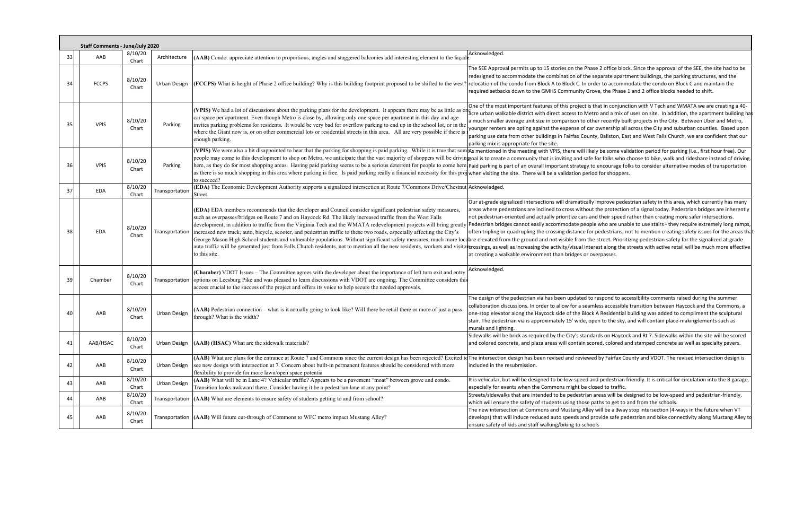|              | <b>Staff Comments - June/July 2020</b> |                  |                     |                                                                                                                                                                                                                                                                                                                                                                                                                                                                                             |                                                                                                                                                                                                                                                                                                                                                                                                                                                                                                                                                                                                                                                                                                                                                                                                                                                                                                                                                                                                                                                                                                                                                                   |  |  |  |  |  |
|--------------|----------------------------------------|------------------|---------------------|---------------------------------------------------------------------------------------------------------------------------------------------------------------------------------------------------------------------------------------------------------------------------------------------------------------------------------------------------------------------------------------------------------------------------------------------------------------------------------------------|-------------------------------------------------------------------------------------------------------------------------------------------------------------------------------------------------------------------------------------------------------------------------------------------------------------------------------------------------------------------------------------------------------------------------------------------------------------------------------------------------------------------------------------------------------------------------------------------------------------------------------------------------------------------------------------------------------------------------------------------------------------------------------------------------------------------------------------------------------------------------------------------------------------------------------------------------------------------------------------------------------------------------------------------------------------------------------------------------------------------------------------------------------------------|--|--|--|--|--|
| 33           | AAB                                    | 8/10/20<br>Chart | Architecture        | $(AAB)$ Condo: appreciate attention to proportions; angles and staggered balconies add interesting element to the façade.                                                                                                                                                                                                                                                                                                                                                                   | Acknowledged.                                                                                                                                                                                                                                                                                                                                                                                                                                                                                                                                                                                                                                                                                                                                                                                                                                                                                                                                                                                                                                                                                                                                                     |  |  |  |  |  |
| 34           | <b>FCCPS</b>                           | 8/10/20<br>Chart | Urban Design        | <b>(FCCPS)</b> What is height of Phase 2 office building? Why is this building footprint proposed to be shifted to the west.                                                                                                                                                                                                                                                                                                                                                                | The SEE Approval permits up to 15 stories on the Phase 2 office block. Since the approval of the SEE, the site had to be<br>redesigned to accommodate the combination of the separate apartment buildings, the parking structures, and the<br>relocation of the condo from Block A to Block C. In order to accommodate the condo on Block C and maintain the<br>required setbacks down to the GMHS Community Grove, the Phase 1 and 2 office blocks needed to shift.                                                                                                                                                                                                                                                                                                                                                                                                                                                                                                                                                                                                                                                                                              |  |  |  |  |  |
|              | <b>VPIS</b>                            | 8/10/20<br>Chart | Parking             | car space per apartment. Even though Metro is close by, allowing only one space per apartment in this day and age<br>invites parking problems for residents. It would be very bad for overflow parking to end up in the school lot, or in the<br>where the Giant now is, or on other commercial lots or residential streets in this area. All are very possible if there is<br>enough parking.                                                                                              | One of the most important features of this project is that in conjunction with V Tech and WMATA we are creating a 40<br>(VPIS) We had a lot of discussions about the parking plans for the development. It appears there may be as little as one access to Metro and a mix of uses on site. In addition, the apartment building<br>a much smaller average unit size in comparison to other recently built projects in the City. Between Uber and Metro,<br>younger renters are opting against the expense of car ownership all across the City and suburban counties. Based upo<br>parking use data from other buildings in Fairfax County, Ballston, East and West Falls Church, we are confident that ou<br>parking mix is appropriate for the site.                                                                                                                                                                                                                                                                                                                                                                                                            |  |  |  |  |  |
|              | <b>VPIS</b>                            | 8/10/20<br>Chart | Parking             | as there is so much shopping in this area where parking is free. Is paid parking really a financial necessity for this proj when visiting the site. There will be a validation period for shoppers.<br>to succeed?                                                                                                                                                                                                                                                                          | (VPIS) We were also a bit disappointed to hear that the parking for shopping is paid parking. While it is true that som As mentioned in the meeting with VPIS, there will likely be some validation period for parking (i.e.,<br>people may come to this development to shop on Metro, we anticipate that the vast majority of shoppers will be driving oal is to create a community that is inviting and safe for folks who choose to bike, walk and rideshare<br>here, as they do for most shopping areas. Having paid parking seems to be a serious deterrent for people to come here paid parking is part of an overall important strategy to encourage folks to consider alternative modes o                                                                                                                                                                                                                                                                                                                                                                                                                                                                 |  |  |  |  |  |
| 37           | EDA                                    | 8/10/20<br>Chart | Transportation      | (EDA) The Economic Development Authority supports a signalized intersection at Route 7/Commons Drive/Chestnut Acknowledged.<br>Street.                                                                                                                                                                                                                                                                                                                                                      |                                                                                                                                                                                                                                                                                                                                                                                                                                                                                                                                                                                                                                                                                                                                                                                                                                                                                                                                                                                                                                                                                                                                                                   |  |  |  |  |  |
| 38           | EDA                                    | 8/10/20<br>Chart | Transportation      | (EDA) EDA members recommends that the developer and Council consider significant pedestrian safety measures,<br>such as overpasses/bridges on Route 7 and on Haycock Rd. The likely increased traffic from the West Falls<br>development, in addition to traffic from the Virginia Tech and the WMATA redevelopment projects will bring greatly<br>increased new truck, auto, bicycle, scooter, and pedestrian traffic to these two roads, especially affecting the City's<br>to this site. | Our at-grade signalized intersections will dramatically improve pedestrian safety in this area, which currently has man<br>areas where pedestrians are inclined to cross without the protection of a signal today. Pedestrian bridges are inheren<br>not pedestrian-oriented and actually prioritize cars and their speed rather than creating more safer intersections.<br>/Pedestrian bridges cannot easily accommodate people who are unable to use stairs - they require extremely long ram<br>often tripling or quadrupling the crossing distance for pedestrians, not to mention creating safety issues for the areas<br>George Mason High School students and vulnerable populations. Without significant safety measures, much more locane elevated from the ground and not visible from the street. Prioritizing pedestrian safety for the signalize<br>auto traffic will be generated just from Falls Church residents, not to mention all the new residents, workers and visitor cossings, as well as increasing the activity/visual interest along the streets with active retail w<br>at creating a walkable environment than bridges or overpasses. |  |  |  |  |  |
| 39           | Chamber                                | 8/10/20<br>Chart |                     | (Chamber) VDOT Issues - The Committee agrees with the developer about the importance of left turn exit and entry<br>Transportation options on Leesburg Pike and was pleased to learn discussions with VDOT are ongoing. The Committee considers this<br>access crucial to the success of the project and offers its voice to help secure the needed approvals.                                                                                                                              | Acknowledged.                                                                                                                                                                                                                                                                                                                                                                                                                                                                                                                                                                                                                                                                                                                                                                                                                                                                                                                                                                                                                                                                                                                                                     |  |  |  |  |  |
|              | AAB                                    | 8/10/20<br>Chart | Urban Design        | (AAB) Pedestrian connection – what is it actually going to look like? Will there be retail there or more of just a pass-<br>through? What is the width?                                                                                                                                                                                                                                                                                                                                     | The design of the pedestrian via has been updated to respond to accessibility comments raised during the summer<br>collaboration discussions. In order to allow for a seamless accessible transition between Haycock and the Commons, a<br>one-stop elevator along the Haycock side of the Block A Residential building was added to compliment the sculptural<br>stair. The pedestrian via is approximately 15' wide, open to the sky, and will contain place-makinglements such as<br>murals and lighting.                                                                                                                                                                                                                                                                                                                                                                                                                                                                                                                                                                                                                                                      |  |  |  |  |  |
| 41           | AAB/HSAC                               | 8/10/20<br>Chart | Urban Design        | (AAB) (HSAC) What are the sidewalk materials?                                                                                                                                                                                                                                                                                                                                                                                                                                               | Sidewalks will be brick as required by the City's standards on Haycock and Rt 7. Sidewalks within the site will be score<br>and colored concrete, and plaza areas will contain scored, colored and stamped concrete as well as specialty pavers.                                                                                                                                                                                                                                                                                                                                                                                                                                                                                                                                                                                                                                                                                                                                                                                                                                                                                                                  |  |  |  |  |  |
| 42           | AAB                                    | 8/10/20<br>Chart | Urban Design        | see new design with intersection at 7. Concern about built-in permanent features should be considered with more<br>flexibility to provide for more lawn/open space potentia                                                                                                                                                                                                                                                                                                                 | (AAB) What are plans for the entrance at Route 7 and Commons since the current design has been rejected? Excited to The intersection design has been revised and reviewed by Fairfax County and VDOT. The revised intersection<br>included in the resubmission.                                                                                                                                                                                                                                                                                                                                                                                                                                                                                                                                                                                                                                                                                                                                                                                                                                                                                                   |  |  |  |  |  |
| 43           | AAB                                    | 8/10/20<br>Chart | <b>Urban Design</b> | (AAB) What will be in Lane 4? Vehicular traffic? Appears to be a pavement "moat" between grove and condo.<br>Transition looks awkward there. Consider having it be a pedestrian lane at any point?                                                                                                                                                                                                                                                                                          | It is vehicular, but will be designed to be low-speed and pedestrian friendly. It is critical for circulation into the B garag<br>especially for events when the Commons might be closed to traffic.                                                                                                                                                                                                                                                                                                                                                                                                                                                                                                                                                                                                                                                                                                                                                                                                                                                                                                                                                              |  |  |  |  |  |
| 44           | AAB                                    | 8/10/20<br>Chart | Transportation      | (AAB) What are elements to ensure safety of students getting to and from school?                                                                                                                                                                                                                                                                                                                                                                                                            | Streets/sidewalks that are intended to be pedestrian areas will be designed to be low-speed and pedestrian-friendly,<br>which will ensure the safety of students using those paths to get to and from the schools.                                                                                                                                                                                                                                                                                                                                                                                                                                                                                                                                                                                                                                                                                                                                                                                                                                                                                                                                                |  |  |  |  |  |
| $\mathbf{A}$ | AAB                                    | 8/10/20<br>Chart |                     | Transportation (AAB) Will future cut-through of Commons to WFC metro impact Mustang Alley?                                                                                                                                                                                                                                                                                                                                                                                                  | The new intersection at Commons and Mustang Alley will be a 3way stop intersection (4-ways in the future when VT<br>develops) that will induce reduced auto speeds and provide safe pedestrian and bike connectivity along Mustang Alle<br>ensure safety of kids and staff walking/biking to schools                                                                                                                                                                                                                                                                                                                                                                                                                                                                                                                                                                                                                                                                                                                                                                                                                                                              |  |  |  |  |  |

ct is that in conjunction with V Tech and WMATA we are creating a 40‐ Metro and a mix of uses on site. In addition, the apartment building has o other recently built projects in the City. Between Uber and Metro, of car ownership all across the City and suburban counties. Based upon County, Ballston, East and West Falls Church, we are confident that our

ically improve pedestrian safety in this area, which currently has many thout the protection of a signal today. Pedestrian bridges are inherently ars and their speed rather than creating more safer intersections. beople who are unable to use stairs - they require extremely long ramps, te for pedestrians, not to mention creating safety issues for the areas that m the street. Prioritizing pedestrian safety for the signalized at-grade I interest along the streets with active retail will be much more effective or overpasses.

Alley will be a 3way stop intersection (4-ways in the future when VT<br>Ind provide safe pedestrian and bike connectivity along Mustang Alley to schools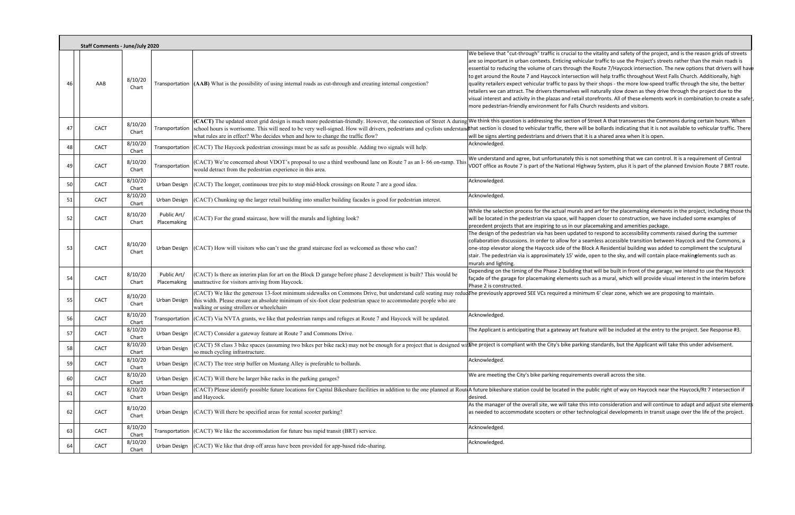|    | <b>Staff Comments - June/July 2020</b> |                  |                            |                                                                                                                                                                                                                                                                                                                                                                                    |                                                                                                                                                                                                                                                                                                                                                                                                                                                                                                                                                                                                                                                                                                                                                                                                                                                                                                                                                                                             |
|----|----------------------------------------|------------------|----------------------------|------------------------------------------------------------------------------------------------------------------------------------------------------------------------------------------------------------------------------------------------------------------------------------------------------------------------------------------------------------------------------------|---------------------------------------------------------------------------------------------------------------------------------------------------------------------------------------------------------------------------------------------------------------------------------------------------------------------------------------------------------------------------------------------------------------------------------------------------------------------------------------------------------------------------------------------------------------------------------------------------------------------------------------------------------------------------------------------------------------------------------------------------------------------------------------------------------------------------------------------------------------------------------------------------------------------------------------------------------------------------------------------|
|    | AAB                                    | 8/10/20<br>Chart |                            | Transportation $(AAB)$ What is the possibility of using internal roads as cut-through and creating internal congestion?                                                                                                                                                                                                                                                            | We believe that "cut-through" traffic is crucial to the vitality and safety of the project, and is the reason grids of streets<br>are so important in urban contexts. Enticing vehicular traffic to use the Project's streets rather than the main roads is<br>essential to reducing the volume of cars through the Route 7/Haycock intersection. The new options that drivers will hav<br>to get around the Route 7 and Haycock intersection will help traffic throughout West Falls Church. Additionally, high<br>quality retailers expect vehicular traffic to pass by their shops - the more low-speed traffic through the site, the better<br>retailers we can attract. The drivers themselves will naturally slow down as they drive through the project due to the<br>visual interest and activity in the plazas and retail storefronts. All of these elements work in combination to create a safe<br>more pedestrian-friendly environment for Falls Church residents and visitors. |
| 47 | <b>CACT</b>                            | 8/10/20<br>Chart | Transportation             | (CACT) The updated street grid design is much more pedestrian-friendly. However, the connection of Street A during<br>school hours is worrisome. This will need to be very well-signed. How will drivers, pedestrians and cyclists understar<br>what rules are in effect? Who decides when and how to change the traffic flow?                                                     | We think this question is addressing the section of Street A that transverses the Commons during certain hours. When<br>that section is closed to vehicular traffic, there will be bollards indicating that it is not available to vehicular traffic. There<br>will be signs alerting pedestrians and drivers that it is a shared area when it is open.                                                                                                                                                                                                                                                                                                                                                                                                                                                                                                                                                                                                                                     |
| 48 | <b>CACT</b>                            | 8/10/20<br>Chart | Transportation             | (CACT) The Haycock pedestrian crossings must be as safe as possible. Adding two signals will help.                                                                                                                                                                                                                                                                                 | Acknowledged.                                                                                                                                                                                                                                                                                                                                                                                                                                                                                                                                                                                                                                                                                                                                                                                                                                                                                                                                                                               |
| 49 | <b>CACT</b>                            | 8/10/20<br>Chart | Transportation             | (CACT) We're concerned about VDOT's proposal to use a third westbound lane on Route 7 as an I-66 on-ramp. This<br>would detract from the pedestrian experience in this area.                                                                                                                                                                                                       | We understand and agree, but unfortunately this is not something that we can control. It is a requirement of Central<br>VDOT office as Route 7 is part of the National Highway System, plus it is part of the planned Envision Route 7 BRT route.                                                                                                                                                                                                                                                                                                                                                                                                                                                                                                                                                                                                                                                                                                                                           |
| 50 | <b>CACT</b>                            | 8/10/20<br>Chart | <b>Urban Design</b>        | (CACT) The longer, continuous tree pits to stop mid-block crossings on Route 7 are a good idea.                                                                                                                                                                                                                                                                                    | Acknowledged.                                                                                                                                                                                                                                                                                                                                                                                                                                                                                                                                                                                                                                                                                                                                                                                                                                                                                                                                                                               |
| 51 | <b>CACT</b>                            | 8/10/20<br>Chart | Urban Design               | (CACT) Chunking up the larger retail building into smaller building facades is good for pedestrian interest.                                                                                                                                                                                                                                                                       | Acknowledged.                                                                                                                                                                                                                                                                                                                                                                                                                                                                                                                                                                                                                                                                                                                                                                                                                                                                                                                                                                               |
| 52 | <b>CACT</b>                            | 8/10/20<br>Chart | Public Art/<br>Placemaking | (CACT) For the grand staircase, how will the murals and lighting look?                                                                                                                                                                                                                                                                                                             | While the selection process for the actual murals and art for the placemaking elements in the project, including those that<br>will be located in the pedestrian via space, will happen closer to construction, we have included some examples of<br>precedent projects that are inspiring to us in our placemaking and amenities package.                                                                                                                                                                                                                                                                                                                                                                                                                                                                                                                                                                                                                                                  |
| 53 | <b>CACT</b>                            | 8/10/20<br>Chart | Urban Design               | (CACT) How will visitors who can't use the grand staircase feel as welcomed as those who can?                                                                                                                                                                                                                                                                                      | The design of the pedestrian via has been updated to respond to accessibility comments raised during the summer<br>collaboration discussions. In order to allow for a seamless accessible transition between Haycock and the Commons, a<br>one-stop elevator along the Haycock side of the Block A Residential building was added to compliment the sculptural<br>stair. The pedestrian via is approximately 15' wide, open to the sky, and will contain place-makinglements such as<br>murals and lighting.                                                                                                                                                                                                                                                                                                                                                                                                                                                                                |
| 54 | <b>CACT</b>                            | 8/10/20<br>Chart | Public Art/<br>Placemaking | (CACT) Is there an interim plan for art on the Block D garage before phase 2 development is built? This would be<br>unattractive for visitors arriving from Haycock.                                                                                                                                                                                                               | Depending on the timing of the Phase 2 building that will be built in front of the garage, we intend to use the Haycock<br>façade of the garage for placemaking elements such as a mural, which will provide visual interest in the interim before<br>Phase 2 is constructed.                                                                                                                                                                                                                                                                                                                                                                                                                                                                                                                                                                                                                                                                                                               |
| 55 | <b>CACT</b>                            | 8/10/20<br>Chart | <b>Urban Design</b>        | (CACT) We like the generous 13-foot minimum sidewalks on Commons Drive, but understand café seating may redudathe previously approved SEE VCs required a minimum 6' clear zone, which we are proposing to maintain.<br>this width. Please ensure an absolute minimum of six-foot clear pedestrian space to accommodate people who are<br>walking or using strollers or wheelchairs |                                                                                                                                                                                                                                                                                                                                                                                                                                                                                                                                                                                                                                                                                                                                                                                                                                                                                                                                                                                             |
| 56 | <b>CACT</b>                            | 8/10/20<br>Chart | Transportation             | (CACT) Via NVTA grants, we like that pedestrian ramps and refuges at Route 7 and Haycock will be updated.                                                                                                                                                                                                                                                                          | Acknowledged.                                                                                                                                                                                                                                                                                                                                                                                                                                                                                                                                                                                                                                                                                                                                                                                                                                                                                                                                                                               |
| 57 | CACT                                   | 8/10/20<br>Chart | Urban Design               | (CACT) Consider a gateway feature at Route 7 and Commons Drive.                                                                                                                                                                                                                                                                                                                    | The Applicant is anticipating that a gateway art feature will be included at the entry to the project. See Response #3.                                                                                                                                                                                                                                                                                                                                                                                                                                                                                                                                                                                                                                                                                                                                                                                                                                                                     |
| 58 | <b>CACT</b>                            | 8/10/20<br>Chart | <b>Urban Design</b>        | (CACT) 58 class 3 bike spaces (assuming two bikes per bike rack) may not be enough for a project that is designed with the project is compliant with the City's bike parking standards, but the Applicant will take this under<br>so much cycling infrastructure.                                                                                                                  |                                                                                                                                                                                                                                                                                                                                                                                                                                                                                                                                                                                                                                                                                                                                                                                                                                                                                                                                                                                             |
| 59 | CACT                                   | 8/10/20<br>Chart | Urban Design               | (CACT) The tree strip buffer on Mustang Alley is preferable to bollards.                                                                                                                                                                                                                                                                                                           | Acknowledged.                                                                                                                                                                                                                                                                                                                                                                                                                                                                                                                                                                                                                                                                                                                                                                                                                                                                                                                                                                               |
| 60 | <b>CACT</b>                            | 8/10/20<br>Chart | Urban Design               | (CACT) Will there be larger bike racks in the parking garages?                                                                                                                                                                                                                                                                                                                     | We are meeting the City's bike parking requirements overall across the site.                                                                                                                                                                                                                                                                                                                                                                                                                                                                                                                                                                                                                                                                                                                                                                                                                                                                                                                |
| 61 | CACT                                   | 8/10/20<br>Chart | Urban Design               | and Haycock.                                                                                                                                                                                                                                                                                                                                                                       | (CACT) Please identify possible future locations for Capital Bikeshare facilities in addition to the one planned at Rout A future bikeshare station could be located in the public right of way on Haycock near the Haycock/Rt<br>desired.                                                                                                                                                                                                                                                                                                                                                                                                                                                                                                                                                                                                                                                                                                                                                  |
| 62 | CACT                                   | 8/10/20<br>Chart | Urban Design               | (CACT) Will there be specified areas for rental scooter parking?                                                                                                                                                                                                                                                                                                                   | As the manager of the overall site, we will take this into consideration and will continue to adapt and adjust site element<br>as needed to accommodate scooters or other technological developments in transit usage over the life of the project.                                                                                                                                                                                                                                                                                                                                                                                                                                                                                                                                                                                                                                                                                                                                         |
| 63 | CACT                                   | 8/10/20<br>Chart |                            | Transportation $(CACT)$ We like the accommodation for future bus rapid transit (BRT) service.                                                                                                                                                                                                                                                                                      | Acknowledged.                                                                                                                                                                                                                                                                                                                                                                                                                                                                                                                                                                                                                                                                                                                                                                                                                                                                                                                                                                               |
| 64 | CACT                                   | 8/10/20<br>Chart | Urban Design               | (CACT) We like that drop off areas have been provided for app-based ride-sharing.                                                                                                                                                                                                                                                                                                  | Acknowledged.                                                                                                                                                                                                                                                                                                                                                                                                                                                                                                                                                                                                                                                                                                                                                                                                                                                                                                                                                                               |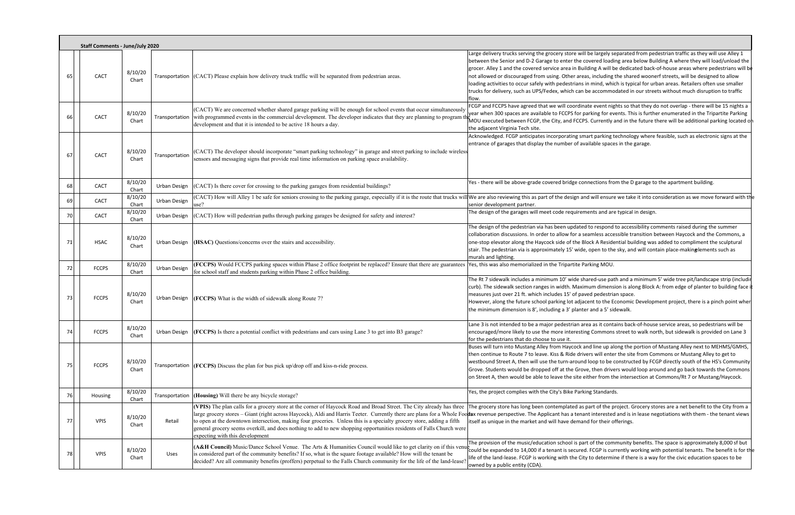|    | <b>Staff Comments - June/July 2020</b> |                  |                |                                                                                                                                                                                                                                                                                                                                                                                                          |                                                                                                                                                                                                                                                                                                                                                                                                                                                                                                                                                                                                                                                                                                                                                                       |
|----|----------------------------------------|------------------|----------------|----------------------------------------------------------------------------------------------------------------------------------------------------------------------------------------------------------------------------------------------------------------------------------------------------------------------------------------------------------------------------------------------------------|-----------------------------------------------------------------------------------------------------------------------------------------------------------------------------------------------------------------------------------------------------------------------------------------------------------------------------------------------------------------------------------------------------------------------------------------------------------------------------------------------------------------------------------------------------------------------------------------------------------------------------------------------------------------------------------------------------------------------------------------------------------------------|
| 6! | <b>CACT</b>                            | 8/10/20<br>Chart |                | Transportation (CACT) Please explain how delivery truck traffic will be separated from pedestrian areas.                                                                                                                                                                                                                                                                                                 | Large delivery trucks serving the grocery store will be largely separated from pedestrian traffic as they will use Alley 1<br>between the Senior and D-2 Garage to enter the covered loading area below Building A where they will load/unload the<br>grocer. Alley 1 and the covered service area in Building A will be dedicated back-of-house areas where pedestrians will be<br>not allowed or discouraged from using. Other areas, including the shared woonerf streets, will be designed to allow<br>loading activities to occur safely with pedestrians in mind, which is typical for urban areas. Retailers often use smaller<br>trucks for delivery, such as UPS/Fedex, which can be accommodated in our streets without much disruption to traffic<br>flow. |
| 6  | CACT                                   | 8/10/20<br>Chart | Transportation | (CACT) We are concerned whether shared garage parking will be enough for school events that occur simultaneously<br>with programmed events in the commercial development. The developer indicates that they are planning to program the<br>development and that it is intended to be active 18 hours a day.                                                                                              | FCGP and FCCPS have agreed that we will coordinate event nights so that they do not overlap - there will be 15 nights a<br>year when 300 spaces are available to FCCPS for parking for events. This is further enumerated in the Tripartite Parking<br>MOU executed between FCGP, the City, and FCCPS. Currently and in the future there will be additional parking located or<br>the adjacent Virginia Tech site.                                                                                                                                                                                                                                                                                                                                                    |
| 6  | CACT                                   | 8/10/20<br>Chart | Transportation | (CACT) The developer should incorporate "smart parking technology" in garage and street parking to include wireless<br>sensors and messaging signs that provide real time information on parking space availability.                                                                                                                                                                                     | Acknowledged. FCGP anticipates incorporating smart parking technology where feasible, such as electronic signs at the<br>entrance of garages that display the number of available spaces in the garage.                                                                                                                                                                                                                                                                                                                                                                                                                                                                                                                                                               |
| 68 | CACT                                   | 8/10/20<br>Chart | Urban Design   | (CACT) Is there cover for crossing to the parking garages from residential buildings?                                                                                                                                                                                                                                                                                                                    | Yes - there will be above-grade covered bridge connections from the D garage to the apartment building.                                                                                                                                                                                                                                                                                                                                                                                                                                                                                                                                                                                                                                                               |
| 69 | CACT                                   | 8/10/20<br>Chart | Urban Design   | use?                                                                                                                                                                                                                                                                                                                                                                                                     | (CACT) How will Alley 1 be safe for seniors crossing to the parking garage, especially if it is the route that trucks will We are also reviewing this as part of the design and will ensure we take it into consideration as w<br>senior development partner.                                                                                                                                                                                                                                                                                                                                                                                                                                                                                                         |
| 70 | CACT                                   | 8/10/20<br>Chart | Urban Design   | (CACT) How will pedestrian paths through parking garages be designed for safety and interest?                                                                                                                                                                                                                                                                                                            | The design of the garages will meet code requirements and are typical in design.                                                                                                                                                                                                                                                                                                                                                                                                                                                                                                                                                                                                                                                                                      |
| 71 | <b>HSAC</b>                            | 8/10/20<br>Chart | Urban Design   | (HSAC) Questions/concerns over the stairs and accessibility.                                                                                                                                                                                                                                                                                                                                             | The design of the pedestrian via has been updated to respond to accessibility comments raised during the summer<br>collaboration discussions. In order to allow for a seamless accessible transition between Haycock and the Commons, a<br>one-stop elevator along the Haycock side of the Block A Residential building was added to compliment the sculptural<br>stair. The pedestrian via is approximately 15' wide, open to the sky, and will contain place-makinglements such as<br>murals and lighting.                                                                                                                                                                                                                                                          |
| 72 | <b>FCCPS</b>                           | 8/10/20<br>Chart | Urban Design   | (FCCPS) Would FCCPS parking spaces within Phase 2 office footprint be replaced? Ensure that there are guarantees<br>for school staff and students parking within Phase 2 office building.                                                                                                                                                                                                                | Yes, this was also memorialized in the Tripartite Parking MOU.                                                                                                                                                                                                                                                                                                                                                                                                                                                                                                                                                                                                                                                                                                        |
| 73 | <b>FCCPS</b>                           | 8/10/20<br>Chart |                | Urban Design $  (FCCPS)$ What is the width of sidewalk along Route 7?                                                                                                                                                                                                                                                                                                                                    | The Rt 7 sidewalk includes a minimum 10' wide shared-use path and a minimum 5' wide tree pit/landscape strip (includi<br>curb). The sidewalk section ranges in width. Maximum dimension is along Block A: from edge of planter to building face i<br>measures just over 21 ft. which includes 15' of paved pedestrian space.<br>However, along the future school parking lot adjacent to the Economic Development project, there is a pinch point wher<br>the minimum dimension is 8', including a 3' planter and a 5' sidewalk.                                                                                                                                                                                                                                      |
|    | <b>FCCPS</b>                           | 8/10/20<br>Chart |                | Urban Design $[FCCPS]$ Is there a potential conflict with pedestrians and cars using Lane 3 to get into B3 garage?                                                                                                                                                                                                                                                                                       | Lane 3 is not intended to be a major pedestrian area as it contains back-of-house service areas, so pedestrians will be<br>encouraged/more likely to use the more interesting Commons street to walk north, but sidewalk is provided on Lane 3<br>for the pedestrians that do choose to use it.                                                                                                                                                                                                                                                                                                                                                                                                                                                                       |
| 75 | <b>FCCPS</b>                           | 8/10/20<br>Chart |                | Transportation (FCCPS) Discuss the plan for bus pick up/drop off and kiss-n-ride process.                                                                                                                                                                                                                                                                                                                | Buses will turn into Mustang Alley from Haycock and line up along the portion of Mustang Alley next to MEHMS/GMHS,<br>then continue to Route 7 to leave. Kiss & Ride drivers will enter the site from Commons or Mustang Alley to get to<br>westbound Street A, then will use the turn-around loop to be constructed by FCGP directly south of the HS's Community<br>Grove. Students would be dropped off at the Grove, then drivers would loop around and go back towards the Commons<br>on Street A, then would be able to leave the site either from the intersection at Commons/Rt 7 or Mustang/Haycock.                                                                                                                                                          |
| 76 | Housing                                | 8/10/20<br>Chart | Transportation | (Housing) Will there be any bicycle storage?                                                                                                                                                                                                                                                                                                                                                             | Yes, the project complies with the City's Bike Parking Standards.                                                                                                                                                                                                                                                                                                                                                                                                                                                                                                                                                                                                                                                                                                     |
| 77 | <b>VPIS</b>                            | 8/10/20<br>Chart | Retail         | (VPIS) The plan calls for a grocery store at the corner of Haycock Road and Broad Street. The City already has three<br>to open at the downtown intersection, making four groceries. Unless this is a specialty grocery store, adding a fifth<br>general grocery seems overkill, and does nothing to add to new shopping opportunities residents of Falls Church were<br>expecting with this development | The grocery store has long been contemplated as part of the project. Grocery stores are a net benefit to the City from a<br>large grocery stores - Giant (right across Haycock), Aldi and Harris Teeter. Currently there are plans for a Whole Foortax revenue perspective. The Applicant has a tenant interested and is in lease negotiations with them -<br>itself as unique in the market and will have demand for their offerings.                                                                                                                                                                                                                                                                                                                                |
|    | <b>VPIS</b>                            | 8/10/20<br>Chart | Uses           | (A&H Council) Music/Dance School Venue. The Arts & Humanities Council would like to get clarity on if this venue<br>is considered part of the community benefits? If so, what is the square footage available? How will the tenant be<br>decided? Are all community benefits (proffers) perpetual to the Falls Church community for the life of the land-lease?                                          | The provision of the music/education school is part of the community benefits. The space is approximately 8,000 sf but<br>could be expanded to 14,000 if a tenant is secured. FCGP is currently working with potential tenants. The benefit is for th<br>life of the land-lease. FCGP is working with the City to determine if there is a way for the civic education spaces to be<br>owned by a public entity (CDA).                                                                                                                                                                                                                                                                                                                                                 |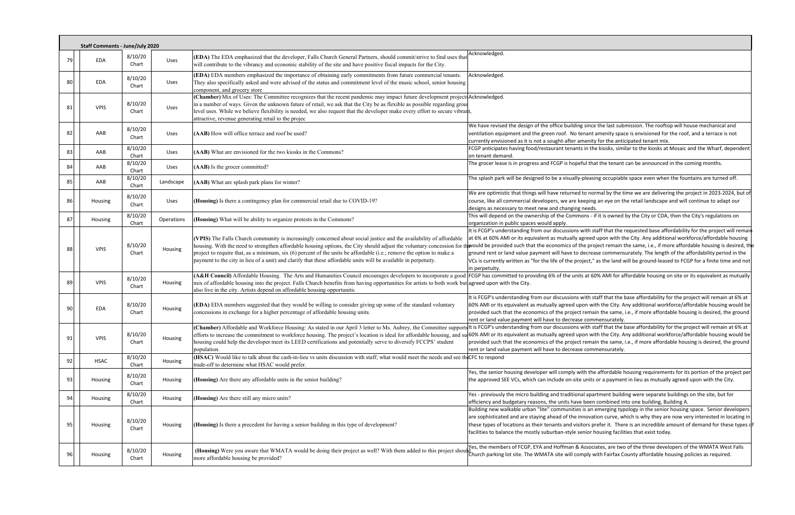|    | <b>Staff Comments - June/July 2020</b> |                  |            |                                                                                                                                                                                                                                                                                                                                                                                                                                                                                          |                                                                                                                                                                                                                                                                                                                                                                                                                                                                                                                                                                                                                                                                 |
|----|----------------------------------------|------------------|------------|------------------------------------------------------------------------------------------------------------------------------------------------------------------------------------------------------------------------------------------------------------------------------------------------------------------------------------------------------------------------------------------------------------------------------------------------------------------------------------------|-----------------------------------------------------------------------------------------------------------------------------------------------------------------------------------------------------------------------------------------------------------------------------------------------------------------------------------------------------------------------------------------------------------------------------------------------------------------------------------------------------------------------------------------------------------------------------------------------------------------------------------------------------------------|
| 79 | EDA                                    | 8/10/20<br>Chart | Uses       | (EDA) The EDA emphasized that the developer, Falls Church General Partners, should commit/strive to find uses that<br>will contribute to the vibrancy and economic stability of the site and have positive fiscal impacts for the City.                                                                                                                                                                                                                                                  | Acknowledged.                                                                                                                                                                                                                                                                                                                                                                                                                                                                                                                                                                                                                                                   |
| 80 | EDA                                    | 8/10/20<br>Chart | Uses       | (EDA) EDA members emphasized the importance of obtaining early commitments from future commercial tenants.<br>They also specifically asked and were advised of the status and commitment level of the music school, senior housing<br>component, and grocery store                                                                                                                                                                                                                       | Acknowledged.                                                                                                                                                                                                                                                                                                                                                                                                                                                                                                                                                                                                                                                   |
| 81 | <b>VPIS</b>                            | 8/10/20<br>Chart | Uses       | (Chamber) Mix of Uses: The Committee recognizes that the recent pandemic may impact future development projects Acknowledged.<br>in a number of ways. Given the unknown future of retail, we ask that the City be as flexible as possible regarding grou<br>level uses. While we believe flexibility is needed, we also request that the developer make every effort to secure vibrant,<br>attractive, revenue generating retail to the projec                                           |                                                                                                                                                                                                                                                                                                                                                                                                                                                                                                                                                                                                                                                                 |
| 82 | AAB                                    | 8/10/20<br>Chart | Uses       | (AAB) How will office terrace and roof be used?                                                                                                                                                                                                                                                                                                                                                                                                                                          | We have revised the design of the office building since the last submission. The rooftop will house mechanical and<br>ventilation equipment and the green roof. No tenant amenity space is envisioned for the roof, and a terrace is not<br>currently envisioned as it is not a sought-after amenity for the anticipated tenant mix.                                                                                                                                                                                                                                                                                                                            |
| 83 | AAB                                    | 8/10/20<br>Chart | Uses       | (AAB) What are envisioned for the two kiosks in the Commons?                                                                                                                                                                                                                                                                                                                                                                                                                             | FCGP anticipates having food/restaurant tenants in the kiosks, similar to the kiosks at Mosaic and the Wharf, dependent<br>on tenant demand.                                                                                                                                                                                                                                                                                                                                                                                                                                                                                                                    |
| 84 | AAB                                    | 8/10/20<br>Chart | Uses       | (AAB) Is the grocer committed?                                                                                                                                                                                                                                                                                                                                                                                                                                                           | The grocer lease is in progress and FCGP is hopeful that the tenant can be announced in the coming months.                                                                                                                                                                                                                                                                                                                                                                                                                                                                                                                                                      |
| 85 | AAB                                    | 8/10/20<br>Chart | Landscape  | (AAB) What are splash park plans for winter?                                                                                                                                                                                                                                                                                                                                                                                                                                             | The splash park will be designed to be a visually-pleasing occupiable space even when the fountains are turned off.                                                                                                                                                                                                                                                                                                                                                                                                                                                                                                                                             |
| 86 | Housing                                | 8/10/20<br>Chart | Uses       | (Housing) Is there a contingency plan for commercial retail due to COVID-19?                                                                                                                                                                                                                                                                                                                                                                                                             | We are optimistic that things will have returned to normal by the time we are delivering the project in 2023-2024, but of<br>course, like all commercial developers, we are keeping an eye on the retail landscape and will continue to adapt our<br>designs as necessary to meet new and changing needs.                                                                                                                                                                                                                                                                                                                                                       |
| 87 | Housing                                | 8/10/20<br>Chart | Operations | (Housing) What will be ability to organize protests in the Commons?                                                                                                                                                                                                                                                                                                                                                                                                                      | This will depend on the ownership of the Commons - if it is owned by the City or CDA, then the City's regulations on<br>organization in public spaces would apply.                                                                                                                                                                                                                                                                                                                                                                                                                                                                                              |
| 88 | <b>VPIS</b>                            | 8/10/20<br>Chart | Housing    | (VPIS) The Falls Church community is increasingly concerned about social justice and the availability of affordable<br>housing. With the need to strengthen affordable housing options, the City should adjust the voluntary concession for t<br>project to require that, as a minimum, six (6) percent of the units be affordable (i.e.; remove the option to make a<br>payment to the city in lieu of a unit) and clarify that these affordable units will be available in perpetuity. | It is FCGP's understanding from our discussions with staff that the requested base affordability for the project will remain<br>at 6% at 60% AMI or its equivalent as mutually agreed upon with the City. Any additional workforce/affordable housing<br>would be provided such that the economics of the project remain the same, i.e., if more affordable housing is desired, th<br>ground rent or land value payment will have to decrease commensurately. The length of the affordability period in the<br>VCs is currently written as "for the life of the project," as the land will be ground-leased to FCGP for a finite time and not<br>in perpetuity. |
| 89 | <b>VPIS</b>                            | 8/10/20<br>Chart | Housing    | mix of affordable housing into the project. Falls Church benefits from having opportunities for artists to both work but agreed upon with the City.<br>also live in the city. Artists depend on affordable housing opportunitie                                                                                                                                                                                                                                                          | (A&H Council) Affordable Housing. The Arts and Humanities Council encourages developers to incorporate a good FCGP has committed to providing 6% of the units at 60% AMI for affordable housing on site or its equivalent as m                                                                                                                                                                                                                                                                                                                                                                                                                                  |
| 90 | EDA                                    | 8/10/20<br>Chart | Housing    | (EDA) EDA members suggested that they would be willing to consider giving up some of the standard voluntary<br>concessions in exchange for a higher percentage of affordable housing units.                                                                                                                                                                                                                                                                                              | It is FCGP's understanding from our discussions with staff that the base affordability for the project will remain at 6% at<br>60% AMI or its equivalent as mutually agreed upon with the City. Any additional workforce/affordable housing would be<br>provided such that the economics of the project remain the same, i.e., if more affordable housing is desired, the ground<br>rent or land value payment will have to decrease commensurately.                                                                                                                                                                                                            |
| 91 | <b>VPIS</b>                            | 8/10/20<br>Chart | Housing    | housing could help the developer meet its LEED certifications and potentially serve to diversify FCCPS' student<br>population.                                                                                                                                                                                                                                                                                                                                                           | (Chamber) Affordable and Workforce Housing: As stated in our April 3 letter to Ms. Aubrey, the Committee supports to is FCGP's understanding from our discussions with staff that the base affordability for the project will<br>efforts to increase the commitment to workforce housing. The project's location is ideal for affordable housing, and sul60% AMI or its equivalent as mutually agreed upon with the City. Any additional workforce/affordable h<br>provided such that the economics of the project remain the same, i.e., if more affordable housing is desired, the ground<br>rent or land value payment will have to decrease commensurately. |
| 92 | <b>HSAC</b>                            | 8/10/20<br>Chart | Housing    | (HSAC) Would like to talk about the cash-in-lieu vs units discussion with staff; what would meet the needs and see the CFC to respond<br>trade-off to determine what HSAC would prefer.                                                                                                                                                                                                                                                                                                  |                                                                                                                                                                                                                                                                                                                                                                                                                                                                                                                                                                                                                                                                 |
| 93 | Housing                                | 8/10/20<br>Chart | Housing    | (Housing) Are there any affordable units in the senior building?                                                                                                                                                                                                                                                                                                                                                                                                                         | Yes, the senior housing developer will comply with the affordable housing requirements for its portion of the project per<br>the approved SEE VCs, which can include on-site units or a payment in lieu as mutually agreed upon with the City.                                                                                                                                                                                                                                                                                                                                                                                                                  |
| 94 | Housing                                | 8/10/20<br>Chart | Housing    | (Housing) Are there still any micro units?                                                                                                                                                                                                                                                                                                                                                                                                                                               | Yes - previously the micro building and traditional apartment building were separate buildings on the site, but for<br>efficiency and budgetary reasons, the units have been combined into one building, Building A.                                                                                                                                                                                                                                                                                                                                                                                                                                            |
| 95 | Housing                                | 8/10/20<br>Chart | Housing    | (Housing) Is there a precedent for having a senior building in this type of development?                                                                                                                                                                                                                                                                                                                                                                                                 | Building new walkable urban "lite" communities is an emerging typology in the senior housing space. Senior developers<br>are sophisticated and are staying ahead of the innovation curve, which is why they are now very interested in locating in<br>these types of locations as their tenants and visitors prefer it. There is an incredible amount of demand for these types o<br>facilities to balance the mostly suburban-style senior housing facilities that exist today.                                                                                                                                                                                |
| ۹۴ | Housing                                | 8/10/20<br>Chart | Housing    | (Housing) Were you aware that WMATA would be doing their project as well? With them added to this project should<br>more affordable housing be provided?                                                                                                                                                                                                                                                                                                                                 | Yes, the members of FCGP, EYA and Hoffman & Associates, are two of the three developers of the WMATA West Falls<br>Church parking lot site. The WMATA site will comply with Fairfax County affordable housing policies as required.                                                                                                                                                                                                                                                                                                                                                                                                                             |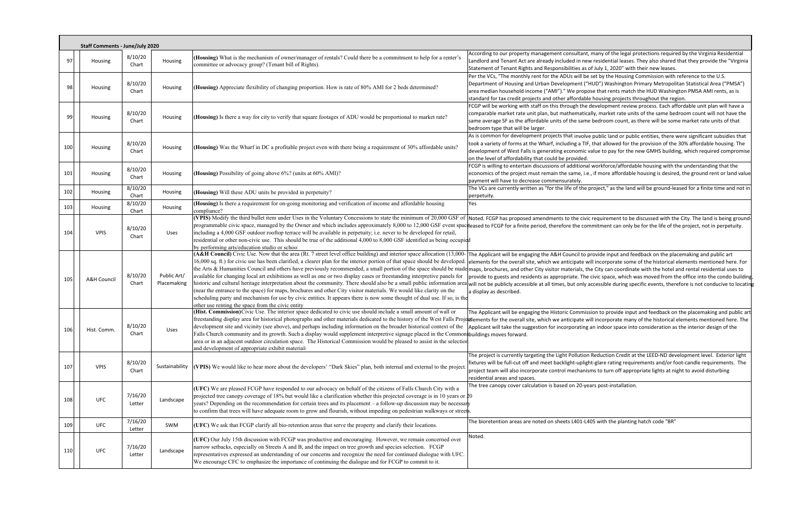|     | <b>Staff Comments - June/July 2020</b> |                           |                            |                                                                                                                                                                                                                                                                                                                                                                                                                                                                                                                                                                      |                                                                                                                                                                                                                                                                                                                                                                                                                                                                                                                                                                                                                                                                                                                                                                                                                                                                                                                                                                                      |
|-----|----------------------------------------|---------------------------|----------------------------|----------------------------------------------------------------------------------------------------------------------------------------------------------------------------------------------------------------------------------------------------------------------------------------------------------------------------------------------------------------------------------------------------------------------------------------------------------------------------------------------------------------------------------------------------------------------|--------------------------------------------------------------------------------------------------------------------------------------------------------------------------------------------------------------------------------------------------------------------------------------------------------------------------------------------------------------------------------------------------------------------------------------------------------------------------------------------------------------------------------------------------------------------------------------------------------------------------------------------------------------------------------------------------------------------------------------------------------------------------------------------------------------------------------------------------------------------------------------------------------------------------------------------------------------------------------------|
| 97  | Housing                                | 8/10/20<br>Chart          | Housing                    | (Housing) What is the mechanism of owner/manager of rentals? Could there be a commitment to help for a renter's<br>committee or advocacy group? (Tenant bill of Rights).                                                                                                                                                                                                                                                                                                                                                                                             | According to our property management consultant, many of the legal protections required by the Virginia Residential<br>Landlord and Tenant Act are already included in new residential leases. They also shared that they provide the "Virginia<br>Statement of Tenant Rights and Responsibilities as of July 1, 2020" with their new leases.                                                                                                                                                                                                                                                                                                                                                                                                                                                                                                                                                                                                                                        |
| 98  | Housing                                | 8/10/20<br>Chart          | Housing                    | (Housing) Appreciate flexibility of changing proportion. How is rate of 80% AMI for 2 beds determined?                                                                                                                                                                                                                                                                                                                                                                                                                                                               | Per the VCs, "The monthly rent for the ADUs will be set by the Housing Commission with reference to the U.S.<br>Department of Housing and Urban Development ("HUD") Washington Primary Metropolitan Statistical Area ("PMSA")<br>area median household income ("AMI")." We propose that rents match the HUD Washington PMSA AMI rents, as is<br>standard for tax credit projects and other affordable housing projects throughout the region.                                                                                                                                                                                                                                                                                                                                                                                                                                                                                                                                        |
| qc  | Housing                                | 8/10/20<br>Chart          | Housing                    | (Housing) Is there a way for city to verify that square footages of ADU would be proportional to market rate?                                                                                                                                                                                                                                                                                                                                                                                                                                                        | FCGP will be working with staff on this through the development review process. Each affordable unit plan will have a<br>comparable market rate unit plan, but mathematically, market rate units of the same bedroom count will not have the<br>same average SF as the affordable units of the same bedroom count, as there will be some market rate units of that<br>bedroom type that will be larger.                                                                                                                                                                                                                                                                                                                                                                                                                                                                                                                                                                              |
| 100 | Housing                                | 8/10/20<br>Chart          | Housing                    | (Housing) Was the Wharf in DC a profitable project even with there being a requirement of 30% affordable units?                                                                                                                                                                                                                                                                                                                                                                                                                                                      | As is common for development projects that involve public land or public entities, there were significant subsidies that<br>took a variety of forms at the Wharf, including a TIF, that allowed for the provision of the 30% affordable housing. The<br>development of West Falls is generating economic value to pay for the new GMHS building, which required compromis<br>on the level of affordability that could be provided.                                                                                                                                                                                                                                                                                                                                                                                                                                                                                                                                                   |
| 101 | Housing                                | 8/10/20<br>Chart          | Housing                    | (Housing) Possibility of going above 6%? (units at 60% AMI)?                                                                                                                                                                                                                                                                                                                                                                                                                                                                                                         | FCGP is willing to entertain discussions of additional workforce/affordable housing with the understanding that the<br>economics of the project must remain the same, i.e., if more affordable housing is desired, the ground rent or land valu<br>payment will have to decrease commensurately.                                                                                                                                                                                                                                                                                                                                                                                                                                                                                                                                                                                                                                                                                     |
| 102 | Housing                                | 8/10/20<br>Chart          | Housing                    | (Housing) Will these ADU units be provided in perpetuity?                                                                                                                                                                                                                                                                                                                                                                                                                                                                                                            | The VCs are currently written as "for the life of the project," as the land will be ground-leased for a finite time and not i<br>perpetuity.                                                                                                                                                                                                                                                                                                                                                                                                                                                                                                                                                                                                                                                                                                                                                                                                                                         |
| 103 | Housing                                | 8/10/20                   | Housing                    | (Housing) Is there a requirement for on-going monitoring and verification of income and affordable housing                                                                                                                                                                                                                                                                                                                                                                                                                                                           | Yes                                                                                                                                                                                                                                                                                                                                                                                                                                                                                                                                                                                                                                                                                                                                                                                                                                                                                                                                                                                  |
| 104 | <b>VPIS</b>                            | Chart<br>8/10/20<br>Chart | Uses                       | compliance?<br>including a 4,000 GSF outdoor rooftop terrace will be available in perpetuity; i.e. never to be developed for retail,<br>residential or other non-civic use. This should be true of the additional 4,000 to 8,000 GSF identified as being occupied<br>by performing arts/education studio or school                                                                                                                                                                                                                                                   | (VPIS) Modify the third bullet item under Uses in the Voluntary Concessions to state the minimum of 20,000 GSF of  Noted. FCGP has proposed amendments to the civic requirement to be discussed with the City. The land is bei<br>programmable civic space, managed by the Owner and which includes approximately 8,000 to 12,000 GSF event spaceleased to FCGP for a finite period, therefore the commitment can only be for the life of the project, not in pe                                                                                                                                                                                                                                                                                                                                                                                                                                                                                                                     |
| 105 | <b>A&amp;H Council</b>                 | 8/10/20<br>Chart          | Public Art/<br>Placemaking | 16,000 sq. ft.) for civic use has been clarified, a clearer plan for the interior portion of that space should be developed.<br>available for changing local art exhibitions as well as one or two display cases or freestanding interpretive panels for<br>(near the entrance to the space) for maps, brochures and other City visitor materials. We would like clarity on the<br>scheduling party and mechanism for use by civic entities. It appears there is now some thought of dual use. If so, is the<br>other use renting the space from the civic entity    | (A&H Council) Civic Use. Now that the area (Rt. 7 street level office building) and interior space allocation (13,000- The Applicant will be engaging the A&H Council to provide input and feedback on the placemaking and pub<br>lelements for the overall site, which we anticipate will incorporate some of the historical elements mentioned here. For<br>the Arts & Humanities Council and others have previously recommended, a small portion of the space should be made maps, brochures, and other City visitor materials, the City can coordinate with the hotel and rental residen<br>provide to guests and residents as appropriate. The civic space, which was moved from the office into the condo buildii<br>historic and cultural heritage interpretation about the community. There should also be a small public information area will not be publicly accessible at all times, but only accessible during specific events, therefore is<br>a display as described. |
| 106 | Hist. Comm.                            | 8/10/20<br>Chart          | Uses                       | (Hist. Commission)Civic Use. The interior space dedicated to civic use should include a small amount of wall or<br>development site and vicinity (see above), and perhaps including information on the broader historical context of the<br>Falls Church community and its growth. Such a display would supplement interpretive signage placed in the Common buildings moves forward.<br>area or in an adjacent outdoor circulation space. The Historical Commission would be pleased to assist in the selection<br>and development of appropriate exhibit material: | The Applicant will be engaging the Historic Commission to provide input and feedback on the placemaking and public a<br>freestanding display area for historical photographs and other materials dedicated to the history of the West Falls Projectlements for the overall site, which we anticipate will incorporate many of the historical elements<br>Applicant will take the suggestion for incorporating an indoor space into consideration as the interior design of the                                                                                                                                                                                                                                                                                                                                                                                                                                                                                                       |
| 107 | <b>VPIS</b>                            | 8/10/20<br>Chart          | Sustainability             | (VPIS) We would like to hear more about the developers' "Dark Skies" plan, both internal and external to the project                                                                                                                                                                                                                                                                                                                                                                                                                                                 | The project is currently targeting the Light Pollution Reduction Credit at the LEED-ND development level. Exterior light<br>fixtures will be full-cut off and meet backlight-uplight-glare rating requirements and/or foot-candle requirements. The<br>project team will also incorporate control mechanisms to turn off appropriate lights at night to avoid disturbing<br>residential areas and spaces.                                                                                                                                                                                                                                                                                                                                                                                                                                                                                                                                                                            |
| 108 | <b>UFC</b>                             | 7/16/20<br>Letter         | Landscape                  | (UFC) We are pleased FCGP have responded to our advocacy on behalf of the citizens of Falls Church City with a<br>projected tree canopy coverage of 18% but would like a clarification whether this projected coverage is in 10 years or $\text{\textsterling}0$<br>years? Depending on the recommendation for certain trees and its placement - a follow-up discussion may be necessary<br>to confirm that trees will have adequate room to grow and flourish, without impeding on pedestrian walkways or streets.                                                  | The tree canopy cover calculation is based on 20-years post-installation.                                                                                                                                                                                                                                                                                                                                                                                                                                                                                                                                                                                                                                                                                                                                                                                                                                                                                                            |
| 109 | <b>UFC</b>                             | 7/16/20<br>Letter         | SWM                        | (UFC) We ask that FCGP clarify all bio-retention areas that serve the property and clarify their locations.                                                                                                                                                                                                                                                                                                                                                                                                                                                          | The bioretention areas are noted on sheets L401-L405 with the planting hatch code "BR"                                                                                                                                                                                                                                                                                                                                                                                                                                                                                                                                                                                                                                                                                                                                                                                                                                                                                               |
| 110 | <b>UFC</b>                             | 7/16/20<br>Letter         | Landscape                  | (UFC) Our July 15th discussion with FCGP was productive and encouraging. However, we remain concerned over<br>narrow setbacks, especially on Streets A and B, and the impact on tree growth and species selection. FCGP<br>representatives expressed an understanding of our concerns and recognize the need for continued dialogue with UFC.<br>We encourage CFC to emphasize the importance of continuing the dialogue and for FCGP to commit to it.                                                                                                               | Noted.                                                                                                                                                                                                                                                                                                                                                                                                                                                                                                                                                                                                                                                                                                                                                                                                                                                                                                                                                                               |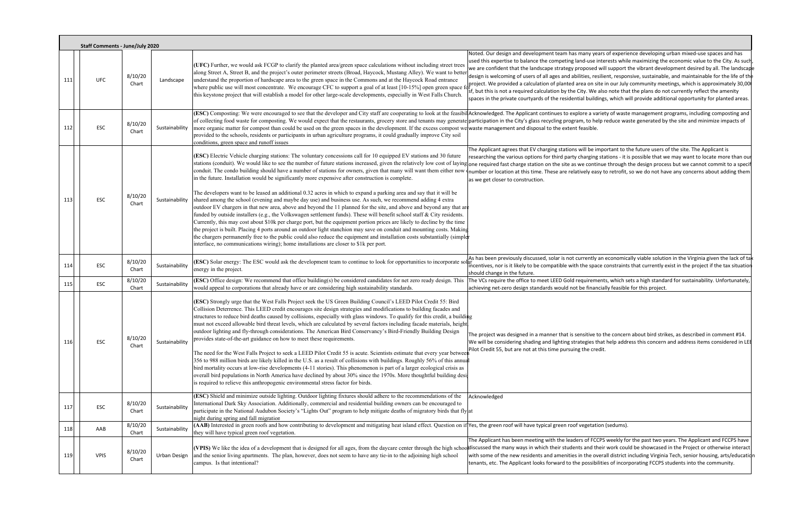|     | <b>Staff Comments - June/July 2020</b> |                  |                |                                                                                                                                                                                                                                                                                                                                                                                                                                                                                                                                                                                                                                                                                                                                                                                                                                                                                                                                                                                                                                                                                                                                                                                                                                                                                                                       |                                                                                                                                                                                                                                                                                                                                                                                                                                                                                                                                                                                                                                                                                                                                                                                                                                                                                                 |  |  |  |
|-----|----------------------------------------|------------------|----------------|-----------------------------------------------------------------------------------------------------------------------------------------------------------------------------------------------------------------------------------------------------------------------------------------------------------------------------------------------------------------------------------------------------------------------------------------------------------------------------------------------------------------------------------------------------------------------------------------------------------------------------------------------------------------------------------------------------------------------------------------------------------------------------------------------------------------------------------------------------------------------------------------------------------------------------------------------------------------------------------------------------------------------------------------------------------------------------------------------------------------------------------------------------------------------------------------------------------------------------------------------------------------------------------------------------------------------|-------------------------------------------------------------------------------------------------------------------------------------------------------------------------------------------------------------------------------------------------------------------------------------------------------------------------------------------------------------------------------------------------------------------------------------------------------------------------------------------------------------------------------------------------------------------------------------------------------------------------------------------------------------------------------------------------------------------------------------------------------------------------------------------------------------------------------------------------------------------------------------------------|--|--|--|
| 111 | <b>UFC</b>                             | 8/10/20<br>Chart | Landscape      | (UFC) Further, we would ask FCGP to clarify the planted area/green space calculations without including street trees<br>along Street A, Street B, and the project's outer perimeter streets (Broad, Haycock, Mustang Alley). We want to better<br>understand the proportion of hardscape area to the green space in the Commons and at the Haycock Road entrance<br>where public use will most concentrate. We encourage CFC to support a goal of at least [10-15%] open green space f<br>this keystone project that will establish a model for other large-scale developments, especially in West Falls Church.                                                                                                                                                                                                                                                                                                                                                                                                                                                                                                                                                                                                                                                                                                      | Noted. Our design and development team has many years of experience developing urban mixed-use spaces and has<br>used this expertise to balance the competing land-use interests while maximizing the economic value to the City. As such<br>we are confident that the landscape strategy proposed will support the vibrant development desired by all. The landscap<br>design is welcoming of users of all ages and abilities, resilient, responsive, sustainable, and maintainable for the life of the<br>project. We provided a calculation of planted area on site in our July community meetings, which is approximately 30,000<br>if, but this is not a required calculation by the City. We also note that the plans do not currently reflect the amenity<br>spaces in the private courtyards of the residential buildings, which will provide additional opportunity for planted areas. |  |  |  |
| 112 | ESC                                    | 8/10/20<br>Chart | Sustainability | more organic matter for compost than could be used on the green spaces in the development. If the excess compost we waste management and disposal to the extent feasible.<br>provided to the schools, residents or participants in urban agriculture programs, it could gradually improve City soil<br>conditions, green space and runoff issues                                                                                                                                                                                                                                                                                                                                                                                                                                                                                                                                                                                                                                                                                                                                                                                                                                                                                                                                                                      | (ESC) Composting: We were encouraged to see that the developer and City staff are cooperating to look at the feasibil Acknowledged. The Applicant continues to explore a variety of waste management programs, including compo<br>of collecting food waste for composting. We would expect that the restaurants, grocery store and tenants may generate participation in the City's glass recycling program, to help reduce waste generated by the site and mini                                                                                                                                                                                                                                                                                                                                                                                                                                |  |  |  |
| 113 | ESC                                    | 8/10/20<br>Chart | Sustainability | (ESC) Electric Vehicle charging stations: The voluntary concessions call for 10 equipped EV stations and 30 future<br>conduit. The condo building should have a number of stations for owners, given that many will want them either now of<br>in the future. Installation would be significantly more expensive after construction is complete.<br>The developers want to be leased an additional 0.32 acres in which to expand a parking area and say that it will be<br>shared among the school (evening and maybe day use) and business use. As such, we recommend adding 4 extra<br>outdoor EV chargers in that new area, above and beyond the 11 planned for the site, and above and beyond any that are<br>funded by outside installers (e.g., the Volkswagen settlement funds). These will benefit school staff & City residents.<br>Currently, this may cost about \$10k per charge port, but the equipment portion prices are likely to decline by the time<br>the project is built. Placing 4 ports around an outdoor light stanchion may save on conduit and mounting costs. Making<br>the chargers permanently free to the public could also reduce the equipment and installation costs substantially (simpler<br>interface, no communications wiring); home installations are closer to \$1k per port. | The Applicant agrees that EV charging stations will be important to the future users of the site. The Applicant is<br>researching the various options for third party charging stations - it is possible that we may want to locate more than our<br>stations (conduit). We would like to see the number of future stations increased, given the relatively low cost of laying one required fast charge station on the site as we continue through the design process but we cannot<br>number or location at this time. These are relatively easy to retrofit, so we do not have any concerns about adding them<br>as we get closer to construction.                                                                                                                                                                                                                                            |  |  |  |
| 114 | ESC                                    | 8/10/20<br>Chart | Sustainability | (ESC) Solar energy: The ESC would ask the development team to continue to look for opportunities to incorporate sola<br>energy in the project.                                                                                                                                                                                                                                                                                                                                                                                                                                                                                                                                                                                                                                                                                                                                                                                                                                                                                                                                                                                                                                                                                                                                                                        | As has been previously discussed, solar is not currently an economically viable solution in the Virginia given the lack of tar<br>incentives, nor is it likely to be compatible with the space constraints that currently exist in the project if the tax situation<br>should change in the future.                                                                                                                                                                                                                                                                                                                                                                                                                                                                                                                                                                                             |  |  |  |
| 115 | ESC                                    | 8/10/20<br>Chart | Sustainability | (ESC) Office design: We recommend that office building(s) be considered candidates for net zero ready design. This<br>would appeal to corporations that already have or are considering high sustainability standards.                                                                                                                                                                                                                                                                                                                                                                                                                                                                                                                                                                                                                                                                                                                                                                                                                                                                                                                                                                                                                                                                                                | The VCs require the office to meet LEED Gold requirements, which sets a high standard for sustainability. Unfortunately,<br>achieving net-zero design standards would not be financially feasible for this project.                                                                                                                                                                                                                                                                                                                                                                                                                                                                                                                                                                                                                                                                             |  |  |  |
| 116 | ESC                                    | 8/10/20<br>Chart | Sustainability | (ESC) Strongly urge that the West Falls Project seek the US Green Building Council's LEED Pilot Credit 55: Bird<br>Collision Deterrence. This LEED credit encourages site design strategies and modifications to building facades and<br>structures to reduce bird deaths caused by collisions, especially with glass windows. To qualify for this credit, a building<br>must not exceed allowable bird threat levels, which are calculated by several factors including facade materials, height<br>outdoor lighting and fly-through considerations. The American Bird Conservancy's Bird-Friendly Building Design<br>provides state-of-the-art guidance on how to meet these requirements.<br>The need for the West Falls Project to seek a LEED Pilot Credit 55 is acute. Scientists estimate that every year between<br>356 to 988 million birds are likely killed in the U.S. as a result of collisions with buildings. Roughly 56% of this annua<br>bird mortality occurs at low-rise developments (4-11 stories). This phenomenon is part of a larger ecological crisis as<br>overall bird populations in North America have declined by about 30% since the 1970s. More thoughtful building desi<br>is required to relieve this anthropogenic environmental stress factor for birds.                          | The project was designed in a manner that is sensitive to the concern about bird strikes, as described in comment #14.<br>We will be considering shading and lighting strategies that help address this concern and address items considered in LEE<br>Pilot Credit 55, but are not at this time pursuing the credit.                                                                                                                                                                                                                                                                                                                                                                                                                                                                                                                                                                           |  |  |  |
| 117 | ESC                                    | 8/10/20<br>Chart | Sustainability | (ESC) Shield and minimize outside lighting. Outdoor lighting fixtures should adhere to the recommendations of the<br>International Dark Sky Association. Additionally, commercial and residential building owners can be encouraged to<br>participate in the National Audubon Society's "Lights Out" program to help mitigate deaths of migratory birds that fly at<br>night during spring and fall migration                                                                                                                                                                                                                                                                                                                                                                                                                                                                                                                                                                                                                                                                                                                                                                                                                                                                                                         | Acknowledged                                                                                                                                                                                                                                                                                                                                                                                                                                                                                                                                                                                                                                                                                                                                                                                                                                                                                    |  |  |  |
| 118 | AAB                                    | 8/10/20<br>Chart | Sustainability | (AAB) Interested in green roofs and how contributing to development and mitigating heat island effect. Question on if  Yes, the green roof will have typical green roof vegetation (sedums).<br>they will have typical green roof vegetation.                                                                                                                                                                                                                                                                                                                                                                                                                                                                                                                                                                                                                                                                                                                                                                                                                                                                                                                                                                                                                                                                         |                                                                                                                                                                                                                                                                                                                                                                                                                                                                                                                                                                                                                                                                                                                                                                                                                                                                                                 |  |  |  |
| 119 | <b>VPIS</b>                            | 8/10/20<br>Chart | Urban Design   | and the senior living apartments. The plan, however, does not seem to have any tie-in to the adjoining high school<br>campus. Is that intentional?                                                                                                                                                                                                                                                                                                                                                                                                                                                                                                                                                                                                                                                                                                                                                                                                                                                                                                                                                                                                                                                                                                                                                                    | The Applicant has been meeting with the leaders of FCCPS weekly for the past two years. The Applicant and FCCPS have<br>(VPIS) We like the idea of a development that is designed for all ages, from the daycare center through the high schooldiscussed the many ways in which their students and their work could be showcased in the Project or oth<br>with some of the new residents and amenities in the overall district including Virginia Tech, senior housing, arts/educatid<br>tenants, etc. The Applicant looks forward to the possibilities of incorporating FCCPS students into the community.                                                                                                                                                                                                                                                                                     |  |  |  |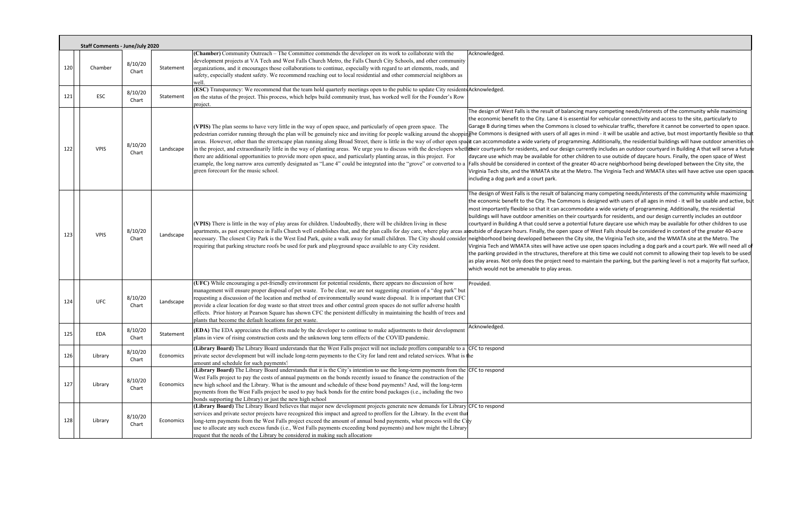|     | <b>Staff Comments - June/July 2020</b> |                  |           |                                                                                                                                                                                                                                                                                                                                                                                                                                                                                                                                                                                                                                                                                                                                                                                                                                                                                                                                                                                             |                                                                                                                                                                                                                                                                                                                                                                                                                                                                                    |
|-----|----------------------------------------|------------------|-----------|---------------------------------------------------------------------------------------------------------------------------------------------------------------------------------------------------------------------------------------------------------------------------------------------------------------------------------------------------------------------------------------------------------------------------------------------------------------------------------------------------------------------------------------------------------------------------------------------------------------------------------------------------------------------------------------------------------------------------------------------------------------------------------------------------------------------------------------------------------------------------------------------------------------------------------------------------------------------------------------------|------------------------------------------------------------------------------------------------------------------------------------------------------------------------------------------------------------------------------------------------------------------------------------------------------------------------------------------------------------------------------------------------------------------------------------------------------------------------------------|
| 120 | Chamber                                | 8/10/20<br>Chart | Statement | (Chamber) Community Outreach - The Committee commends the developer on its work to collaborate with the<br>development projects at VA Tech and West Falls Church Metro, the Falls Church City Schools, and other community<br>organizations, and it encourages those collaborations to continue, especially with regard to art elements, roads, and<br>safety, especially student safety. We recommend reaching out to local residential and other commercial neighbors as<br>well.                                                                                                                                                                                                                                                                                                                                                                                                                                                                                                         | Acknowledged.                                                                                                                                                                                                                                                                                                                                                                                                                                                                      |
| 121 | <b>ESC</b>                             | 8/10/20<br>Chart | Statement | (ESC) Transparency: We recommend that the team hold quarterly meetings open to the public to update City residents Acknowledged.<br>on the status of the project. This process, which helps build community trust, has worked well for the Founder's Row<br>project.                                                                                                                                                                                                                                                                                                                                                                                                                                                                                                                                                                                                                                                                                                                        |                                                                                                                                                                                                                                                                                                                                                                                                                                                                                    |
| 122 | <b>VPIS</b>                            | 8/10/20<br>Chart | Landscape | (VPIS) The plan seems to have very little in the way of open space, and particularly of open green space. The<br>pedestrian corridor running through the plan will be genuinely nice and inviting for people walking around the shoppinghe Commons is designed with users of all ages in<br>areas. However, other than the streetscape plan running along Broad Street, there is little in the way of other open spatt can accommodate a wide variety of programmi<br>in the project, and extraordinarily little in the way of planting areas. We urge you to discuss with the developers whether courtyards for residents, and our design cur<br>there are additional opportunities to provide more open space, and particularly planting areas, in this project. For<br>example, the long narrow area currently designated as "Lane 4" could be integrated into the "grove" or converted to a Falls should be considered in context of the great<br>green forecourt for the music school. | The design of West Falls is the result of balancing<br>the economic benefit to the City. Lane 4 is essent<br>Garage B during times when the Commons is clos<br>daycare use which may be available for other chi<br>Virginia Tech site, and the WMATA site at the Me<br>including a dog park and a court park.                                                                                                                                                                      |
| 123 | <b>VPIS</b>                            | 8/10/20<br>Chart | Landscape | (VPIS) There is little in the way of play areas for children. Undoubtedly, there will be children living in these<br>apartments, as past experience in Falls Church well establishes that, and the plan calls for day care, where play areas aroutside of daycare hours. Finally, the open space<br>necessary. The closest City Park is the West End Park, quite a walk away for small children. The City should consider neighborhood being developed between the City<br>requiring that parking structure roofs be used for park and playground space available to any City resident.                                                                                                                                                                                                                                                                                                                                                                                                     | The design of West Falls is the result of balancing<br>the economic benefit to the City. The Commons i<br>most importantly flexible so that it can accommo<br>buildings will have outdoor amenities on their co<br>courtyard in Building A that could serve a potenti<br>Virginia Tech and WMATA sites will have active u<br>the parking provided in the structures, therefore<br>as play areas. Not only does the project need to r<br>which would not be amenable to play areas. |
| 124 | <b>UFC</b>                             | 8/10/20<br>Chart | Landscape | (UFC) While encouraging a pet-friendly environment for potential residents, there appears no discussion of how<br>management will ensure proper disposal of pet waste. To be clear, we are not suggesting creation of a "dog park" but<br>requesting a discussion of the location and method of environmentally sound waste disposal. It is important that CFC<br>provide a clear location for dog waste so that street trees and other central green spaces do not suffer adverse health<br>effects. Prior history at Pearson Square has shown CFC the persistent difficulty in maintaining the health of trees and<br>plants that become the default locations for pet waste.                                                                                                                                                                                                                                                                                                             | Provided.                                                                                                                                                                                                                                                                                                                                                                                                                                                                          |
| 125 | EDA                                    | 8/10/20<br>Chart | Statement | (EDA) The EDA appreciates the efforts made by the developer to continue to make adjustments to their development<br>plans in view of rising construction costs and the unknown long term effects of the COVID pandemic.                                                                                                                                                                                                                                                                                                                                                                                                                                                                                                                                                                                                                                                                                                                                                                     | Acknowledged.                                                                                                                                                                                                                                                                                                                                                                                                                                                                      |
| 126 | Library                                | 8/10/20<br>Chart | Economics | (Library Board) The Library Board understands that the West Falls project will not include proffers comparable to a CFC to respond<br>private sector development but will include long-term payments to the City for land rent and related services. What is the<br>amount and schedule for such payments?                                                                                                                                                                                                                                                                                                                                                                                                                                                                                                                                                                                                                                                                                  |                                                                                                                                                                                                                                                                                                                                                                                                                                                                                    |
| 127 | Library                                | 8/10/20<br>Chart | Economics | (Library Board) The Library Board understands that it is the City's intention to use the long-term payments from the<br>West Falls project to pay the costs of annual payments on the bonds recently issued to finance the construction of the<br>new high school and the Library. What is the amount and schedule of these bond payments? And, will the long-term<br>payments from the West Falls project be used to pay back bonds for the entire bond packages (i.e., including the two<br>bonds supporting the Library) or just the new high school                                                                                                                                                                                                                                                                                                                                                                                                                                     | CFC to respond                                                                                                                                                                                                                                                                                                                                                                                                                                                                     |
| 128 | Library                                | 8/10/20<br>Chart | Economics | (Library Board) The Library Board believes that major new development projects generate new demands for Library CFC to respond<br>services and private sector projects have recognized this impact and agreed to proffers for the Library. In the event that<br>long-term payments from the West Falls project exceed the amount of annual bond payments, what process will the City<br>use to allocate any such excess funds (i.e., West Falls payments exceeding bond payments) and how might the Library<br>request that the needs of the Library be considered in making such allocations                                                                                                                                                                                                                                                                                                                                                                                               |                                                                                                                                                                                                                                                                                                                                                                                                                                                                                    |

gest many competing needs/interests of the community while maximizing tial for vehicular connectivity and access to the site, particularly to sed to vehicular traffic, therefore it cannot be converted to open space. in mind – it will be usable and active, but most importantly flexible so that ing. Additionally, the residential buildings will have outdoor amenities on rrently includes an outdoor courtyard in Building A that will serve a future ildren to use outside of daycare hours. Finally, the open space of West ter 40-acre neighborhood being developed between the City site, the etro. The Virginia Tech and WMATA sites will have active use open spaces

gest many competing needs/interests of the community while maximizing is designed with users of all ages in mind - it will be usable and active, but odate a wide variety of programming. Additionally, the residential burtyards for residents, and our design currently includes an outdoor ial future daycare use which may be available for other children to use of West Falls should be considered in context of the greater 40-acre site, the Virginia Tech site, and the WMATA site at the Metro. The use open spaces including a dog park and a court park. We will need all of at this time we could not commit to allowing their top levels to be used maintain the parking, but the parking level is not a majority flat surface,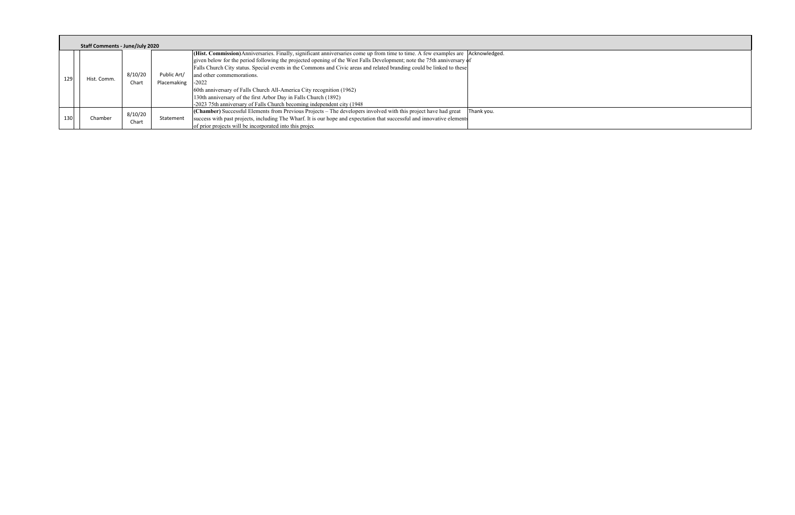|     | Staff Comments - June/July 2020 |             |         |             |                                                                                                                                                                                                                                                              |  |  |  |
|-----|---------------------------------|-------------|---------|-------------|--------------------------------------------------------------------------------------------------------------------------------------------------------------------------------------------------------------------------------------------------------------|--|--|--|
|     |                                 |             |         |             | (Hist. Commission) Anniversaries. Finally, significant anniversaries come up from time to time. A few examples are   Acknowledged.<br>given below for the period following the projected opening of the West Falls Development; note the 75th anniversary of |  |  |  |
| 129 |                                 |             |         |             | Falls Church City status. Special events in the Commons and Civic areas and related branding could be linked to these                                                                                                                                        |  |  |  |
|     |                                 | Hist. Comm. | 8/10/20 | Public Art/ | and other commemorations.                                                                                                                                                                                                                                    |  |  |  |
|     |                                 |             | Chart   | Placemaking | $-2022$                                                                                                                                                                                                                                                      |  |  |  |
|     |                                 |             |         |             | 60th anniversary of Falls Church All-America City recognition (1962)                                                                                                                                                                                         |  |  |  |
|     |                                 |             |         |             | 130th anniversary of the first Arbor Day in Falls Church (1892)                                                                                                                                                                                              |  |  |  |
|     |                                 |             |         |             | -2023 75th anniversary of Falls Church becoming independent city (1948)                                                                                                                                                                                      |  |  |  |
|     |                                 |             | 8/10/20 |             | (Chamber) Successful Elements from Previous Projects – The developers involved with this project have had great<br>Thank you.                                                                                                                                |  |  |  |
| 130 |                                 | Chamber     | Chart   | Statement   | success with past projects, including The Wharf. It is our hope and expectation that successful and innovative elements                                                                                                                                      |  |  |  |
|     |                                 |             |         |             | of prior projects will be incorporated into this project-                                                                                                                                                                                                    |  |  |  |

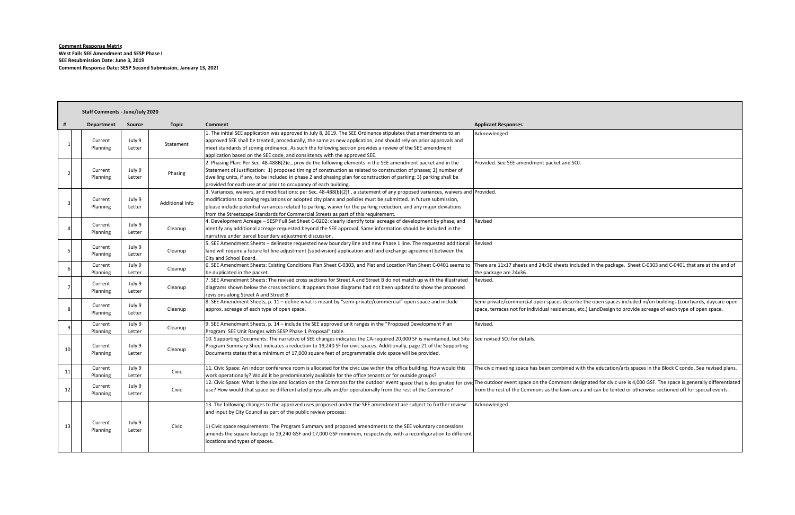**Comment Response Matrix West Falls SEE Amendment and SESP Phase I SEE Resubmission Date: June 3, 2019 Comment Response Date: SESP Second Submission, January 13, 2021**

|    | <b>Staff Comments - June/July 2020</b> |                  |                 |                                                                                                                                                                                                                                                                                                                                                                                                                                                               |                                                                                                   |  |
|----|----------------------------------------|------------------|-----------------|---------------------------------------------------------------------------------------------------------------------------------------------------------------------------------------------------------------------------------------------------------------------------------------------------------------------------------------------------------------------------------------------------------------------------------------------------------------|---------------------------------------------------------------------------------------------------|--|
| Ħ  | <b>Department</b>                      | <b>Source</b>    | <b>Topic</b>    | Comment                                                                                                                                                                                                                                                                                                                                                                                                                                                       | <b>Applicant Responses</b>                                                                        |  |
|    | Current<br>Planning                    | July 9<br>Letter | Statement       | 1. The initial SEE application was approved in July 8, 2019. The SEE Ordinance stipulates that amendments to an<br>approved SEE shall be treated, procedurally, the same as new application, and should rely on prior approvals and<br>meet standards of zoning ordinance. As such the following section provides a review of the SEE amendment<br>application based on the SEE code, and consistency with the approved SEE.                                  | Acknowledged                                                                                      |  |
|    | Current<br>Planning                    | July 9<br>Letter | Phasing         | 2. Phasing Plan: Per Sec. 48-488B(2)e., provide the following elements in the SEE amendment packet and in the<br>Statement of Justification: 1) proposed timing of construction as related to construction of phases; 2) number of<br>dwelling units, if any, to be included in phase 2 and phasing plan for construction of parking; 3) parking shall be<br>provided for each use at or prior to occupancy of each building.                                 | Provided. See SEE amendment packet and SOJ.                                                       |  |
|    | Current<br>Planning                    | July 9<br>Letter | Additional Info | 3. Variances, waivers, and modifications: per Sec. 48-488(b)(2)f., a statement of any proposed variances, waivers and Provided.<br>modifications to zoning regulations or adopted city plans and policies must be submitted. In future submission,<br>please include potential variances related to parking, waiver for the parking reduction, and any major deviations<br>from the Streetscape Standards for Commercial Streets as part of this requirement. |                                                                                                   |  |
|    | Current<br>Planning                    | July 9<br>Letter | Cleanup         | 4. Development Acreage - SESP Full Set Sheet C-0202: clearly identify total acreage of development by phase, and<br>identify any additional acreage requested beyond the SEE approval. Same information should be included in the<br>narrative under parcel boundary adjustment discussion.                                                                                                                                                                   | Revised                                                                                           |  |
|    | Current<br>Planning                    | July 9<br>Letter | Cleanup         | 5. SEE Amendment Sheets - delineate requested new boundary line and new Phase 1 line. The requested additional<br>land will require a future lot line adjustment (subdivision) application and land exchange agreement between the<br>City and School Board.                                                                                                                                                                                                  | Revised                                                                                           |  |
| 6  | Current<br>Planning                    | July 9<br>Letter | Cleanup         | 6. SEE Amendment Sheets: Existing Conditions Plan Sheet C-0303, and Plat and Location Plan Sheet C-0401 seems to There are 11x17 sheets and 24x36 sheets inclu<br>be duplicated in the packet.                                                                                                                                                                                                                                                                | the package are 24x36.                                                                            |  |
|    | Current<br>Planning                    | July 9<br>Letter | Cleanup         | 7. SEE Amendment Sheets: The revised cross sections for Street A and Street B do not match up with the illustrated<br>diagrams shown below the cross sections. It appears those diagrams had not been updated to show the proposed<br>revisions along Street A and Street B.                                                                                                                                                                                  | Revised.                                                                                          |  |
|    | Current<br>Planning                    | July 9<br>Letter | Cleanup         | 8. SEE Amendment Sheets, p. 11 - define what is meant by "semi-private/commercial" open space and include<br>approx. acreage of each type of open space.                                                                                                                                                                                                                                                                                                      | Semi-private/commercial open spaces describe<br>space, terraces not for individual residences, et |  |
|    | Current<br>Planning                    | July 9<br>Letter | Cleanup         | 9. SEE Amendment Sheets, p. 14 - include the SEE approved unit ranges in the "Proposed Development Plan<br>Program: SEE Unit Ranges with SESP Phase 1 Proposal" table.                                                                                                                                                                                                                                                                                        | Revised.                                                                                          |  |
| 10 | Current<br>Planning                    | July 9<br>Letter | Cleanup         | 10. Supporting Documents: The narrative of SEE changes indicates the CA-required 20,000 SF is maintained, but Site<br>Program Summary Sheet indicates a reduction to 19,240 SF for civic spaces. Additionally, page 21 of the Supporting<br>Documents states that a minimum of 17,000 square feet of programmable civic space will be provided.                                                                                                               | See revised SOJ for details.                                                                      |  |
| 11 | Current<br>Planning                    | July 9<br>Letter | Civic           | 11. Civic Space: An indoor conference room is allocated for the civic use within the office building. How would this<br>work operationally? Would it be predominately available for the office tenants or for outside groups?                                                                                                                                                                                                                                 | The civic meeting space has been combined wi                                                      |  |
| 12 | Current<br>Planning                    | July 9<br>Letter | Civic           | 12. Civic Space: What is the size and location on the Commons for the outdoor event space that is designated for civid The outdoor event space on the Commons des<br>use? How would that space be differentiated physically and/or operationally from the rest of the Commons?                                                                                                                                                                                | from the rest of the Commons as the lawn area                                                     |  |
| 13 | Current<br>Planning                    | July 9<br>Letter | Civic           | 13. The following changes to the approved uses proposed under the SEE amendment are subject to further review<br>and input by City Council as part of the public review process:<br>1) Civic space requirements: The Program Summary and proposed amendments to the SEE voluntary concessions<br>amends the square footage to 19,240 GSF and 17,000 GSF minimum, respectively, with a reconfiguration to different<br>locations and types of spaces.          | Acknowledged                                                                                      |  |

uded in the package. Sheet C-0303 and C-0401 that are at the end of

e the open spaces included in/on buildings (courtyards, daycare open etc.) LandDesign to provide acreage of each type of open space.

vith the education/arts spaces in the Block C condo. See revised plans.

signated for civic use is 4,000 GSF. The space is generally differentiated a and can be tented or otherwise sectioned off for special events.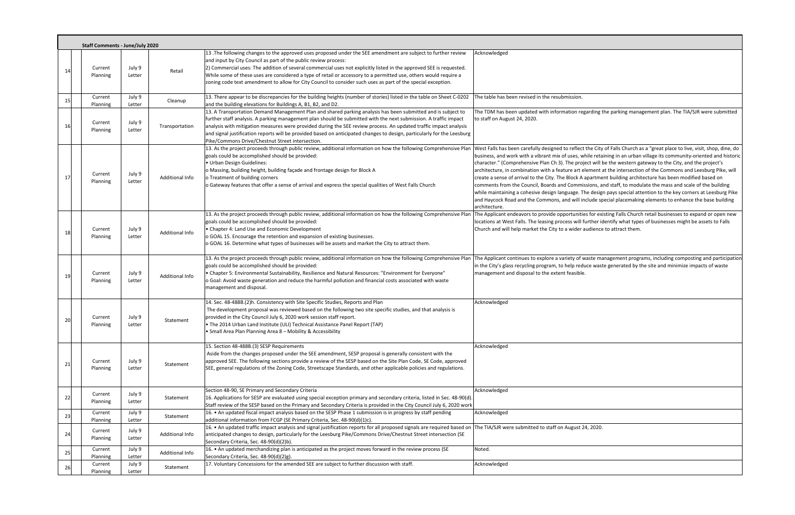|    | <b>Staff Comments - June/July 2020</b> |                  |                 |                                                                                                                                                                                                                                                                                                                                                                                                                                                                                                                                             |                                                                                                                                                                                                                                                                                                                                                                                           |
|----|----------------------------------------|------------------|-----------------|---------------------------------------------------------------------------------------------------------------------------------------------------------------------------------------------------------------------------------------------------------------------------------------------------------------------------------------------------------------------------------------------------------------------------------------------------------------------------------------------------------------------------------------------|-------------------------------------------------------------------------------------------------------------------------------------------------------------------------------------------------------------------------------------------------------------------------------------------------------------------------------------------------------------------------------------------|
| 14 | Current<br>Planning                    | July 9<br>Letter | Retail          | 13 .The following changes to the approved uses proposed under the SEE amendment are subject to further review<br>and input by City Council as part of the public review process:<br>2) Commercial uses: The addition of several commercial uses not explicitly listed in the approved SEE is requested.<br>While some of these uses are considered a type of retail or accessory to a permitted use, others would require a<br>zoning code text amendment to allow for City Council to consider such uses as part of the special exception. | Acknowledged                                                                                                                                                                                                                                                                                                                                                                              |
| 15 | Current<br>Planning                    | July 9<br>Letter | Cleanup         | 13. There appear to be discrepancies for the building heights (number of stories) listed in the table on Sheet C-0202<br>and the building elevations for Buildings A, B1, B2, and D2.                                                                                                                                                                                                                                                                                                                                                       | The table has been revised in the resubmission.                                                                                                                                                                                                                                                                                                                                           |
| 16 | Current<br>Planning                    | July 9<br>Letter | Transportation  | 13. A Transportation Demand Management Plan and shared parking analysis has been submitted and is subject to<br>further staff analysis. A parking management plan should be submitted with the next submission. A traffic impact<br>analysis with mitigation measures were provided during the SEE review process. An updated traffic impact analysis<br>and signal justification reports will be provided based on anticipated changes to design, particularly for the Leesburg<br>Pike/Commons Drive/Chestnut Street intersection.        | The TDM has been updated with information reg<br>to staff on August 24, 2020.                                                                                                                                                                                                                                                                                                             |
| 17 | Current<br>Planning                    | July 9<br>Letter | Additional Info | 13. As the project proceeds through public review, additional information on how the following Comprehensive Plan West Falls has been carefully designed to reflect<br>goals could be accomplished should be provided:<br>· Urban Design Guidelines:<br>o Massing, building height, building façade and frontage design for Block A<br>o Treatment of building corners<br>o Gateway features that offer a sense of arrival and express the special qualities of West Falls Church                                                           | business, and work with a vibrant mix of uses, wl<br>character." (Comprehensive Plan Ch 3). The proje<br>architecture, in combination with a feature art el<br>create a sense of arrival to the City. The Block A a<br>comments from the Council, Boards and Commis<br>while maintaining a cohesive design language. Th<br>and Haycock Road and the Commons, and will in<br>architecture. |
| 18 | Current<br>Planning                    | July 9<br>Letter | Additional Info | 13. As the project proceeds through public review, additional information on how the following Comprehensive Plan<br>goals could be accomplished should be provided:<br>• Chapter 4: Land Use and Economic Development<br>o GOAL 15. Encourage the retention and expansion of existing businesses.<br>o GOAL 16. Determine what types of businesses will be assets and market the City to attract them.                                                                                                                                     | The Applicant endeavors to provide opportunitie<br>locations at West Falls. The leasing process will fi<br>Church and will help market the City to a wider a                                                                                                                                                                                                                              |
| 19 | Current<br>Planning                    | July 9<br>Letter | Additional Info | 13. As the project proceeds through public review, additional information on how the following Comprehensive Plan The Applicant continues to explore a variety of w<br>goals could be accomplished should be provided:<br>• Chapter 5: Environmental Sustainability, Resilience and Natural Resources: "Environment for Everyone"<br>o Goal: Avoid waste generation and reduce the harmful pollution and financial costs associated with waste<br>management and disposal.                                                                  | in the City's glass recycling program, to help redu<br>management and disposal to the extent feasible.                                                                                                                                                                                                                                                                                    |
| 20 | Current<br>Planning                    | July 9<br>Letter | Statement       | 14. Sec. 48-488B.(2)h. Consistency with Site Specific Studies, Reports and Plan<br>The development proposal was reviewed based on the following two site specific studies, and that analysis is<br>provided in the City Council July 6, 2020 work session staff report.<br>. The 2014 Urban Land Institute (ULI) Technical Assistance Panel Report (TAP)<br>• Small Area Plan Planning Area 8 – Mobility & Accessibility                                                                                                                    | Acknowledged                                                                                                                                                                                                                                                                                                                                                                              |
| 21 | Current<br>Planning                    | July 9<br>Letter | Statement       | 15. Section 48-488B.(3) SESP Requirements<br>Aside from the changes proposed under the SEE amendment, SESP proposal is generally consistent with the<br>approved SEE. The following sections provide a review of the SESP based on the Site Plan Code, SE Code, approved<br>SEE, general regulations of the Zoning Code, Streetscape Standards, and other applicable policies and regulations.                                                                                                                                              | Acknowledged                                                                                                                                                                                                                                                                                                                                                                              |
| 22 | Current<br>Planning                    | July 9<br>Letter | Statement       | Section 48-90, SE Primary and Secondary Criteria<br>16. Applications for SESP are evaluated using special exception primary and secondary criteria, listed in Sec. 48-90(d).<br>Staff review of the SESP based on the Primary and Secondary Criteria is provided in the City Council July 6, 2020 work                                                                                                                                                                                                                                      | Acknowledged                                                                                                                                                                                                                                                                                                                                                                              |
| 23 | Current<br>Planning                    | July 9<br>Letter | Statement       | 16. • An updated fiscal impact analysis based on the SESP Phase 1 submission is in progress by staff pending<br>additional information from FCGP (SE Primary Criteria, Sec. 48-90(d)(1)c).                                                                                                                                                                                                                                                                                                                                                  | Acknowledged                                                                                                                                                                                                                                                                                                                                                                              |
| 24 | Current<br>Planning                    | July 9<br>Letter | Additional Info | 16. • An updated traffic impact analysis and signal justification reports for all proposed signals are required based on The TIA/SJR were submitted to staff on August 2<br>anticipated changes to design, particularly for the Leesburg Pike/Commons Drive/Chestnut Street intersection (SE<br>Secondary Criteria, Sec. 48-90(d)(2)b).                                                                                                                                                                                                     |                                                                                                                                                                                                                                                                                                                                                                                           |
| 25 | Current<br>Planning                    | July 9<br>Letter | Additional Info | 16. • An updated merchandizing plan is anticipated as the project moves forward in the review process (SE<br>Secondary Criteria, Sec. 48-90(d)(2)g).                                                                                                                                                                                                                                                                                                                                                                                        | Noted.                                                                                                                                                                                                                                                                                                                                                                                    |
| 26 | Current<br>Planning                    | July 9<br>Letter | Statement       | 17. Voluntary Concessions for the amended SEE are subject to further discussion with staff.                                                                                                                                                                                                                                                                                                                                                                                                                                                 | Acknowledged                                                                                                                                                                                                                                                                                                                                                                              |

egarding the parking management plan. The TIA/SJR were submitted

ct the City of Falls Church as a "great place to live, visit, shop, dine, do while retaining in an urban village its community-oriented and historic  $\vert$ (epart will be the western gateway to the City, and the project's element at the intersection of the Commons and Leesburg Pike, will  $\lambda$  apartment building architecture has been modified based on issions, and staff, to modulate the mass and scale of the building The design pays special attention to the key corners at Leesburg Pike include special placemaking elements to enhance the base building

ies for existing Falls Church retail businesses to expand or open new further identify what types of businesses might be assets to Falls audience to attract them.

waste management programs, including composting and participation tuce waste generated by the site and minimize impacts of waste

24, 2020.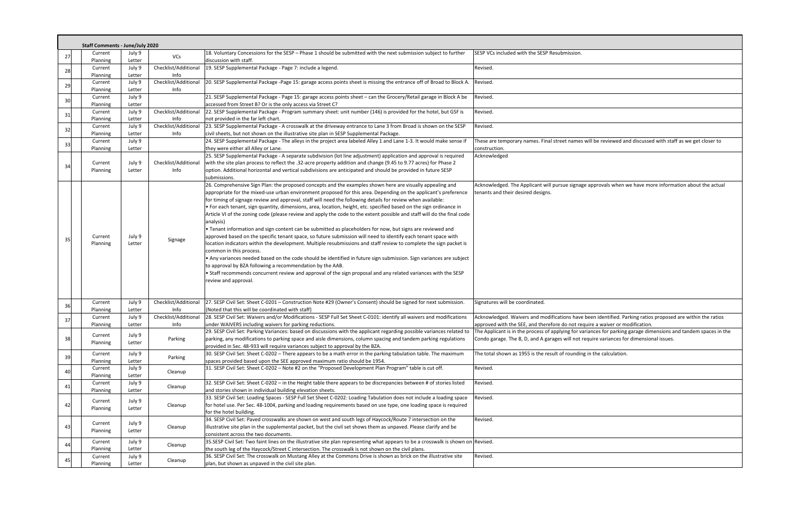|                | <b>Staff Comments - June/July 2020</b> |                            |                              |                                                                                                                                                                                                                                                                                                                                                                                                                                                                                                                                                                                                                                                                                                                                                                                                                                                                                                                                                                                                                                                                                                                                                                                                                                                                                                                           |                                                                                                                                                                                                                                                                                           |  |  |  |
|----------------|----------------------------------------|----------------------------|------------------------------|---------------------------------------------------------------------------------------------------------------------------------------------------------------------------------------------------------------------------------------------------------------------------------------------------------------------------------------------------------------------------------------------------------------------------------------------------------------------------------------------------------------------------------------------------------------------------------------------------------------------------------------------------------------------------------------------------------------------------------------------------------------------------------------------------------------------------------------------------------------------------------------------------------------------------------------------------------------------------------------------------------------------------------------------------------------------------------------------------------------------------------------------------------------------------------------------------------------------------------------------------------------------------------------------------------------------------|-------------------------------------------------------------------------------------------------------------------------------------------------------------------------------------------------------------------------------------------------------------------------------------------|--|--|--|
| 27             | Current<br>Planning                    | July 9<br>Letter           | VCs                          | 18. Voluntary Concessions for the SESP - Phase 1 should be submitted with the next submission subject to further<br>discussion with staff.                                                                                                                                                                                                                                                                                                                                                                                                                                                                                                                                                                                                                                                                                                                                                                                                                                                                                                                                                                                                                                                                                                                                                                                | SESP VCs included with the SESP Resubmission.                                                                                                                                                                                                                                             |  |  |  |
| 28             | Current<br>Planning                    | July 9<br>Letter           | Checklist/Additional<br>Info | 19. SESP Supplemental Package - Page 7: include a legend.                                                                                                                                                                                                                                                                                                                                                                                                                                                                                                                                                                                                                                                                                                                                                                                                                                                                                                                                                                                                                                                                                                                                                                                                                                                                 | Revised.                                                                                                                                                                                                                                                                                  |  |  |  |
| 29             | Current<br>Planning                    | July 9<br>Letter           | Checklist/Additional<br>Info | 20. SESP Supplemental Package -Page 15: garage access points sheet is missing the entrance off of Broad to Block A.                                                                                                                                                                                                                                                                                                                                                                                                                                                                                                                                                                                                                                                                                                                                                                                                                                                                                                                                                                                                                                                                                                                                                                                                       | Revised.                                                                                                                                                                                                                                                                                  |  |  |  |
| 30             | Current<br>Planning                    | July 9<br>Letter           |                              | 21. SESP Supplemental Package - Page 15: garage access points sheet - can the Grocery/Retail garage in Block A be<br>accessed from Street B? Or is the only access via Street C?                                                                                                                                                                                                                                                                                                                                                                                                                                                                                                                                                                                                                                                                                                                                                                                                                                                                                                                                                                                                                                                                                                                                          | Revised.                                                                                                                                                                                                                                                                                  |  |  |  |
| 31             | Current<br>Planning                    | July 9<br>Letter           | Checklist/Additional<br>Info | 22. SESP Supplemental Package - Program summary sheet: unit number (146) is provided for the hotel, but GSF is<br>not provided in the far left chart.                                                                                                                                                                                                                                                                                                                                                                                                                                                                                                                                                                                                                                                                                                                                                                                                                                                                                                                                                                                                                                                                                                                                                                     | Revised.                                                                                                                                                                                                                                                                                  |  |  |  |
| 32             | Current<br>Planning                    | July 9<br>Letter           | Checklist/Additional<br>Info | 23. SESP Supplemental Package - A crosswalk at the driveway entrance to Lane 3 from Broad is shown on the SESP<br>civil sheets, but not shown on the illustrative site plan in SESP Supplemental Package.                                                                                                                                                                                                                                                                                                                                                                                                                                                                                                                                                                                                                                                                                                                                                                                                                                                                                                                                                                                                                                                                                                                 | Revised.                                                                                                                                                                                                                                                                                  |  |  |  |
| 33             | Current<br>Planning                    | July 9<br>Letter           |                              | 24. SESP Supplemental Package - The alleys in the project area labeled Alley 1 and Lane 1-3. It would make sense if<br>they were either all Alley or Lane.                                                                                                                                                                                                                                                                                                                                                                                                                                                                                                                                                                                                                                                                                                                                                                                                                                                                                                                                                                                                                                                                                                                                                                | These are temporary names. Final street names will be reviewed and discussed with staff as we get closer to<br>construction.                                                                                                                                                              |  |  |  |
| 34             | Current<br>Planning                    | July 9<br>Letter           | Checklist/Additional<br>Info | 25. SESP Supplemental Package - A separate subdivision (lot line adjustment) application and approval is required<br>with the site plan process to reflect the .32-acre property addition and change (9.45 to 9.77 acres) for Phase 2<br>option. Additional horizontal and vertical subdivisions are anticipated and should be provided in future SESP<br>submissions.                                                                                                                                                                                                                                                                                                                                                                                                                                                                                                                                                                                                                                                                                                                                                                                                                                                                                                                                                    | Acknowledged                                                                                                                                                                                                                                                                              |  |  |  |
| 35             | Current<br>Planning                    | July 9<br>Letter           | Signage                      | 26. Comprehensive Sign Plan: the proposed concepts and the examples shown here are visually appealing and<br>appropriate for the mixed-use urban environment proposed for this area. Depending on the applicant's preference<br>for timing of signage review and approval, staff will need the following details for review when available:<br>• For each tenant, sign quantity, dimensions, area, location, height, etc. specified based on the sign ordinance in<br>Article VI of the zoning code (please review and apply the code to the extent possible and staff will do the final code<br>analysis)<br>. Tenant information and sign content can be submitted as placeholders for now, but signs are reviewed and<br>approved based on the specific tenant space, so future submission will need to identify each tenant space with<br>location indicators within the development. Multiple resubmissions and staff review to complete the sign packet is<br>common in this process.<br>• Any variances needed based on the code should be identified in future sign submission. Sign variances are subject<br>to approval by BZA following a recommendation by the AAB.<br>• Staff recommends concurrent review and approval of the sign proposal and any related variances with the SESP<br>review and approval. | Acknowledged. The Applicant will pursue signage approvals when we have more information about the actua<br>tenants and their desired designs.                                                                                                                                             |  |  |  |
| 36             | Current<br>Planning                    | July 9<br>Letter           | Checklist/Additional<br>Info | 27. SESP Civil Set: Sheet C-0201 - Construction Note #29 (Owner's Consent) should be signed for next submission.<br>{Noted that this will be coordinated with staff}                                                                                                                                                                                                                                                                                                                                                                                                                                                                                                                                                                                                                                                                                                                                                                                                                                                                                                                                                                                                                                                                                                                                                      | Signatures will be coordinated.                                                                                                                                                                                                                                                           |  |  |  |
| 37             | Current                                | July 9                     | Checklist/Additional         | 28. SESP Civil Set: Waivers and/or Modifications - SESP Full Set Sheet C-0101: identify all waivers and modifications                                                                                                                                                                                                                                                                                                                                                                                                                                                                                                                                                                                                                                                                                                                                                                                                                                                                                                                                                                                                                                                                                                                                                                                                     | Acknowledged. Waivers and modifications have been identified. Parking ratios proposed are within the ratios                                                                                                                                                                               |  |  |  |
| 38             | Planning<br>Current<br>Planning        | Letter<br>July 9<br>Letter | Info<br>Parking              | under WAIVERS including waivers for parking reductions.<br>29. SESP Civil Set: Parking Variances: based on discussions with the applicant regarding possible variances related to<br>parking, any modifications to parking space and aisle dimensions, column spacing and tandem parking regulations<br>provided in Sec. 48-933 will require variances subject to approval by the BZA.                                                                                                                                                                                                                                                                                                                                                                                                                                                                                                                                                                                                                                                                                                                                                                                                                                                                                                                                    | approved with the SEE, and therefore do not require a waiver or modification.<br>The Applicant is in the process of applying for variances for parking garage dimensions and tandem spaces in<br>Condo garage. The B, D, and A garages will not require variances for dimensional issues. |  |  |  |
| 39             | Current<br>Planning                    | July 9<br>Letter           | Parking                      | 30. SESP Civil Set: Sheet C-0202 - There appears to be a math error in the parking tabulation table. The maximum<br>spaces provided based upon the SEE approved maximum ratio should be 1954.                                                                                                                                                                                                                                                                                                                                                                                                                                                                                                                                                                                                                                                                                                                                                                                                                                                                                                                                                                                                                                                                                                                             | The total shown as 1955 is the result of rounding in the calculation.                                                                                                                                                                                                                     |  |  |  |
| 40             | Current<br>Planning                    | July 9<br>Letter           | Cleanup                      | 31. SESP Civil Set: Sheet C-0202 - Note #2 on the "Proposed Development Plan Program" table is cut off.                                                                                                                                                                                                                                                                                                                                                                                                                                                                                                                                                                                                                                                                                                                                                                                                                                                                                                                                                                                                                                                                                                                                                                                                                   | Revised.                                                                                                                                                                                                                                                                                  |  |  |  |
| 41             | Current<br>Planning                    | July 9<br>Letter           | Cleanup                      | 32. SESP Civil Set: Sheet C-0202 - in the Height table there appears to be discrepancies between # of stories listed<br>and stories shown in individual building elevation sheets.                                                                                                                                                                                                                                                                                                                                                                                                                                                                                                                                                                                                                                                                                                                                                                                                                                                                                                                                                                                                                                                                                                                                        | Revised.                                                                                                                                                                                                                                                                                  |  |  |  |
| 42             | Current<br>Planning                    | July 9<br>Letter           | Cleanup                      | 33. SESP Civil Set: Loading Spaces - SESP Full Set Sheet C-0202: Loading Tabulation does not include a loading space<br>for hotel use. Per Sec. 48-1004, parking and loading requirements based on use type, one loading space is required<br>for the hotel building.                                                                                                                                                                                                                                                                                                                                                                                                                                                                                                                                                                                                                                                                                                                                                                                                                                                                                                                                                                                                                                                     | Revised.                                                                                                                                                                                                                                                                                  |  |  |  |
| $\mathbf{A}$   | Current<br>Planning                    | July 9<br>Letter           | Cleanup                      | 34. SESP Civil Set: Paved crosswalks are shown on west and south legs of Haycock/Route 7 intersection on the<br>illustrative site plan in the supplemental packet, but the civil set shows them as unpaved. Please clarify and be<br>consistent across the two documents.                                                                                                                                                                                                                                                                                                                                                                                                                                                                                                                                                                                                                                                                                                                                                                                                                                                                                                                                                                                                                                                 | Revised.                                                                                                                                                                                                                                                                                  |  |  |  |
| $\Delta\Delta$ | Current<br>Planning                    | July 9<br>Letter           | Cleanup                      | 35.SESP Civil Set: Two faint lines on the illustrative site plan representing what appears to be a crosswalk is shown on Revised.<br>the south leg of the Haycock/Street C intersection. The crosswalk is not shown on the civil plans.                                                                                                                                                                                                                                                                                                                                                                                                                                                                                                                                                                                                                                                                                                                                                                                                                                                                                                                                                                                                                                                                                   |                                                                                                                                                                                                                                                                                           |  |  |  |
|                | Current<br>Planning                    | July 9<br>Letter           | Cleanup                      | 36. SESP Civil Set: The crosswalk on Mustang Alley at the Commons Drive is shown as brick on the illustrative site<br>plan, but shown as unpaved in the civil site plan.                                                                                                                                                                                                                                                                                                                                                                                                                                                                                                                                                                                                                                                                                                                                                                                                                                                                                                                                                                                                                                                                                                                                                  | Revised.                                                                                                                                                                                                                                                                                  |  |  |  |

s will be reviewed and discussed with staff as we get closer to ge approvals when we have more information about the actual variances for parking garage dimensions and tandem spaces in the require variances for dimensional issues.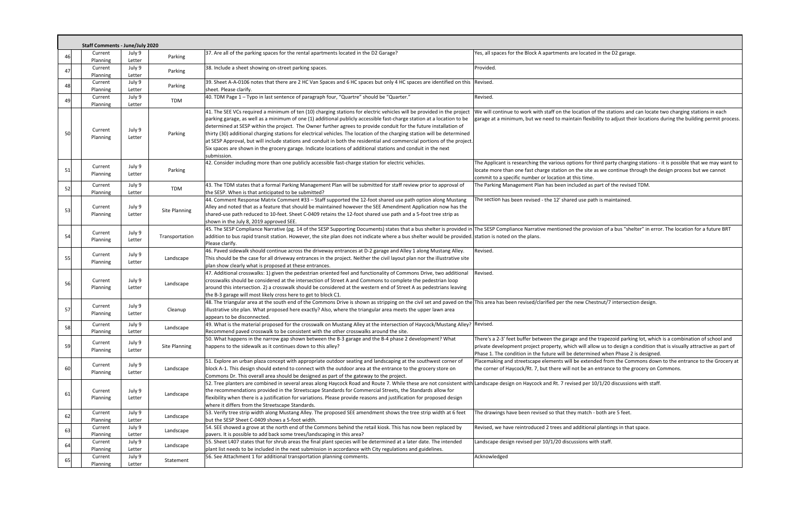| 37. Are all of the parking spaces for the rental apartments located in the D2 Garage?<br>July 9<br>Yes, all spaces for the Block A apartments are located in the D2 garage.<br>Current<br>46<br>Parking<br>Planning<br>Letter<br>Provided.<br>July 9<br>38. Include a sheet showing on-street parking spaces.<br>Current<br>47<br>Parking<br>Letter<br>Planning<br>July 9<br>39. Sheet A-A-0106 notes that there are 2 HC Van Spaces and 6 HC spaces but only 4 HC spaces are identified on this Revised.<br>Current<br>48<br>Parking<br>sheet. Please clarify.<br>Planning<br>Letter<br>40. TDM Page 1 - Typo in last sentence of paragraph four, "Quartre" should be "Quarter."<br>July 9<br>Revised.<br>Current<br>49<br>TDM<br>Planning<br>Letter<br>41. The SEE VCs required a minimum of ten (10) charging stations for electric vehicles will be provided in the project<br>We will continue to work with staff on the location of the stations and can lo<br>parking garage, as well as a minimum of one (1) additional publicly accessible fast-charge station at a location to be<br>garage at a minimum, but we need to maintain flexibility to adjust their locat<br>determined at SESP within the project. The Owner further agrees to provide conduit for the future installation of<br>July 9<br>Current<br>thirty (30) additional charging stations for electrical vehicles. The location of the charging station will be determined<br>50<br>Parking<br>Planning<br>Letter<br>at SESP Approval, but will include stations and conduit in both the residential and commercial portions of the project.<br>Six spaces are shown in the grocery garage. Indicate locations of additional stations and conduit in the next<br>submission.<br>42. Consider including more than one publicly accessible fast-charge station for electric vehicles.<br>The Applicant is researching the various options for third party charging stati<br>Current<br>July 9<br>51<br>Parking<br>locate more than one fast charge station on the site as we continue through<br>Letter<br><b>Planning</b><br>commit to a specific number or location at this time.<br>43. The TDM states that a formal Parking Management Plan will be submitted for staff review prior to approval of<br>July 9<br>The Parking Management Plan has been included as part of the revised TDM.<br>Current<br>52<br>TDM<br>the SESP. When is that anticipated to be submitted?<br>Planning<br>Letter<br>44. Comment Response Matrix Comment #33 - Staff supported the 12-foot shared use path option along Mustang<br>The section has been revised - the 12' shared use path is maintained.<br>Alley and noted that as a feature that should be maintained however the SEE Amendment Application now has the<br>July 9<br>Current<br>53<br><b>Site Planning</b><br>shared-use path reduced to 10-feet. Sheet C-0409 retains the 12-foot shared use path and a 5-foot tree strip as<br>Planning<br>Letter<br>shown in the July 8, 2019 approved SEE.<br>45. The SESP Compliance Narrative (pg. 14 of the SESP Supporting Documents) states that a bus shelter is provided in The SESP Compliance Narrative mentioned the provision of a bus "shelter" in<br>July 9<br>Current<br>54<br>addition to bus rapid transit station. However, the site plan does not indicate where a bus shelter would be provided. station is noted on the plans.<br>Transportation<br>Planning<br>Letter<br>Please clarify.<br>46. Paved sidewalk should continue across the driveway entrances at D-2 garage and Alley 1 along Mustang Alley.<br>Revised.<br>July 9<br>Current<br>55<br>This should be the case for all driveway entrances in the project. Neither the civil layout plan nor the illustrative site<br>Landscape<br>Letter<br>Planning<br>plan show clearly what is proposed at these entrances.<br>47. Additional crosswalks: 1) given the pedestrian oriented feel and functionality of Commons Drive, two additional<br>Revised.<br>crosswalks should be considered at the intersection of Street A and Commons to complete the pedestrian loop<br>July 9<br>Current<br>56<br>Landscape<br>around this intersection. 2) a crosswalk should be considered at the western end of Street A as pedestrians leaving<br>Planning<br>Letter<br>the B-3 garage will most likely cross here to get to block C1.<br>48. The triangular area at the south end of the Commons Drive is shown as stripping on the civil set and paved on the This area has been revised/clarified per the new Chestnut/7 intersection des<br>Current<br>July 9<br>57<br>illustrative site plan. What proposed here exactly? Also, where the triangular area meets the upper lawn area<br>Cleanup<br>Letter<br>Planning<br>appears to be disconnected.<br>49. What is the material proposed for the crosswalk on Mustang Alley at the intersection of Haycock/Mustang Alley? Revised.<br>July 9<br>Current<br>58<br>Landscape<br>Planning<br>Letter<br>Recommend paved crosswalk to be consistent with the other crosswalks around the site.<br>There's a 2-3' feet buffer between the garage and the trapezoid parking lot, v<br>50. What happens in the narrow gap shown between the B-3 garage and the B-4 phase 2 development? What<br>July 9<br>Current<br>59<br>happens to the sidewalk as it continues down to this alley?<br>private development project property, which will allow us to design a conditi<br><b>Site Planning</b><br>Planning<br>Letter<br>Phase 1. The condition in the future will be determined when Phase 2 is desig<br>Placemaking and streetscape elements will be extended from the Commons<br>51. Explore an urban plaza concept with appropriate outdoor seating and landscaping at the southwest corner of<br>July 9<br>Current<br>60<br>block A-1. This design should extend to connect with the outdoor area at the entrance to the grocery store on<br>the corner of Haycock/Rt. 7, but there will not be an entrance to the grocery<br>Landscape<br><b>Planning</b><br>Letter<br>Commons Dr. This overall area should be designed as part of the gateway to the project.<br>52. Tree planters are combined in several areas along Haycock Road and Route 7. While these are not consistent with Landscape design on Haycock and Rt. 7 revised per 10/1/20 discussions with<br>the recommendations provided in the Streetscape Standards for Commercial Streets, the Standards allow for<br>July 9<br>Current<br>61<br>Landscape<br>flexibility when there is a justification for variations. Please provide reasons and justification for proposed design<br>Planning<br>Letter<br>where it differs from the Streetscape Standards.<br>53. Verify tree strip width along Mustang Alley. The proposed SEE amendment shows the tree strip width at 6 feet<br>The drawings have been revised so that they match - both are 5 feet.<br>Current<br>July 9<br>62<br>Landscape<br>but the SESP Sheet C-0409 shows a 5-foot width.<br>Planning<br>Letter<br>54. SEE showed a grove at the north end of the Commons behind the retail kiosk. This has now been replaced by<br>Revised, we have reintroduced 2 trees and additional plantings in that space.<br>July 9<br>Current<br>63<br>Landscape<br>pavers. It is possible to add back some trees/landscaping in this area?<br>Planning<br>Letter<br>55. Sheet L407 states that for shrub areas the final plant species will be determined at a later date. The intended<br>Landscape design revised per 10/1/20 discussions with staff.<br>July 9<br>Current<br>64<br>Landscape<br>plant list needs to be included in the next submission in accordance with City regulations and guidelines.<br>Planning<br>Letter<br>July 9<br>56. See Attachment 1 for additional transportation planning comments.<br>Acknowledged<br>Current<br>65<br>Statement<br>Planning<br>Letter |  | <b>Staff Comments - June/July 2020</b> |  |  |  |  |  |
|-----------------------------------------------------------------------------------------------------------------------------------------------------------------------------------------------------------------------------------------------------------------------------------------------------------------------------------------------------------------------------------------------------------------------------------------------------------------------------------------------------------------------------------------------------------------------------------------------------------------------------------------------------------------------------------------------------------------------------------------------------------------------------------------------------------------------------------------------------------------------------------------------------------------------------------------------------------------------------------------------------------------------------------------------------------------------------------------------------------------------------------------------------------------------------------------------------------------------------------------------------------------------------------------------------------------------------------------------------------------------------------------------------------------------------------------------------------------------------------------------------------------------------------------------------------------------------------------------------------------------------------------------------------------------------------------------------------------------------------------------------------------------------------------------------------------------------------------------------------------------------------------------------------------------------------------------------------------------------------------------------------------------------------------------------------------------------------------------------------------------------------------------------------------------------------------------------------------------------------------------------------------------------------------------------------------------------------------------------------------------------------------------------------------------------------------------------------------------------------------------------------------------------------------------------------------------------------------------------------------------------------------------------------------------------------------------------------------------------------------------------------------------------------------------------------------------------------------------------------------------------------------------------------------------------------------------------------------------------------------------------------------------------------------------------------------------------------------------------------------------------------------------------------------------------------------------------------------------------------------------------------------------------------------------------------------------------------------------------------------------------------------------------------------------------------------------------------------------------------------------------------------------------------------------------------------------------------------------------------------------------------------------------------------------------------------------------------------------------------------------------------------------------------------------------------------------------------------------------------------------------------------------------------------------------------------------------------------------------------------------------------------------------------------------------------------------------------------------------------------------------------------------------------------------------------------------------------------------------------------------------------------------------------------------------------------------------------------------------------------------------------------------------------------------------------------------------------------------------------------------------------------------------------------------------------------------------------------------------------------------------------------------------------------------------------------------------------------------------------------------------------------------------------------------------------------------------------------------------------------------------------------------------------------------------------------------------------------------------------------------------------------------------------------------------------------------------------------------------------------------------------------------------------------------------------------------------------------------------------------------------------------------------------------------------------------------------------------------------------------------------------------------------------------------------------------------------------------------------------------------------------------------------------------------------------------------------------------------------------------------------------------------------------------------------------------------------------------------------------------------------------------------------------------------------------------------------------------------------------------------------------------------------------------------------------------------------------------------------------------------------------------------------------------------------------------------------------------------------------------------------------------------------------------------------------------------------------------------------------------------------------------------------------------------------------------------------------------------------------------------------------------------------------------------------------------------------------------------------------------------------------------------------------------------------------------------------------------------------------------------------------------------------------------------------------------------------------------------------------------------------------------------------------------------------------------------------------------------------------------------------------------------------------------------------------------------------------------------------------------------------------------------------------------------------------------------------------------------------------------------------------------------------------------------------------------------------------------------------------------------------------------------------------------------------------------------------------------------------------------------------------------------------------------------------------------------------------------------------------------------------------------------------------------------------------------------------------------------------------------------------------------------------------------------------------------------------------------------------------------------------------------------------------------------------------------------------------------------------------------------------------------------------|--|----------------------------------------|--|--|--|--|--|
|                                                                                                                                                                                                                                                                                                                                                                                                                                                                                                                                                                                                                                                                                                                                                                                                                                                                                                                                                                                                                                                                                                                                                                                                                                                                                                                                                                                                                                                                                                                                                                                                                                                                                                                                                                                                                                                                                                                                                                                                                                                                                                                                                                                                                                                                                                                                                                                                                                                                                                                                                                                                                                                                                                                                                                                                                                                                                                                                                                                                                                                                                                                                                                                                                                                                                                                                                                                                                                                                                                                                                                                                                                                                                                                                                                                                                                                                                                                                                                                                                                                                                                                                                                                                                                                                                                                                                                                                                                                                                                                                                                                                                                                                                                                                                                                                                                                                                                                                                                                                                                                                                                                                                                                                                                                                                                                                                                                                                                                                                                                                                                                                                                                                                                                                                                                                                                                                                                                                                                                                                                                                                                                                                                                                                                                                                                                                                                                                                                                                                                                                                                                                                                                                                                                                                                                                                                                                                                                                                                                                                                                                                                                                                                                                                                                                                                                                                                                                                                                                                                                                                                                                                                                                                                                                                                                                                                                                                                     |  |                                        |  |  |  |  |  |
|                                                                                                                                                                                                                                                                                                                                                                                                                                                                                                                                                                                                                                                                                                                                                                                                                                                                                                                                                                                                                                                                                                                                                                                                                                                                                                                                                                                                                                                                                                                                                                                                                                                                                                                                                                                                                                                                                                                                                                                                                                                                                                                                                                                                                                                                                                                                                                                                                                                                                                                                                                                                                                                                                                                                                                                                                                                                                                                                                                                                                                                                                                                                                                                                                                                                                                                                                                                                                                                                                                                                                                                                                                                                                                                                                                                                                                                                                                                                                                                                                                                                                                                                                                                                                                                                                                                                                                                                                                                                                                                                                                                                                                                                                                                                                                                                                                                                                                                                                                                                                                                                                                                                                                                                                                                                                                                                                                                                                                                                                                                                                                                                                                                                                                                                                                                                                                                                                                                                                                                                                                                                                                                                                                                                                                                                                                                                                                                                                                                                                                                                                                                                                                                                                                                                                                                                                                                                                                                                                                                                                                                                                                                                                                                                                                                                                                                                                                                                                                                                                                                                                                                                                                                                                                                                                                                                                                                                                                     |  |                                        |  |  |  |  |  |
|                                                                                                                                                                                                                                                                                                                                                                                                                                                                                                                                                                                                                                                                                                                                                                                                                                                                                                                                                                                                                                                                                                                                                                                                                                                                                                                                                                                                                                                                                                                                                                                                                                                                                                                                                                                                                                                                                                                                                                                                                                                                                                                                                                                                                                                                                                                                                                                                                                                                                                                                                                                                                                                                                                                                                                                                                                                                                                                                                                                                                                                                                                                                                                                                                                                                                                                                                                                                                                                                                                                                                                                                                                                                                                                                                                                                                                                                                                                                                                                                                                                                                                                                                                                                                                                                                                                                                                                                                                                                                                                                                                                                                                                                                                                                                                                                                                                                                                                                                                                                                                                                                                                                                                                                                                                                                                                                                                                                                                                                                                                                                                                                                                                                                                                                                                                                                                                                                                                                                                                                                                                                                                                                                                                                                                                                                                                                                                                                                                                                                                                                                                                                                                                                                                                                                                                                                                                                                                                                                                                                                                                                                                                                                                                                                                                                                                                                                                                                                                                                                                                                                                                                                                                                                                                                                                                                                                                                                                     |  |                                        |  |  |  |  |  |
|                                                                                                                                                                                                                                                                                                                                                                                                                                                                                                                                                                                                                                                                                                                                                                                                                                                                                                                                                                                                                                                                                                                                                                                                                                                                                                                                                                                                                                                                                                                                                                                                                                                                                                                                                                                                                                                                                                                                                                                                                                                                                                                                                                                                                                                                                                                                                                                                                                                                                                                                                                                                                                                                                                                                                                                                                                                                                                                                                                                                                                                                                                                                                                                                                                                                                                                                                                                                                                                                                                                                                                                                                                                                                                                                                                                                                                                                                                                                                                                                                                                                                                                                                                                                                                                                                                                                                                                                                                                                                                                                                                                                                                                                                                                                                                                                                                                                                                                                                                                                                                                                                                                                                                                                                                                                                                                                                                                                                                                                                                                                                                                                                                                                                                                                                                                                                                                                                                                                                                                                                                                                                                                                                                                                                                                                                                                                                                                                                                                                                                                                                                                                                                                                                                                                                                                                                                                                                                                                                                                                                                                                                                                                                                                                                                                                                                                                                                                                                                                                                                                                                                                                                                                                                                                                                                                                                                                                                                     |  |                                        |  |  |  |  |  |
|                                                                                                                                                                                                                                                                                                                                                                                                                                                                                                                                                                                                                                                                                                                                                                                                                                                                                                                                                                                                                                                                                                                                                                                                                                                                                                                                                                                                                                                                                                                                                                                                                                                                                                                                                                                                                                                                                                                                                                                                                                                                                                                                                                                                                                                                                                                                                                                                                                                                                                                                                                                                                                                                                                                                                                                                                                                                                                                                                                                                                                                                                                                                                                                                                                                                                                                                                                                                                                                                                                                                                                                                                                                                                                                                                                                                                                                                                                                                                                                                                                                                                                                                                                                                                                                                                                                                                                                                                                                                                                                                                                                                                                                                                                                                                                                                                                                                                                                                                                                                                                                                                                                                                                                                                                                                                                                                                                                                                                                                                                                                                                                                                                                                                                                                                                                                                                                                                                                                                                                                                                                                                                                                                                                                                                                                                                                                                                                                                                                                                                                                                                                                                                                                                                                                                                                                                                                                                                                                                                                                                                                                                                                                                                                                                                                                                                                                                                                                                                                                                                                                                                                                                                                                                                                                                                                                                                                                                                     |  |                                        |  |  |  |  |  |
|                                                                                                                                                                                                                                                                                                                                                                                                                                                                                                                                                                                                                                                                                                                                                                                                                                                                                                                                                                                                                                                                                                                                                                                                                                                                                                                                                                                                                                                                                                                                                                                                                                                                                                                                                                                                                                                                                                                                                                                                                                                                                                                                                                                                                                                                                                                                                                                                                                                                                                                                                                                                                                                                                                                                                                                                                                                                                                                                                                                                                                                                                                                                                                                                                                                                                                                                                                                                                                                                                                                                                                                                                                                                                                                                                                                                                                                                                                                                                                                                                                                                                                                                                                                                                                                                                                                                                                                                                                                                                                                                                                                                                                                                                                                                                                                                                                                                                                                                                                                                                                                                                                                                                                                                                                                                                                                                                                                                                                                                                                                                                                                                                                                                                                                                                                                                                                                                                                                                                                                                                                                                                                                                                                                                                                                                                                                                                                                                                                                                                                                                                                                                                                                                                                                                                                                                                                                                                                                                                                                                                                                                                                                                                                                                                                                                                                                                                                                                                                                                                                                                                                                                                                                                                                                                                                                                                                                                                                     |  |                                        |  |  |  |  |  |
|                                                                                                                                                                                                                                                                                                                                                                                                                                                                                                                                                                                                                                                                                                                                                                                                                                                                                                                                                                                                                                                                                                                                                                                                                                                                                                                                                                                                                                                                                                                                                                                                                                                                                                                                                                                                                                                                                                                                                                                                                                                                                                                                                                                                                                                                                                                                                                                                                                                                                                                                                                                                                                                                                                                                                                                                                                                                                                                                                                                                                                                                                                                                                                                                                                                                                                                                                                                                                                                                                                                                                                                                                                                                                                                                                                                                                                                                                                                                                                                                                                                                                                                                                                                                                                                                                                                                                                                                                                                                                                                                                                                                                                                                                                                                                                                                                                                                                                                                                                                                                                                                                                                                                                                                                                                                                                                                                                                                                                                                                                                                                                                                                                                                                                                                                                                                                                                                                                                                                                                                                                                                                                                                                                                                                                                                                                                                                                                                                                                                                                                                                                                                                                                                                                                                                                                                                                                                                                                                                                                                                                                                                                                                                                                                                                                                                                                                                                                                                                                                                                                                                                                                                                                                                                                                                                                                                                                                                                     |  |                                        |  |  |  |  |  |
|                                                                                                                                                                                                                                                                                                                                                                                                                                                                                                                                                                                                                                                                                                                                                                                                                                                                                                                                                                                                                                                                                                                                                                                                                                                                                                                                                                                                                                                                                                                                                                                                                                                                                                                                                                                                                                                                                                                                                                                                                                                                                                                                                                                                                                                                                                                                                                                                                                                                                                                                                                                                                                                                                                                                                                                                                                                                                                                                                                                                                                                                                                                                                                                                                                                                                                                                                                                                                                                                                                                                                                                                                                                                                                                                                                                                                                                                                                                                                                                                                                                                                                                                                                                                                                                                                                                                                                                                                                                                                                                                                                                                                                                                                                                                                                                                                                                                                                                                                                                                                                                                                                                                                                                                                                                                                                                                                                                                                                                                                                                                                                                                                                                                                                                                                                                                                                                                                                                                                                                                                                                                                                                                                                                                                                                                                                                                                                                                                                                                                                                                                                                                                                                                                                                                                                                                                                                                                                                                                                                                                                                                                                                                                                                                                                                                                                                                                                                                                                                                                                                                                                                                                                                                                                                                                                                                                                                                                                     |  |                                        |  |  |  |  |  |
|                                                                                                                                                                                                                                                                                                                                                                                                                                                                                                                                                                                                                                                                                                                                                                                                                                                                                                                                                                                                                                                                                                                                                                                                                                                                                                                                                                                                                                                                                                                                                                                                                                                                                                                                                                                                                                                                                                                                                                                                                                                                                                                                                                                                                                                                                                                                                                                                                                                                                                                                                                                                                                                                                                                                                                                                                                                                                                                                                                                                                                                                                                                                                                                                                                                                                                                                                                                                                                                                                                                                                                                                                                                                                                                                                                                                                                                                                                                                                                                                                                                                                                                                                                                                                                                                                                                                                                                                                                                                                                                                                                                                                                                                                                                                                                                                                                                                                                                                                                                                                                                                                                                                                                                                                                                                                                                                                                                                                                                                                                                                                                                                                                                                                                                                                                                                                                                                                                                                                                                                                                                                                                                                                                                                                                                                                                                                                                                                                                                                                                                                                                                                                                                                                                                                                                                                                                                                                                                                                                                                                                                                                                                                                                                                                                                                                                                                                                                                                                                                                                                                                                                                                                                                                                                                                                                                                                                                                                     |  |                                        |  |  |  |  |  |
|                                                                                                                                                                                                                                                                                                                                                                                                                                                                                                                                                                                                                                                                                                                                                                                                                                                                                                                                                                                                                                                                                                                                                                                                                                                                                                                                                                                                                                                                                                                                                                                                                                                                                                                                                                                                                                                                                                                                                                                                                                                                                                                                                                                                                                                                                                                                                                                                                                                                                                                                                                                                                                                                                                                                                                                                                                                                                                                                                                                                                                                                                                                                                                                                                                                                                                                                                                                                                                                                                                                                                                                                                                                                                                                                                                                                                                                                                                                                                                                                                                                                                                                                                                                                                                                                                                                                                                                                                                                                                                                                                                                                                                                                                                                                                                                                                                                                                                                                                                                                                                                                                                                                                                                                                                                                                                                                                                                                                                                                                                                                                                                                                                                                                                                                                                                                                                                                                                                                                                                                                                                                                                                                                                                                                                                                                                                                                                                                                                                                                                                                                                                                                                                                                                                                                                                                                                                                                                                                                                                                                                                                                                                                                                                                                                                                                                                                                                                                                                                                                                                                                                                                                                                                                                                                                                                                                                                                                                     |  |                                        |  |  |  |  |  |
|                                                                                                                                                                                                                                                                                                                                                                                                                                                                                                                                                                                                                                                                                                                                                                                                                                                                                                                                                                                                                                                                                                                                                                                                                                                                                                                                                                                                                                                                                                                                                                                                                                                                                                                                                                                                                                                                                                                                                                                                                                                                                                                                                                                                                                                                                                                                                                                                                                                                                                                                                                                                                                                                                                                                                                                                                                                                                                                                                                                                                                                                                                                                                                                                                                                                                                                                                                                                                                                                                                                                                                                                                                                                                                                                                                                                                                                                                                                                                                                                                                                                                                                                                                                                                                                                                                                                                                                                                                                                                                                                                                                                                                                                                                                                                                                                                                                                                                                                                                                                                                                                                                                                                                                                                                                                                                                                                                                                                                                                                                                                                                                                                                                                                                                                                                                                                                                                                                                                                                                                                                                                                                                                                                                                                                                                                                                                                                                                                                                                                                                                                                                                                                                                                                                                                                                                                                                                                                                                                                                                                                                                                                                                                                                                                                                                                                                                                                                                                                                                                                                                                                                                                                                                                                                                                                                                                                                                                                     |  |                                        |  |  |  |  |  |
|                                                                                                                                                                                                                                                                                                                                                                                                                                                                                                                                                                                                                                                                                                                                                                                                                                                                                                                                                                                                                                                                                                                                                                                                                                                                                                                                                                                                                                                                                                                                                                                                                                                                                                                                                                                                                                                                                                                                                                                                                                                                                                                                                                                                                                                                                                                                                                                                                                                                                                                                                                                                                                                                                                                                                                                                                                                                                                                                                                                                                                                                                                                                                                                                                                                                                                                                                                                                                                                                                                                                                                                                                                                                                                                                                                                                                                                                                                                                                                                                                                                                                                                                                                                                                                                                                                                                                                                                                                                                                                                                                                                                                                                                                                                                                                                                                                                                                                                                                                                                                                                                                                                                                                                                                                                                                                                                                                                                                                                                                                                                                                                                                                                                                                                                                                                                                                                                                                                                                                                                                                                                                                                                                                                                                                                                                                                                                                                                                                                                                                                                                                                                                                                                                                                                                                                                                                                                                                                                                                                                                                                                                                                                                                                                                                                                                                                                                                                                                                                                                                                                                                                                                                                                                                                                                                                                                                                                                                     |  |                                        |  |  |  |  |  |
|                                                                                                                                                                                                                                                                                                                                                                                                                                                                                                                                                                                                                                                                                                                                                                                                                                                                                                                                                                                                                                                                                                                                                                                                                                                                                                                                                                                                                                                                                                                                                                                                                                                                                                                                                                                                                                                                                                                                                                                                                                                                                                                                                                                                                                                                                                                                                                                                                                                                                                                                                                                                                                                                                                                                                                                                                                                                                                                                                                                                                                                                                                                                                                                                                                                                                                                                                                                                                                                                                                                                                                                                                                                                                                                                                                                                                                                                                                                                                                                                                                                                                                                                                                                                                                                                                                                                                                                                                                                                                                                                                                                                                                                                                                                                                                                                                                                                                                                                                                                                                                                                                                                                                                                                                                                                                                                                                                                                                                                                                                                                                                                                                                                                                                                                                                                                                                                                                                                                                                                                                                                                                                                                                                                                                                                                                                                                                                                                                                                                                                                                                                                                                                                                                                                                                                                                                                                                                                                                                                                                                                                                                                                                                                                                                                                                                                                                                                                                                                                                                                                                                                                                                                                                                                                                                                                                                                                                                                     |  |                                        |  |  |  |  |  |
|                                                                                                                                                                                                                                                                                                                                                                                                                                                                                                                                                                                                                                                                                                                                                                                                                                                                                                                                                                                                                                                                                                                                                                                                                                                                                                                                                                                                                                                                                                                                                                                                                                                                                                                                                                                                                                                                                                                                                                                                                                                                                                                                                                                                                                                                                                                                                                                                                                                                                                                                                                                                                                                                                                                                                                                                                                                                                                                                                                                                                                                                                                                                                                                                                                                                                                                                                                                                                                                                                                                                                                                                                                                                                                                                                                                                                                                                                                                                                                                                                                                                                                                                                                                                                                                                                                                                                                                                                                                                                                                                                                                                                                                                                                                                                                                                                                                                                                                                                                                                                                                                                                                                                                                                                                                                                                                                                                                                                                                                                                                                                                                                                                                                                                                                                                                                                                                                                                                                                                                                                                                                                                                                                                                                                                                                                                                                                                                                                                                                                                                                                                                                                                                                                                                                                                                                                                                                                                                                                                                                                                                                                                                                                                                                                                                                                                                                                                                                                                                                                                                                                                                                                                                                                                                                                                                                                                                                                                     |  |                                        |  |  |  |  |  |
|                                                                                                                                                                                                                                                                                                                                                                                                                                                                                                                                                                                                                                                                                                                                                                                                                                                                                                                                                                                                                                                                                                                                                                                                                                                                                                                                                                                                                                                                                                                                                                                                                                                                                                                                                                                                                                                                                                                                                                                                                                                                                                                                                                                                                                                                                                                                                                                                                                                                                                                                                                                                                                                                                                                                                                                                                                                                                                                                                                                                                                                                                                                                                                                                                                                                                                                                                                                                                                                                                                                                                                                                                                                                                                                                                                                                                                                                                                                                                                                                                                                                                                                                                                                                                                                                                                                                                                                                                                                                                                                                                                                                                                                                                                                                                                                                                                                                                                                                                                                                                                                                                                                                                                                                                                                                                                                                                                                                                                                                                                                                                                                                                                                                                                                                                                                                                                                                                                                                                                                                                                                                                                                                                                                                                                                                                                                                                                                                                                                                                                                                                                                                                                                                                                                                                                                                                                                                                                                                                                                                                                                                                                                                                                                                                                                                                                                                                                                                                                                                                                                                                                                                                                                                                                                                                                                                                                                                                                     |  |                                        |  |  |  |  |  |
|                                                                                                                                                                                                                                                                                                                                                                                                                                                                                                                                                                                                                                                                                                                                                                                                                                                                                                                                                                                                                                                                                                                                                                                                                                                                                                                                                                                                                                                                                                                                                                                                                                                                                                                                                                                                                                                                                                                                                                                                                                                                                                                                                                                                                                                                                                                                                                                                                                                                                                                                                                                                                                                                                                                                                                                                                                                                                                                                                                                                                                                                                                                                                                                                                                                                                                                                                                                                                                                                                                                                                                                                                                                                                                                                                                                                                                                                                                                                                                                                                                                                                                                                                                                                                                                                                                                                                                                                                                                                                                                                                                                                                                                                                                                                                                                                                                                                                                                                                                                                                                                                                                                                                                                                                                                                                                                                                                                                                                                                                                                                                                                                                                                                                                                                                                                                                                                                                                                                                                                                                                                                                                                                                                                                                                                                                                                                                                                                                                                                                                                                                                                                                                                                                                                                                                                                                                                                                                                                                                                                                                                                                                                                                                                                                                                                                                                                                                                                                                                                                                                                                                                                                                                                                                                                                                                                                                                                                                     |  |                                        |  |  |  |  |  |
|                                                                                                                                                                                                                                                                                                                                                                                                                                                                                                                                                                                                                                                                                                                                                                                                                                                                                                                                                                                                                                                                                                                                                                                                                                                                                                                                                                                                                                                                                                                                                                                                                                                                                                                                                                                                                                                                                                                                                                                                                                                                                                                                                                                                                                                                                                                                                                                                                                                                                                                                                                                                                                                                                                                                                                                                                                                                                                                                                                                                                                                                                                                                                                                                                                                                                                                                                                                                                                                                                                                                                                                                                                                                                                                                                                                                                                                                                                                                                                                                                                                                                                                                                                                                                                                                                                                                                                                                                                                                                                                                                                                                                                                                                                                                                                                                                                                                                                                                                                                                                                                                                                                                                                                                                                                                                                                                                                                                                                                                                                                                                                                                                                                                                                                                                                                                                                                                                                                                                                                                                                                                                                                                                                                                                                                                                                                                                                                                                                                                                                                                                                                                                                                                                                                                                                                                                                                                                                                                                                                                                                                                                                                                                                                                                                                                                                                                                                                                                                                                                                                                                                                                                                                                                                                                                                                                                                                                                                     |  |                                        |  |  |  |  |  |
|                                                                                                                                                                                                                                                                                                                                                                                                                                                                                                                                                                                                                                                                                                                                                                                                                                                                                                                                                                                                                                                                                                                                                                                                                                                                                                                                                                                                                                                                                                                                                                                                                                                                                                                                                                                                                                                                                                                                                                                                                                                                                                                                                                                                                                                                                                                                                                                                                                                                                                                                                                                                                                                                                                                                                                                                                                                                                                                                                                                                                                                                                                                                                                                                                                                                                                                                                                                                                                                                                                                                                                                                                                                                                                                                                                                                                                                                                                                                                                                                                                                                                                                                                                                                                                                                                                                                                                                                                                                                                                                                                                                                                                                                                                                                                                                                                                                                                                                                                                                                                                                                                                                                                                                                                                                                                                                                                                                                                                                                                                                                                                                                                                                                                                                                                                                                                                                                                                                                                                                                                                                                                                                                                                                                                                                                                                                                                                                                                                                                                                                                                                                                                                                                                                                                                                                                                                                                                                                                                                                                                                                                                                                                                                                                                                                                                                                                                                                                                                                                                                                                                                                                                                                                                                                                                                                                                                                                                                     |  |                                        |  |  |  |  |  |
|                                                                                                                                                                                                                                                                                                                                                                                                                                                                                                                                                                                                                                                                                                                                                                                                                                                                                                                                                                                                                                                                                                                                                                                                                                                                                                                                                                                                                                                                                                                                                                                                                                                                                                                                                                                                                                                                                                                                                                                                                                                                                                                                                                                                                                                                                                                                                                                                                                                                                                                                                                                                                                                                                                                                                                                                                                                                                                                                                                                                                                                                                                                                                                                                                                                                                                                                                                                                                                                                                                                                                                                                                                                                                                                                                                                                                                                                                                                                                                                                                                                                                                                                                                                                                                                                                                                                                                                                                                                                                                                                                                                                                                                                                                                                                                                                                                                                                                                                                                                                                                                                                                                                                                                                                                                                                                                                                                                                                                                                                                                                                                                                                                                                                                                                                                                                                                                                                                                                                                                                                                                                                                                                                                                                                                                                                                                                                                                                                                                                                                                                                                                                                                                                                                                                                                                                                                                                                                                                                                                                                                                                                                                                                                                                                                                                                                                                                                                                                                                                                                                                                                                                                                                                                                                                                                                                                                                                                                     |  |                                        |  |  |  |  |  |
|                                                                                                                                                                                                                                                                                                                                                                                                                                                                                                                                                                                                                                                                                                                                                                                                                                                                                                                                                                                                                                                                                                                                                                                                                                                                                                                                                                                                                                                                                                                                                                                                                                                                                                                                                                                                                                                                                                                                                                                                                                                                                                                                                                                                                                                                                                                                                                                                                                                                                                                                                                                                                                                                                                                                                                                                                                                                                                                                                                                                                                                                                                                                                                                                                                                                                                                                                                                                                                                                                                                                                                                                                                                                                                                                                                                                                                                                                                                                                                                                                                                                                                                                                                                                                                                                                                                                                                                                                                                                                                                                                                                                                                                                                                                                                                                                                                                                                                                                                                                                                                                                                                                                                                                                                                                                                                                                                                                                                                                                                                                                                                                                                                                                                                                                                                                                                                                                                                                                                                                                                                                                                                                                                                                                                                                                                                                                                                                                                                                                                                                                                                                                                                                                                                                                                                                                                                                                                                                                                                                                                                                                                                                                                                                                                                                                                                                                                                                                                                                                                                                                                                                                                                                                                                                                                                                                                                                                                                     |  |                                        |  |  |  |  |  |
|                                                                                                                                                                                                                                                                                                                                                                                                                                                                                                                                                                                                                                                                                                                                                                                                                                                                                                                                                                                                                                                                                                                                                                                                                                                                                                                                                                                                                                                                                                                                                                                                                                                                                                                                                                                                                                                                                                                                                                                                                                                                                                                                                                                                                                                                                                                                                                                                                                                                                                                                                                                                                                                                                                                                                                                                                                                                                                                                                                                                                                                                                                                                                                                                                                                                                                                                                                                                                                                                                                                                                                                                                                                                                                                                                                                                                                                                                                                                                                                                                                                                                                                                                                                                                                                                                                                                                                                                                                                                                                                                                                                                                                                                                                                                                                                                                                                                                                                                                                                                                                                                                                                                                                                                                                                                                                                                                                                                                                                                                                                                                                                                                                                                                                                                                                                                                                                                                                                                                                                                                                                                                                                                                                                                                                                                                                                                                                                                                                                                                                                                                                                                                                                                                                                                                                                                                                                                                                                                                                                                                                                                                                                                                                                                                                                                                                                                                                                                                                                                                                                                                                                                                                                                                                                                                                                                                                                                                                     |  |                                        |  |  |  |  |  |
|                                                                                                                                                                                                                                                                                                                                                                                                                                                                                                                                                                                                                                                                                                                                                                                                                                                                                                                                                                                                                                                                                                                                                                                                                                                                                                                                                                                                                                                                                                                                                                                                                                                                                                                                                                                                                                                                                                                                                                                                                                                                                                                                                                                                                                                                                                                                                                                                                                                                                                                                                                                                                                                                                                                                                                                                                                                                                                                                                                                                                                                                                                                                                                                                                                                                                                                                                                                                                                                                                                                                                                                                                                                                                                                                                                                                                                                                                                                                                                                                                                                                                                                                                                                                                                                                                                                                                                                                                                                                                                                                                                                                                                                                                                                                                                                                                                                                                                                                                                                                                                                                                                                                                                                                                                                                                                                                                                                                                                                                                                                                                                                                                                                                                                                                                                                                                                                                                                                                                                                                                                                                                                                                                                                                                                                                                                                                                                                                                                                                                                                                                                                                                                                                                                                                                                                                                                                                                                                                                                                                                                                                                                                                                                                                                                                                                                                                                                                                                                                                                                                                                                                                                                                                                                                                                                                                                                                                                                     |  |                                        |  |  |  |  |  |
|                                                                                                                                                                                                                                                                                                                                                                                                                                                                                                                                                                                                                                                                                                                                                                                                                                                                                                                                                                                                                                                                                                                                                                                                                                                                                                                                                                                                                                                                                                                                                                                                                                                                                                                                                                                                                                                                                                                                                                                                                                                                                                                                                                                                                                                                                                                                                                                                                                                                                                                                                                                                                                                                                                                                                                                                                                                                                                                                                                                                                                                                                                                                                                                                                                                                                                                                                                                                                                                                                                                                                                                                                                                                                                                                                                                                                                                                                                                                                                                                                                                                                                                                                                                                                                                                                                                                                                                                                                                                                                                                                                                                                                                                                                                                                                                                                                                                                                                                                                                                                                                                                                                                                                                                                                                                                                                                                                                                                                                                                                                                                                                                                                                                                                                                                                                                                                                                                                                                                                                                                                                                                                                                                                                                                                                                                                                                                                                                                                                                                                                                                                                                                                                                                                                                                                                                                                                                                                                                                                                                                                                                                                                                                                                                                                                                                                                                                                                                                                                                                                                                                                                                                                                                                                                                                                                                                                                                                                     |  |                                        |  |  |  |  |  |
|                                                                                                                                                                                                                                                                                                                                                                                                                                                                                                                                                                                                                                                                                                                                                                                                                                                                                                                                                                                                                                                                                                                                                                                                                                                                                                                                                                                                                                                                                                                                                                                                                                                                                                                                                                                                                                                                                                                                                                                                                                                                                                                                                                                                                                                                                                                                                                                                                                                                                                                                                                                                                                                                                                                                                                                                                                                                                                                                                                                                                                                                                                                                                                                                                                                                                                                                                                                                                                                                                                                                                                                                                                                                                                                                                                                                                                                                                                                                                                                                                                                                                                                                                                                                                                                                                                                                                                                                                                                                                                                                                                                                                                                                                                                                                                                                                                                                                                                                                                                                                                                                                                                                                                                                                                                                                                                                                                                                                                                                                                                                                                                                                                                                                                                                                                                                                                                                                                                                                                                                                                                                                                                                                                                                                                                                                                                                                                                                                                                                                                                                                                                                                                                                                                                                                                                                                                                                                                                                                                                                                                                                                                                                                                                                                                                                                                                                                                                                                                                                                                                                                                                                                                                                                                                                                                                                                                                                                                     |  |                                        |  |  |  |  |  |
|                                                                                                                                                                                                                                                                                                                                                                                                                                                                                                                                                                                                                                                                                                                                                                                                                                                                                                                                                                                                                                                                                                                                                                                                                                                                                                                                                                                                                                                                                                                                                                                                                                                                                                                                                                                                                                                                                                                                                                                                                                                                                                                                                                                                                                                                                                                                                                                                                                                                                                                                                                                                                                                                                                                                                                                                                                                                                                                                                                                                                                                                                                                                                                                                                                                                                                                                                                                                                                                                                                                                                                                                                                                                                                                                                                                                                                                                                                                                                                                                                                                                                                                                                                                                                                                                                                                                                                                                                                                                                                                                                                                                                                                                                                                                                                                                                                                                                                                                                                                                                                                                                                                                                                                                                                                                                                                                                                                                                                                                                                                                                                                                                                                                                                                                                                                                                                                                                                                                                                                                                                                                                                                                                                                                                                                                                                                                                                                                                                                                                                                                                                                                                                                                                                                                                                                                                                                                                                                                                                                                                                                                                                                                                                                                                                                                                                                                                                                                                                                                                                                                                                                                                                                                                                                                                                                                                                                                                                     |  |                                        |  |  |  |  |  |
|                                                                                                                                                                                                                                                                                                                                                                                                                                                                                                                                                                                                                                                                                                                                                                                                                                                                                                                                                                                                                                                                                                                                                                                                                                                                                                                                                                                                                                                                                                                                                                                                                                                                                                                                                                                                                                                                                                                                                                                                                                                                                                                                                                                                                                                                                                                                                                                                                                                                                                                                                                                                                                                                                                                                                                                                                                                                                                                                                                                                                                                                                                                                                                                                                                                                                                                                                                                                                                                                                                                                                                                                                                                                                                                                                                                                                                                                                                                                                                                                                                                                                                                                                                                                                                                                                                                                                                                                                                                                                                                                                                                                                                                                                                                                                                                                                                                                                                                                                                                                                                                                                                                                                                                                                                                                                                                                                                                                                                                                                                                                                                                                                                                                                                                                                                                                                                                                                                                                                                                                                                                                                                                                                                                                                                                                                                                                                                                                                                                                                                                                                                                                                                                                                                                                                                                                                                                                                                                                                                                                                                                                                                                                                                                                                                                                                                                                                                                                                                                                                                                                                                                                                                                                                                                                                                                                                                                                                                     |  |                                        |  |  |  |  |  |
|                                                                                                                                                                                                                                                                                                                                                                                                                                                                                                                                                                                                                                                                                                                                                                                                                                                                                                                                                                                                                                                                                                                                                                                                                                                                                                                                                                                                                                                                                                                                                                                                                                                                                                                                                                                                                                                                                                                                                                                                                                                                                                                                                                                                                                                                                                                                                                                                                                                                                                                                                                                                                                                                                                                                                                                                                                                                                                                                                                                                                                                                                                                                                                                                                                                                                                                                                                                                                                                                                                                                                                                                                                                                                                                                                                                                                                                                                                                                                                                                                                                                                                                                                                                                                                                                                                                                                                                                                                                                                                                                                                                                                                                                                                                                                                                                                                                                                                                                                                                                                                                                                                                                                                                                                                                                                                                                                                                                                                                                                                                                                                                                                                                                                                                                                                                                                                                                                                                                                                                                                                                                                                                                                                                                                                                                                                                                                                                                                                                                                                                                                                                                                                                                                                                                                                                                                                                                                                                                                                                                                                                                                                                                                                                                                                                                                                                                                                                                                                                                                                                                                                                                                                                                                                                                                                                                                                                                                                     |  |                                        |  |  |  |  |  |
|                                                                                                                                                                                                                                                                                                                                                                                                                                                                                                                                                                                                                                                                                                                                                                                                                                                                                                                                                                                                                                                                                                                                                                                                                                                                                                                                                                                                                                                                                                                                                                                                                                                                                                                                                                                                                                                                                                                                                                                                                                                                                                                                                                                                                                                                                                                                                                                                                                                                                                                                                                                                                                                                                                                                                                                                                                                                                                                                                                                                                                                                                                                                                                                                                                                                                                                                                                                                                                                                                                                                                                                                                                                                                                                                                                                                                                                                                                                                                                                                                                                                                                                                                                                                                                                                                                                                                                                                                                                                                                                                                                                                                                                                                                                                                                                                                                                                                                                                                                                                                                                                                                                                                                                                                                                                                                                                                                                                                                                                                                                                                                                                                                                                                                                                                                                                                                                                                                                                                                                                                                                                                                                                                                                                                                                                                                                                                                                                                                                                                                                                                                                                                                                                                                                                                                                                                                                                                                                                                                                                                                                                                                                                                                                                                                                                                                                                                                                                                                                                                                                                                                                                                                                                                                                                                                                                                                                                                                     |  |                                        |  |  |  |  |  |
|                                                                                                                                                                                                                                                                                                                                                                                                                                                                                                                                                                                                                                                                                                                                                                                                                                                                                                                                                                                                                                                                                                                                                                                                                                                                                                                                                                                                                                                                                                                                                                                                                                                                                                                                                                                                                                                                                                                                                                                                                                                                                                                                                                                                                                                                                                                                                                                                                                                                                                                                                                                                                                                                                                                                                                                                                                                                                                                                                                                                                                                                                                                                                                                                                                                                                                                                                                                                                                                                                                                                                                                                                                                                                                                                                                                                                                                                                                                                                                                                                                                                                                                                                                                                                                                                                                                                                                                                                                                                                                                                                                                                                                                                                                                                                                                                                                                                                                                                                                                                                                                                                                                                                                                                                                                                                                                                                                                                                                                                                                                                                                                                                                                                                                                                                                                                                                                                                                                                                                                                                                                                                                                                                                                                                                                                                                                                                                                                                                                                                                                                                                                                                                                                                                                                                                                                                                                                                                                                                                                                                                                                                                                                                                                                                                                                                                                                                                                                                                                                                                                                                                                                                                                                                                                                                                                                                                                                                                     |  |                                        |  |  |  |  |  |
|                                                                                                                                                                                                                                                                                                                                                                                                                                                                                                                                                                                                                                                                                                                                                                                                                                                                                                                                                                                                                                                                                                                                                                                                                                                                                                                                                                                                                                                                                                                                                                                                                                                                                                                                                                                                                                                                                                                                                                                                                                                                                                                                                                                                                                                                                                                                                                                                                                                                                                                                                                                                                                                                                                                                                                                                                                                                                                                                                                                                                                                                                                                                                                                                                                                                                                                                                                                                                                                                                                                                                                                                                                                                                                                                                                                                                                                                                                                                                                                                                                                                                                                                                                                                                                                                                                                                                                                                                                                                                                                                                                                                                                                                                                                                                                                                                                                                                                                                                                                                                                                                                                                                                                                                                                                                                                                                                                                                                                                                                                                                                                                                                                                                                                                                                                                                                                                                                                                                                                                                                                                                                                                                                                                                                                                                                                                                                                                                                                                                                                                                                                                                                                                                                                                                                                                                                                                                                                                                                                                                                                                                                                                                                                                                                                                                                                                                                                                                                                                                                                                                                                                                                                                                                                                                                                                                                                                                                                     |  |                                        |  |  |  |  |  |
|                                                                                                                                                                                                                                                                                                                                                                                                                                                                                                                                                                                                                                                                                                                                                                                                                                                                                                                                                                                                                                                                                                                                                                                                                                                                                                                                                                                                                                                                                                                                                                                                                                                                                                                                                                                                                                                                                                                                                                                                                                                                                                                                                                                                                                                                                                                                                                                                                                                                                                                                                                                                                                                                                                                                                                                                                                                                                                                                                                                                                                                                                                                                                                                                                                                                                                                                                                                                                                                                                                                                                                                                                                                                                                                                                                                                                                                                                                                                                                                                                                                                                                                                                                                                                                                                                                                                                                                                                                                                                                                                                                                                                                                                                                                                                                                                                                                                                                                                                                                                                                                                                                                                                                                                                                                                                                                                                                                                                                                                                                                                                                                                                                                                                                                                                                                                                                                                                                                                                                                                                                                                                                                                                                                                                                                                                                                                                                                                                                                                                                                                                                                                                                                                                                                                                                                                                                                                                                                                                                                                                                                                                                                                                                                                                                                                                                                                                                                                                                                                                                                                                                                                                                                                                                                                                                                                                                                                                                     |  |                                        |  |  |  |  |  |
|                                                                                                                                                                                                                                                                                                                                                                                                                                                                                                                                                                                                                                                                                                                                                                                                                                                                                                                                                                                                                                                                                                                                                                                                                                                                                                                                                                                                                                                                                                                                                                                                                                                                                                                                                                                                                                                                                                                                                                                                                                                                                                                                                                                                                                                                                                                                                                                                                                                                                                                                                                                                                                                                                                                                                                                                                                                                                                                                                                                                                                                                                                                                                                                                                                                                                                                                                                                                                                                                                                                                                                                                                                                                                                                                                                                                                                                                                                                                                                                                                                                                                                                                                                                                                                                                                                                                                                                                                                                                                                                                                                                                                                                                                                                                                                                                                                                                                                                                                                                                                                                                                                                                                                                                                                                                                                                                                                                                                                                                                                                                                                                                                                                                                                                                                                                                                                                                                                                                                                                                                                                                                                                                                                                                                                                                                                                                                                                                                                                                                                                                                                                                                                                                                                                                                                                                                                                                                                                                                                                                                                                                                                                                                                                                                                                                                                                                                                                                                                                                                                                                                                                                                                                                                                                                                                                                                                                                                                     |  |                                        |  |  |  |  |  |
|                                                                                                                                                                                                                                                                                                                                                                                                                                                                                                                                                                                                                                                                                                                                                                                                                                                                                                                                                                                                                                                                                                                                                                                                                                                                                                                                                                                                                                                                                                                                                                                                                                                                                                                                                                                                                                                                                                                                                                                                                                                                                                                                                                                                                                                                                                                                                                                                                                                                                                                                                                                                                                                                                                                                                                                                                                                                                                                                                                                                                                                                                                                                                                                                                                                                                                                                                                                                                                                                                                                                                                                                                                                                                                                                                                                                                                                                                                                                                                                                                                                                                                                                                                                                                                                                                                                                                                                                                                                                                                                                                                                                                                                                                                                                                                                                                                                                                                                                                                                                                                                                                                                                                                                                                                                                                                                                                                                                                                                                                                                                                                                                                                                                                                                                                                                                                                                                                                                                                                                                                                                                                                                                                                                                                                                                                                                                                                                                                                                                                                                                                                                                                                                                                                                                                                                                                                                                                                                                                                                                                                                                                                                                                                                                                                                                                                                                                                                                                                                                                                                                                                                                                                                                                                                                                                                                                                                                                                     |  |                                        |  |  |  |  |  |
|                                                                                                                                                                                                                                                                                                                                                                                                                                                                                                                                                                                                                                                                                                                                                                                                                                                                                                                                                                                                                                                                                                                                                                                                                                                                                                                                                                                                                                                                                                                                                                                                                                                                                                                                                                                                                                                                                                                                                                                                                                                                                                                                                                                                                                                                                                                                                                                                                                                                                                                                                                                                                                                                                                                                                                                                                                                                                                                                                                                                                                                                                                                                                                                                                                                                                                                                                                                                                                                                                                                                                                                                                                                                                                                                                                                                                                                                                                                                                                                                                                                                                                                                                                                                                                                                                                                                                                                                                                                                                                                                                                                                                                                                                                                                                                                                                                                                                                                                                                                                                                                                                                                                                                                                                                                                                                                                                                                                                                                                                                                                                                                                                                                                                                                                                                                                                                                                                                                                                                                                                                                                                                                                                                                                                                                                                                                                                                                                                                                                                                                                                                                                                                                                                                                                                                                                                                                                                                                                                                                                                                                                                                                                                                                                                                                                                                                                                                                                                                                                                                                                                                                                                                                                                                                                                                                                                                                                                                     |  |                                        |  |  |  |  |  |
|                                                                                                                                                                                                                                                                                                                                                                                                                                                                                                                                                                                                                                                                                                                                                                                                                                                                                                                                                                                                                                                                                                                                                                                                                                                                                                                                                                                                                                                                                                                                                                                                                                                                                                                                                                                                                                                                                                                                                                                                                                                                                                                                                                                                                                                                                                                                                                                                                                                                                                                                                                                                                                                                                                                                                                                                                                                                                                                                                                                                                                                                                                                                                                                                                                                                                                                                                                                                                                                                                                                                                                                                                                                                                                                                                                                                                                                                                                                                                                                                                                                                                                                                                                                                                                                                                                                                                                                                                                                                                                                                                                                                                                                                                                                                                                                                                                                                                                                                                                                                                                                                                                                                                                                                                                                                                                                                                                                                                                                                                                                                                                                                                                                                                                                                                                                                                                                                                                                                                                                                                                                                                                                                                                                                                                                                                                                                                                                                                                                                                                                                                                                                                                                                                                                                                                                                                                                                                                                                                                                                                                                                                                                                                                                                                                                                                                                                                                                                                                                                                                                                                                                                                                                                                                                                                                                                                                                                                                     |  |                                        |  |  |  |  |  |
|                                                                                                                                                                                                                                                                                                                                                                                                                                                                                                                                                                                                                                                                                                                                                                                                                                                                                                                                                                                                                                                                                                                                                                                                                                                                                                                                                                                                                                                                                                                                                                                                                                                                                                                                                                                                                                                                                                                                                                                                                                                                                                                                                                                                                                                                                                                                                                                                                                                                                                                                                                                                                                                                                                                                                                                                                                                                                                                                                                                                                                                                                                                                                                                                                                                                                                                                                                                                                                                                                                                                                                                                                                                                                                                                                                                                                                                                                                                                                                                                                                                                                                                                                                                                                                                                                                                                                                                                                                                                                                                                                                                                                                                                                                                                                                                                                                                                                                                                                                                                                                                                                                                                                                                                                                                                                                                                                                                                                                                                                                                                                                                                                                                                                                                                                                                                                                                                                                                                                                                                                                                                                                                                                                                                                                                                                                                                                                                                                                                                                                                                                                                                                                                                                                                                                                                                                                                                                                                                                                                                                                                                                                                                                                                                                                                                                                                                                                                                                                                                                                                                                                                                                                                                                                                                                                                                                                                                                                     |  |                                        |  |  |  |  |  |
|                                                                                                                                                                                                                                                                                                                                                                                                                                                                                                                                                                                                                                                                                                                                                                                                                                                                                                                                                                                                                                                                                                                                                                                                                                                                                                                                                                                                                                                                                                                                                                                                                                                                                                                                                                                                                                                                                                                                                                                                                                                                                                                                                                                                                                                                                                                                                                                                                                                                                                                                                                                                                                                                                                                                                                                                                                                                                                                                                                                                                                                                                                                                                                                                                                                                                                                                                                                                                                                                                                                                                                                                                                                                                                                                                                                                                                                                                                                                                                                                                                                                                                                                                                                                                                                                                                                                                                                                                                                                                                                                                                                                                                                                                                                                                                                                                                                                                                                                                                                                                                                                                                                                                                                                                                                                                                                                                                                                                                                                                                                                                                                                                                                                                                                                                                                                                                                                                                                                                                                                                                                                                                                                                                                                                                                                                                                                                                                                                                                                                                                                                                                                                                                                                                                                                                                                                                                                                                                                                                                                                                                                                                                                                                                                                                                                                                                                                                                                                                                                                                                                                                                                                                                                                                                                                                                                                                                                                                     |  |                                        |  |  |  |  |  |
|                                                                                                                                                                                                                                                                                                                                                                                                                                                                                                                                                                                                                                                                                                                                                                                                                                                                                                                                                                                                                                                                                                                                                                                                                                                                                                                                                                                                                                                                                                                                                                                                                                                                                                                                                                                                                                                                                                                                                                                                                                                                                                                                                                                                                                                                                                                                                                                                                                                                                                                                                                                                                                                                                                                                                                                                                                                                                                                                                                                                                                                                                                                                                                                                                                                                                                                                                                                                                                                                                                                                                                                                                                                                                                                                                                                                                                                                                                                                                                                                                                                                                                                                                                                                                                                                                                                                                                                                                                                                                                                                                                                                                                                                                                                                                                                                                                                                                                                                                                                                                                                                                                                                                                                                                                                                                                                                                                                                                                                                                                                                                                                                                                                                                                                                                                                                                                                                                                                                                                                                                                                                                                                                                                                                                                                                                                                                                                                                                                                                                                                                                                                                                                                                                                                                                                                                                                                                                                                                                                                                                                                                                                                                                                                                                                                                                                                                                                                                                                                                                                                                                                                                                                                                                                                                                                                                                                                                                                     |  |                                        |  |  |  |  |  |
|                                                                                                                                                                                                                                                                                                                                                                                                                                                                                                                                                                                                                                                                                                                                                                                                                                                                                                                                                                                                                                                                                                                                                                                                                                                                                                                                                                                                                                                                                                                                                                                                                                                                                                                                                                                                                                                                                                                                                                                                                                                                                                                                                                                                                                                                                                                                                                                                                                                                                                                                                                                                                                                                                                                                                                                                                                                                                                                                                                                                                                                                                                                                                                                                                                                                                                                                                                                                                                                                                                                                                                                                                                                                                                                                                                                                                                                                                                                                                                                                                                                                                                                                                                                                                                                                                                                                                                                                                                                                                                                                                                                                                                                                                                                                                                                                                                                                                                                                                                                                                                                                                                                                                                                                                                                                                                                                                                                                                                                                                                                                                                                                                                                                                                                                                                                                                                                                                                                                                                                                                                                                                                                                                                                                                                                                                                                                                                                                                                                                                                                                                                                                                                                                                                                                                                                                                                                                                                                                                                                                                                                                                                                                                                                                                                                                                                                                                                                                                                                                                                                                                                                                                                                                                                                                                                                                                                                                                                     |  |                                        |  |  |  |  |  |
|                                                                                                                                                                                                                                                                                                                                                                                                                                                                                                                                                                                                                                                                                                                                                                                                                                                                                                                                                                                                                                                                                                                                                                                                                                                                                                                                                                                                                                                                                                                                                                                                                                                                                                                                                                                                                                                                                                                                                                                                                                                                                                                                                                                                                                                                                                                                                                                                                                                                                                                                                                                                                                                                                                                                                                                                                                                                                                                                                                                                                                                                                                                                                                                                                                                                                                                                                                                                                                                                                                                                                                                                                                                                                                                                                                                                                                                                                                                                                                                                                                                                                                                                                                                                                                                                                                                                                                                                                                                                                                                                                                                                                                                                                                                                                                                                                                                                                                                                                                                                                                                                                                                                                                                                                                                                                                                                                                                                                                                                                                                                                                                                                                                                                                                                                                                                                                                                                                                                                                                                                                                                                                                                                                                                                                                                                                                                                                                                                                                                                                                                                                                                                                                                                                                                                                                                                                                                                                                                                                                                                                                                                                                                                                                                                                                                                                                                                                                                                                                                                                                                                                                                                                                                                                                                                                                                                                                                                                     |  |                                        |  |  |  |  |  |
|                                                                                                                                                                                                                                                                                                                                                                                                                                                                                                                                                                                                                                                                                                                                                                                                                                                                                                                                                                                                                                                                                                                                                                                                                                                                                                                                                                                                                                                                                                                                                                                                                                                                                                                                                                                                                                                                                                                                                                                                                                                                                                                                                                                                                                                                                                                                                                                                                                                                                                                                                                                                                                                                                                                                                                                                                                                                                                                                                                                                                                                                                                                                                                                                                                                                                                                                                                                                                                                                                                                                                                                                                                                                                                                                                                                                                                                                                                                                                                                                                                                                                                                                                                                                                                                                                                                                                                                                                                                                                                                                                                                                                                                                                                                                                                                                                                                                                                                                                                                                                                                                                                                                                                                                                                                                                                                                                                                                                                                                                                                                                                                                                                                                                                                                                                                                                                                                                                                                                                                                                                                                                                                                                                                                                                                                                                                                                                                                                                                                                                                                                                                                                                                                                                                                                                                                                                                                                                                                                                                                                                                                                                                                                                                                                                                                                                                                                                                                                                                                                                                                                                                                                                                                                                                                                                                                                                                                                                     |  |                                        |  |  |  |  |  |
|                                                                                                                                                                                                                                                                                                                                                                                                                                                                                                                                                                                                                                                                                                                                                                                                                                                                                                                                                                                                                                                                                                                                                                                                                                                                                                                                                                                                                                                                                                                                                                                                                                                                                                                                                                                                                                                                                                                                                                                                                                                                                                                                                                                                                                                                                                                                                                                                                                                                                                                                                                                                                                                                                                                                                                                                                                                                                                                                                                                                                                                                                                                                                                                                                                                                                                                                                                                                                                                                                                                                                                                                                                                                                                                                                                                                                                                                                                                                                                                                                                                                                                                                                                                                                                                                                                                                                                                                                                                                                                                                                                                                                                                                                                                                                                                                                                                                                                                                                                                                                                                                                                                                                                                                                                                                                                                                                                                                                                                                                                                                                                                                                                                                                                                                                                                                                                                                                                                                                                                                                                                                                                                                                                                                                                                                                                                                                                                                                                                                                                                                                                                                                                                                                                                                                                                                                                                                                                                                                                                                                                                                                                                                                                                                                                                                                                                                                                                                                                                                                                                                                                                                                                                                                                                                                                                                                                                                                                     |  |                                        |  |  |  |  |  |
|                                                                                                                                                                                                                                                                                                                                                                                                                                                                                                                                                                                                                                                                                                                                                                                                                                                                                                                                                                                                                                                                                                                                                                                                                                                                                                                                                                                                                                                                                                                                                                                                                                                                                                                                                                                                                                                                                                                                                                                                                                                                                                                                                                                                                                                                                                                                                                                                                                                                                                                                                                                                                                                                                                                                                                                                                                                                                                                                                                                                                                                                                                                                                                                                                                                                                                                                                                                                                                                                                                                                                                                                                                                                                                                                                                                                                                                                                                                                                                                                                                                                                                                                                                                                                                                                                                                                                                                                                                                                                                                                                                                                                                                                                                                                                                                                                                                                                                                                                                                                                                                                                                                                                                                                                                                                                                                                                                                                                                                                                                                                                                                                                                                                                                                                                                                                                                                                                                                                                                                                                                                                                                                                                                                                                                                                                                                                                                                                                                                                                                                                                                                                                                                                                                                                                                                                                                                                                                                                                                                                                                                                                                                                                                                                                                                                                                                                                                                                                                                                                                                                                                                                                                                                                                                                                                                                                                                                                                     |  |                                        |  |  |  |  |  |
|                                                                                                                                                                                                                                                                                                                                                                                                                                                                                                                                                                                                                                                                                                                                                                                                                                                                                                                                                                                                                                                                                                                                                                                                                                                                                                                                                                                                                                                                                                                                                                                                                                                                                                                                                                                                                                                                                                                                                                                                                                                                                                                                                                                                                                                                                                                                                                                                                                                                                                                                                                                                                                                                                                                                                                                                                                                                                                                                                                                                                                                                                                                                                                                                                                                                                                                                                                                                                                                                                                                                                                                                                                                                                                                                                                                                                                                                                                                                                                                                                                                                                                                                                                                                                                                                                                                                                                                                                                                                                                                                                                                                                                                                                                                                                                                                                                                                                                                                                                                                                                                                                                                                                                                                                                                                                                                                                                                                                                                                                                                                                                                                                                                                                                                                                                                                                                                                                                                                                                                                                                                                                                                                                                                                                                                                                                                                                                                                                                                                                                                                                                                                                                                                                                                                                                                                                                                                                                                                                                                                                                                                                                                                                                                                                                                                                                                                                                                                                                                                                                                                                                                                                                                                                                                                                                                                                                                                                                     |  |                                        |  |  |  |  |  |
|                                                                                                                                                                                                                                                                                                                                                                                                                                                                                                                                                                                                                                                                                                                                                                                                                                                                                                                                                                                                                                                                                                                                                                                                                                                                                                                                                                                                                                                                                                                                                                                                                                                                                                                                                                                                                                                                                                                                                                                                                                                                                                                                                                                                                                                                                                                                                                                                                                                                                                                                                                                                                                                                                                                                                                                                                                                                                                                                                                                                                                                                                                                                                                                                                                                                                                                                                                                                                                                                                                                                                                                                                                                                                                                                                                                                                                                                                                                                                                                                                                                                                                                                                                                                                                                                                                                                                                                                                                                                                                                                                                                                                                                                                                                                                                                                                                                                                                                                                                                                                                                                                                                                                                                                                                                                                                                                                                                                                                                                                                                                                                                                                                                                                                                                                                                                                                                                                                                                                                                                                                                                                                                                                                                                                                                                                                                                                                                                                                                                                                                                                                                                                                                                                                                                                                                                                                                                                                                                                                                                                                                                                                                                                                                                                                                                                                                                                                                                                                                                                                                                                                                                                                                                                                                                                                                                                                                                                                     |  |                                        |  |  |  |  |  |
|                                                                                                                                                                                                                                                                                                                                                                                                                                                                                                                                                                                                                                                                                                                                                                                                                                                                                                                                                                                                                                                                                                                                                                                                                                                                                                                                                                                                                                                                                                                                                                                                                                                                                                                                                                                                                                                                                                                                                                                                                                                                                                                                                                                                                                                                                                                                                                                                                                                                                                                                                                                                                                                                                                                                                                                                                                                                                                                                                                                                                                                                                                                                                                                                                                                                                                                                                                                                                                                                                                                                                                                                                                                                                                                                                                                                                                                                                                                                                                                                                                                                                                                                                                                                                                                                                                                                                                                                                                                                                                                                                                                                                                                                                                                                                                                                                                                                                                                                                                                                                                                                                                                                                                                                                                                                                                                                                                                                                                                                                                                                                                                                                                                                                                                                                                                                                                                                                                                                                                                                                                                                                                                                                                                                                                                                                                                                                                                                                                                                                                                                                                                                                                                                                                                                                                                                                                                                                                                                                                                                                                                                                                                                                                                                                                                                                                                                                                                                                                                                                                                                                                                                                                                                                                                                                                                                                                                                                                     |  |                                        |  |  |  |  |  |
|                                                                                                                                                                                                                                                                                                                                                                                                                                                                                                                                                                                                                                                                                                                                                                                                                                                                                                                                                                                                                                                                                                                                                                                                                                                                                                                                                                                                                                                                                                                                                                                                                                                                                                                                                                                                                                                                                                                                                                                                                                                                                                                                                                                                                                                                                                                                                                                                                                                                                                                                                                                                                                                                                                                                                                                                                                                                                                                                                                                                                                                                                                                                                                                                                                                                                                                                                                                                                                                                                                                                                                                                                                                                                                                                                                                                                                                                                                                                                                                                                                                                                                                                                                                                                                                                                                                                                                                                                                                                                                                                                                                                                                                                                                                                                                                                                                                                                                                                                                                                                                                                                                                                                                                                                                                                                                                                                                                                                                                                                                                                                                                                                                                                                                                                                                                                                                                                                                                                                                                                                                                                                                                                                                                                                                                                                                                                                                                                                                                                                                                                                                                                                                                                                                                                                                                                                                                                                                                                                                                                                                                                                                                                                                                                                                                                                                                                                                                                                                                                                                                                                                                                                                                                                                                                                                                                                                                                                                     |  |                                        |  |  |  |  |  |
|                                                                                                                                                                                                                                                                                                                                                                                                                                                                                                                                                                                                                                                                                                                                                                                                                                                                                                                                                                                                                                                                                                                                                                                                                                                                                                                                                                                                                                                                                                                                                                                                                                                                                                                                                                                                                                                                                                                                                                                                                                                                                                                                                                                                                                                                                                                                                                                                                                                                                                                                                                                                                                                                                                                                                                                                                                                                                                                                                                                                                                                                                                                                                                                                                                                                                                                                                                                                                                                                                                                                                                                                                                                                                                                                                                                                                                                                                                                                                                                                                                                                                                                                                                                                                                                                                                                                                                                                                                                                                                                                                                                                                                                                                                                                                                                                                                                                                                                                                                                                                                                                                                                                                                                                                                                                                                                                                                                                                                                                                                                                                                                                                                                                                                                                                                                                                                                                                                                                                                                                                                                                                                                                                                                                                                                                                                                                                                                                                                                                                                                                                                                                                                                                                                                                                                                                                                                                                                                                                                                                                                                                                                                                                                                                                                                                                                                                                                                                                                                                                                                                                                                                                                                                                                                                                                                                                                                                                                     |  |                                        |  |  |  |  |  |
|                                                                                                                                                                                                                                                                                                                                                                                                                                                                                                                                                                                                                                                                                                                                                                                                                                                                                                                                                                                                                                                                                                                                                                                                                                                                                                                                                                                                                                                                                                                                                                                                                                                                                                                                                                                                                                                                                                                                                                                                                                                                                                                                                                                                                                                                                                                                                                                                                                                                                                                                                                                                                                                                                                                                                                                                                                                                                                                                                                                                                                                                                                                                                                                                                                                                                                                                                                                                                                                                                                                                                                                                                                                                                                                                                                                                                                                                                                                                                                                                                                                                                                                                                                                                                                                                                                                                                                                                                                                                                                                                                                                                                                                                                                                                                                                                                                                                                                                                                                                                                                                                                                                                                                                                                                                                                                                                                                                                                                                                                                                                                                                                                                                                                                                                                                                                                                                                                                                                                                                                                                                                                                                                                                                                                                                                                                                                                                                                                                                                                                                                                                                                                                                                                                                                                                                                                                                                                                                                                                                                                                                                                                                                                                                                                                                                                                                                                                                                                                                                                                                                                                                                                                                                                                                                                                                                                                                                                                     |  |                                        |  |  |  |  |  |
|                                                                                                                                                                                                                                                                                                                                                                                                                                                                                                                                                                                                                                                                                                                                                                                                                                                                                                                                                                                                                                                                                                                                                                                                                                                                                                                                                                                                                                                                                                                                                                                                                                                                                                                                                                                                                                                                                                                                                                                                                                                                                                                                                                                                                                                                                                                                                                                                                                                                                                                                                                                                                                                                                                                                                                                                                                                                                                                                                                                                                                                                                                                                                                                                                                                                                                                                                                                                                                                                                                                                                                                                                                                                                                                                                                                                                                                                                                                                                                                                                                                                                                                                                                                                                                                                                                                                                                                                                                                                                                                                                                                                                                                                                                                                                                                                                                                                                                                                                                                                                                                                                                                                                                                                                                                                                                                                                                                                                                                                                                                                                                                                                                                                                                                                                                                                                                                                                                                                                                                                                                                                                                                                                                                                                                                                                                                                                                                                                                                                                                                                                                                                                                                                                                                                                                                                                                                                                                                                                                                                                                                                                                                                                                                                                                                                                                                                                                                                                                                                                                                                                                                                                                                                                                                                                                                                                                                                                                     |  |                                        |  |  |  |  |  |
|                                                                                                                                                                                                                                                                                                                                                                                                                                                                                                                                                                                                                                                                                                                                                                                                                                                                                                                                                                                                                                                                                                                                                                                                                                                                                                                                                                                                                                                                                                                                                                                                                                                                                                                                                                                                                                                                                                                                                                                                                                                                                                                                                                                                                                                                                                                                                                                                                                                                                                                                                                                                                                                                                                                                                                                                                                                                                                                                                                                                                                                                                                                                                                                                                                                                                                                                                                                                                                                                                                                                                                                                                                                                                                                                                                                                                                                                                                                                                                                                                                                                                                                                                                                                                                                                                                                                                                                                                                                                                                                                                                                                                                                                                                                                                                                                                                                                                                                                                                                                                                                                                                                                                                                                                                                                                                                                                                                                                                                                                                                                                                                                                                                                                                                                                                                                                                                                                                                                                                                                                                                                                                                                                                                                                                                                                                                                                                                                                                                                                                                                                                                                                                                                                                                                                                                                                                                                                                                                                                                                                                                                                                                                                                                                                                                                                                                                                                                                                                                                                                                                                                                                                                                                                                                                                                                                                                                                                                     |  |                                        |  |  |  |  |  |
|                                                                                                                                                                                                                                                                                                                                                                                                                                                                                                                                                                                                                                                                                                                                                                                                                                                                                                                                                                                                                                                                                                                                                                                                                                                                                                                                                                                                                                                                                                                                                                                                                                                                                                                                                                                                                                                                                                                                                                                                                                                                                                                                                                                                                                                                                                                                                                                                                                                                                                                                                                                                                                                                                                                                                                                                                                                                                                                                                                                                                                                                                                                                                                                                                                                                                                                                                                                                                                                                                                                                                                                                                                                                                                                                                                                                                                                                                                                                                                                                                                                                                                                                                                                                                                                                                                                                                                                                                                                                                                                                                                                                                                                                                                                                                                                                                                                                                                                                                                                                                                                                                                                                                                                                                                                                                                                                                                                                                                                                                                                                                                                                                                                                                                                                                                                                                                                                                                                                                                                                                                                                                                                                                                                                                                                                                                                                                                                                                                                                                                                                                                                                                                                                                                                                                                                                                                                                                                                                                                                                                                                                                                                                                                                                                                                                                                                                                                                                                                                                                                                                                                                                                                                                                                                                                                                                                                                                                                     |  |                                        |  |  |  |  |  |
|                                                                                                                                                                                                                                                                                                                                                                                                                                                                                                                                                                                                                                                                                                                                                                                                                                                                                                                                                                                                                                                                                                                                                                                                                                                                                                                                                                                                                                                                                                                                                                                                                                                                                                                                                                                                                                                                                                                                                                                                                                                                                                                                                                                                                                                                                                                                                                                                                                                                                                                                                                                                                                                                                                                                                                                                                                                                                                                                                                                                                                                                                                                                                                                                                                                                                                                                                                                                                                                                                                                                                                                                                                                                                                                                                                                                                                                                                                                                                                                                                                                                                                                                                                                                                                                                                                                                                                                                                                                                                                                                                                                                                                                                                                                                                                                                                                                                                                                                                                                                                                                                                                                                                                                                                                                                                                                                                                                                                                                                                                                                                                                                                                                                                                                                                                                                                                                                                                                                                                                                                                                                                                                                                                                                                                                                                                                                                                                                                                                                                                                                                                                                                                                                                                                                                                                                                                                                                                                                                                                                                                                                                                                                                                                                                                                                                                                                                                                                                                                                                                                                                                                                                                                                                                                                                                                                                                                                                                     |  |                                        |  |  |  |  |  |
|                                                                                                                                                                                                                                                                                                                                                                                                                                                                                                                                                                                                                                                                                                                                                                                                                                                                                                                                                                                                                                                                                                                                                                                                                                                                                                                                                                                                                                                                                                                                                                                                                                                                                                                                                                                                                                                                                                                                                                                                                                                                                                                                                                                                                                                                                                                                                                                                                                                                                                                                                                                                                                                                                                                                                                                                                                                                                                                                                                                                                                                                                                                                                                                                                                                                                                                                                                                                                                                                                                                                                                                                                                                                                                                                                                                                                                                                                                                                                                                                                                                                                                                                                                                                                                                                                                                                                                                                                                                                                                                                                                                                                                                                                                                                                                                                                                                                                                                                                                                                                                                                                                                                                                                                                                                                                                                                                                                                                                                                                                                                                                                                                                                                                                                                                                                                                                                                                                                                                                                                                                                                                                                                                                                                                                                                                                                                                                                                                                                                                                                                                                                                                                                                                                                                                                                                                                                                                                                                                                                                                                                                                                                                                                                                                                                                                                                                                                                                                                                                                                                                                                                                                                                                                                                                                                                                                                                                                                     |  |                                        |  |  |  |  |  |

| A apartments are located in the D2 garage. |  |  |
|--------------------------------------------|--|--|
|--------------------------------------------|--|--|

tion of the stations and can locate two charging stations in each flexibility to adjust their locations during the building permit process.

s for third party charging stations - it is possible that we may want to e site as we continue through the design process but we cannot time.

provision of a bus "shelter" in error. The location for a future BRT

v Chestnut/7 intersection design.

nd the trapezoid parking lot, which is a combination of school and rill allow us to design a condition that is visually attractive as part of ermined when Phase 2 is designed.

extended from the Commons down to the entrance to the Grocery at be an entrance to the grocery on Commons.

per  $10/1/20$  discussions with staff.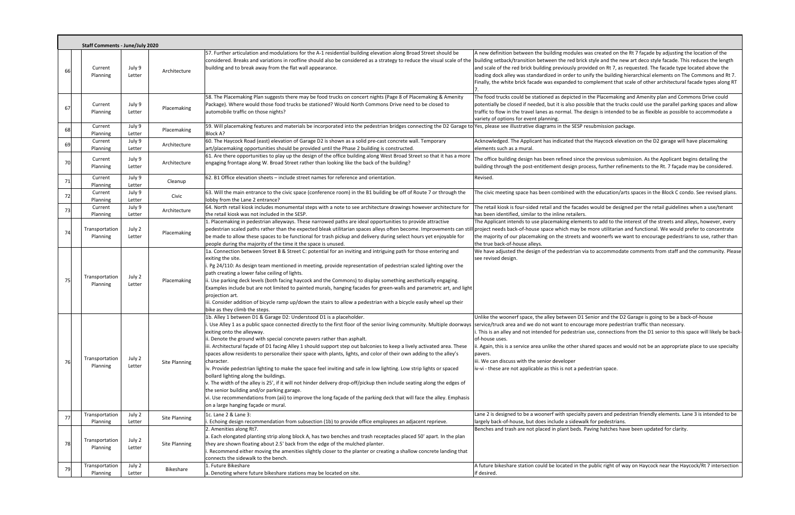|    | <b>Staff Comments - June/July 2020</b> |                  |               |                                                                                                                                                                                                                                                                                                                                                                                                                                                                                                                                                                                                                                                                                                                                                                                                                                                                                                                                                                                                                                                                                                                                                                                |                                                                                                                                                                                                                                                                                                                                                                                                                                                                                                                                                                                                |
|----|----------------------------------------|------------------|---------------|--------------------------------------------------------------------------------------------------------------------------------------------------------------------------------------------------------------------------------------------------------------------------------------------------------------------------------------------------------------------------------------------------------------------------------------------------------------------------------------------------------------------------------------------------------------------------------------------------------------------------------------------------------------------------------------------------------------------------------------------------------------------------------------------------------------------------------------------------------------------------------------------------------------------------------------------------------------------------------------------------------------------------------------------------------------------------------------------------------------------------------------------------------------------------------|------------------------------------------------------------------------------------------------------------------------------------------------------------------------------------------------------------------------------------------------------------------------------------------------------------------------------------------------------------------------------------------------------------------------------------------------------------------------------------------------------------------------------------------------------------------------------------------------|
|    | Current<br>Planning                    | July 9<br>Letter | Architecture  | 57. Further articulation and modulations for the A-1 residential building elevation along Broad Street should be<br>considered. Breaks and variations in roofline should also be considered as a strategy to reduce the visual scale of the<br>building and to break away from the flat wall appearance.                                                                                                                                                                                                                                                                                                                                                                                                                                                                                                                                                                                                                                                                                                                                                                                                                                                                       | A new definition between the building modules was created on the Rt 7 façade by adjusting the location of the<br>building setback/transition between the red brick style and the new art deco style facade. This reduces the length<br>and scale of the red brick building previously provided on Rt 7, as requested. The facade type located above the<br>loading dock alley was standardized in order to unify the building hierarchical elements on The Commons and Rt<br>Finally, the white brick facade was expanded to complement that scale of other architectural facade types along I |
| 6  | Current<br>Planning                    | July 9<br>Letter | Placemaking   | 58. The Placemaking Plan suggests there may be food trucks on concert nights (Page 8 of Placemaking & Amenity<br>Package). Where would those food trucks be stationed? Would North Commons Drive need to be closed to<br>automobile traffic on those nights?                                                                                                                                                                                                                                                                                                                                                                                                                                                                                                                                                                                                                                                                                                                                                                                                                                                                                                                   | The food trucks could be stationed as depicted in the Placemaking and Amenity plan and Commons Drive could<br>potentially be closed if needed, but it is also possible that the trucks could use the parallel parking spaces and allo<br>traffic to flow in the travel lanes as normal. The design is intended to be as flexible as possible to accommodate a<br>variety of options for event planning.                                                                                                                                                                                        |
| 68 | Current<br>Planning                    | July 9<br>Letter | Placemaking   | 59. Will placemaking features and materials be incorporated into the pedestrian bridges connecting the D2 Garage to Yes, please see illustrative diagrams in the SESP resubmission package.<br><b>Block A?</b>                                                                                                                                                                                                                                                                                                                                                                                                                                                                                                                                                                                                                                                                                                                                                                                                                                                                                                                                                                 |                                                                                                                                                                                                                                                                                                                                                                                                                                                                                                                                                                                                |
| 69 | Current<br>Planning                    | July 9<br>Letter | Architecture  | 60. The Haycock Road (east) elevation of Garage D2 is shown as a solid pre-cast concrete wall. Temporary<br>art/placemaking opportunities should be provided until the Phase 2 building is constructed.                                                                                                                                                                                                                                                                                                                                                                                                                                                                                                                                                                                                                                                                                                                                                                                                                                                                                                                                                                        | Acknowledged. The Applicant has indicated that the Haycock elevation on the D2 garage will have placemaking<br>elements such as a mural.                                                                                                                                                                                                                                                                                                                                                                                                                                                       |
| 70 | Current<br>Planning                    | July 9<br>Letter | Architecture  | 61. Are there opportunities to play up the design of the office building along West Broad Street so that it has a more<br>engaging frontage along W. Broad Street rather than looking like the back of the building?                                                                                                                                                                                                                                                                                                                                                                                                                                                                                                                                                                                                                                                                                                                                                                                                                                                                                                                                                           | The office building design has been refined since the previous submission. As the Applicant begins detailing the<br>building through the post-entitlement design process, further refinements to the Rt. 7 façade may be considered.                                                                                                                                                                                                                                                                                                                                                           |
| 71 | Current<br>Planning                    | July 9<br>Letter | Cleanup       | 62. B1 Office elevation sheets – include street names for reference and orientation.                                                                                                                                                                                                                                                                                                                                                                                                                                                                                                                                                                                                                                                                                                                                                                                                                                                                                                                                                                                                                                                                                           | Revised.                                                                                                                                                                                                                                                                                                                                                                                                                                                                                                                                                                                       |
| 72 | Current<br>Planning                    | July 9<br>Letter | Civic         | 63. Will the main entrance to the civic space (conference room) in the B1 building be off of Route 7 or through the<br>lobby from the Lane 2 entrance?                                                                                                                                                                                                                                                                                                                                                                                                                                                                                                                                                                                                                                                                                                                                                                                                                                                                                                                                                                                                                         | The civic meeting space has been combined with the education/arts spaces in the Block C condo. See revised plar                                                                                                                                                                                                                                                                                                                                                                                                                                                                                |
| 73 | Current<br>Planning                    | July 9<br>Letter | Architecture  | 64. North retail kiosk includes monumental steps with a note to see architecture drawings however architecture for<br>the retail kiosk was not included in the SESP.                                                                                                                                                                                                                                                                                                                                                                                                                                                                                                                                                                                                                                                                                                                                                                                                                                                                                                                                                                                                           | The retail kiosk is four-sided retail and the facades would be designed per the retail guidelines when a use/tenant<br>has been identified, similar to the inline retailers.                                                                                                                                                                                                                                                                                                                                                                                                                   |
| 74 | Transportation<br>Planning             | July 2<br>Letter | Placemaking   | 1. Placemaking in pedestrian alleyways. These narrowed paths are ideal opportunities to provide attractive<br>pedestrian scaled paths rather than the expected bleak utilitarian spaces alleys often become. Improvements can stil<br>be made to allow these spaces to be functional for trash pickup and delivery during select hours yet enjoyable for<br>people during the majority of the time it the space is unused.                                                                                                                                                                                                                                                                                                                                                                                                                                                                                                                                                                                                                                                                                                                                                     | The Applicant intends to use placemaking elements to add to the interest of the streets and alleys, however, ever<br>project needs back-of-house space which may be more utilitarian and functional. We would prefer to concentrate<br>the majority of our placemaking on the streets and woonerfs we want to encourage pedestrians to use, rather th<br>the true back-of-house alleys.                                                                                                                                                                                                        |
| 75 | Transportation<br>Planning             | July 2<br>Letter | Placemaking   | 1a. Connection between Street B & Street C: potential for an inviting and intriguing path for those entering and<br>exiting the site.<br>i. Pg 24/110: As design team mentioned in meeting, provide representation of pedestrian scaled lighting over the<br>path creating a lower false ceiling of lights.<br>ii. Use parking deck levels (both facing haycock and the Commons) to display something aesthetically engaging.<br>Examples include but are not limited to painted murals, hanging facades for green-walls and parametric art, and light<br>projection art.<br>iii. Consider addition of bicycle ramp up/down the stairs to allow a pedestrian with a bicycle easily wheel up their<br>bike as they climb the steps.                                                                                                                                                                                                                                                                                                                                                                                                                                             | We have adjusted the design of the pedestrian via to accommodate comments from staff and the community. Ple<br>see revised design.                                                                                                                                                                                                                                                                                                                                                                                                                                                             |
| 76 | Transportation<br>Planning             | July 2<br>Letter | Site Planning | 1b. Alley 1 between D1 & Garage D2: Understood D1 is a placeholder.<br>i. Use Alley 1 as a public space connected directly to the first floor of the senior living community. Multiple doorways sservice/truck area and we do not want to encourage more pedestrian traffic than necessary.<br>exiting onto the alleyway.<br>ii. Denote the ground with special concrete pavers rather than asphalt.<br>iii. Architectural façade of D1 facing Alley 1 should support step out balconies to keep a lively activated area. These<br>spaces allow residents to personalize their space with plants, lights, and color of their own adding to the alley's<br>character.<br>iv. Provide pedestrian lighting to make the space feel inviting and safe in low lighting. Low strip lights or spaced<br>bollard lighting along the buildings.<br>v. The width of the alley is 25', if it will not hinder delivery drop-off/pickup then include seating along the edges of<br>the senior building and/or parking garage.<br>vi. Use recommendations from (aii) to improve the long façade of the parking deck that will face the alley. Emphasis<br>on a large hanging façade or mural. | Unlike the woonerf space, the alley between D1 Senior and the D2 Garage is going to be a back-of-house<br>i. This is an alley and not intended for pedestrian use, connections from the D1 senior to this space will likely be b<br>of-house uses.<br>i. Again, this is a service area unlike the other shared spaces and would not be an appropriate place to use specia<br>pavers.<br>iii. We can discuss with the senior developer<br>iv-vi - these are not applicable as this is not a pedestrian space.                                                                                   |
| 77 | Transportation<br>Planning             | July 2<br>Letter | Site Planning | 1c. Lane 2 & Lane 3:<br>. Echoing design recommendation from subsection (1b) to provide office employees an adjacent reprieve.                                                                                                                                                                                                                                                                                                                                                                                                                                                                                                                                                                                                                                                                                                                                                                                                                                                                                                                                                                                                                                                 | Lane 2 is designed to be a woonerf with specialty pavers and pedestrian friendly elements. Lane 3 is intended to b<br>largely back-of-house, but does include a sidewalk for pedestrians.                                                                                                                                                                                                                                                                                                                                                                                                      |
| 78 | Transportation<br>Planning             | July 2<br>Letter | Site Planning | 2. Amenities along Rt7.<br>a. Each elongated planting strip along block A, has two benches and trash receptacles placed 50' apart. In the plan<br>they are shown floating about 2.5' back from the edge of the mulched planter.<br>Recommend either moving the amenities slightly closer to the planter or creating a shallow concrete landing that<br>connects the sidewalk to the bench.                                                                                                                                                                                                                                                                                                                                                                                                                                                                                                                                                                                                                                                                                                                                                                                     | Benches and trash are not placed in plant beds. Paving hatches have been updated for clarity.                                                                                                                                                                                                                                                                                                                                                                                                                                                                                                  |
|    | Transportation<br>Planning             | July 2<br>Letter | Bikeshare     | 1. Future Bikeshare<br>a. Denoting where future bikeshare stations may be located on site.                                                                                                                                                                                                                                                                                                                                                                                                                                                                                                                                                                                                                                                                                                                                                                                                                                                                                                                                                                                                                                                                                     | A future bikeshare station could be located in the public right of way on Haycock near the Haycock/Rt 7 intersecti<br>if desired.                                                                                                                                                                                                                                                                                                                                                                                                                                                              |

via to accommodate comments from staff and the community. Please

1 Senior and the D2 Garage is going to be a back‐of‐house urage more pedestrian traffic than necessary. in use, connections from the D1 senior to this space will likely be back‐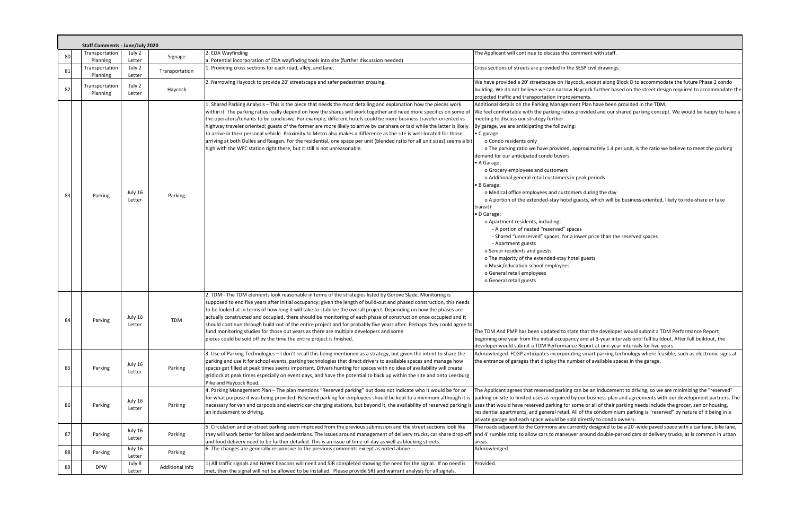|               | <b>Staff Comments - June/July 2020</b> |                   |                 |                                                                                                                                                                                                                                                                                                                                                                                                                                                                                                                                                                                                                                                                                                                                                                                                                              |                                                                                                                                                                                                                                                                                                                                                                                                                                                                                                                                                                                                                                                                                                                                                                                                                                                                                                                                                                                                                                                                                                                                                                                                                |  |  |  |  |  |
|---------------|----------------------------------------|-------------------|-----------------|------------------------------------------------------------------------------------------------------------------------------------------------------------------------------------------------------------------------------------------------------------------------------------------------------------------------------------------------------------------------------------------------------------------------------------------------------------------------------------------------------------------------------------------------------------------------------------------------------------------------------------------------------------------------------------------------------------------------------------------------------------------------------------------------------------------------------|----------------------------------------------------------------------------------------------------------------------------------------------------------------------------------------------------------------------------------------------------------------------------------------------------------------------------------------------------------------------------------------------------------------------------------------------------------------------------------------------------------------------------------------------------------------------------------------------------------------------------------------------------------------------------------------------------------------------------------------------------------------------------------------------------------------------------------------------------------------------------------------------------------------------------------------------------------------------------------------------------------------------------------------------------------------------------------------------------------------------------------------------------------------------------------------------------------------|--|--|--|--|--|
| 80            | Transportation                         | July 2            | Signage         | . EDA Wayfinding                                                                                                                                                                                                                                                                                                                                                                                                                                                                                                                                                                                                                                                                                                                                                                                                             | The Applicant will continue to discuss this comment with staff.                                                                                                                                                                                                                                                                                                                                                                                                                                                                                                                                                                                                                                                                                                                                                                                                                                                                                                                                                                                                                                                                                                                                                |  |  |  |  |  |
|               | Planning                               | Letter            |                 | a. Potential incorporation of EDA wayfinding tools into site (further discussion needed)                                                                                                                                                                                                                                                                                                                                                                                                                                                                                                                                                                                                                                                                                                                                     |                                                                                                                                                                                                                                                                                                                                                                                                                                                                                                                                                                                                                                                                                                                                                                                                                                                                                                                                                                                                                                                                                                                                                                                                                |  |  |  |  |  |
| 81            | Transportation<br>Planning             | July 2<br>Letter  | Transportation  | 1. Providing cross sections for each road, alley, and lane.                                                                                                                                                                                                                                                                                                                                                                                                                                                                                                                                                                                                                                                                                                                                                                  | Cross sections of streets are provided in the SESP civil drawings.                                                                                                                                                                                                                                                                                                                                                                                                                                                                                                                                                                                                                                                                                                                                                                                                                                                                                                                                                                                                                                                                                                                                             |  |  |  |  |  |
| 82            | Transportation<br>Planning             | July 2<br>Letter  | Haycock         | 2. Narrowing Haycock to provide 20' streetscape and safer pedestrian crossing.                                                                                                                                                                                                                                                                                                                                                                                                                                                                                                                                                                                                                                                                                                                                               | We have provided a 20' streetscape on Haycock, except along Block D to accommodate the future Phase 2 condo<br>building. We do not believe we can narrow Haycock further based on the street design required to accommodate the<br>projected traffic and transportation improvements.                                                                                                                                                                                                                                                                                                                                                                                                                                                                                                                                                                                                                                                                                                                                                                                                                                                                                                                          |  |  |  |  |  |
| 83            | Parking                                | July 16<br>Letter | Parking         | 1. Shared Parking Analysis - This is the piece that needs the most detailing and explanation how the pieces work<br>within it. The parking ratios really depend on how the shares will work together and need more specifics on some of<br>the operators/tenants to be conclusive. For example, different hotels could be more business traveler-oriented vs<br>highway traveler oriented; guests of the former are more likely to arrive by car share or taxi while the latter is likely<br>to arrive in their personal vehicle. Proximity to Metro also makes a difference as the site is well-located for those<br>arriving at both Dulles and Reagan. For the residential, one space per unit (blended ratio for all unit sizes) seems a bit<br>high with the WFC station right there, but it still is not unreasonable. | Additional details on the Parking Management Plan have been provided in the TDM.<br>We feel comfortable with the parking ratios provided and our shared parking concept. We would be happy to have a<br>meeting to discuss our strategy further.<br>By garage, we are anticipating the following:<br>• C garage<br>o Condo residents only<br>o The parking ratio we have provided, approximately 1.4 per unit, is the ratio we believe to meet the parking<br>demand for our anticipated condo buyers.<br>• A Garage:<br>o Grocery employees and customers<br>o Additional general retail customers in peak periods<br>• B Garage:<br>o Medical office employees and customers during the day<br>o A portion of the extended-stay hotel guests, which will be business-oriented, likely to ride-share or take<br>transit)<br>• D Garage:<br>o Apartment residents, including:<br>- A portion of nested "reserved" spaces<br>- Shared "unreserved" spaces, for a lower price than the reserved spaces<br>- Apartment guests<br>o Senior residents and guests<br>o The majority of the extended-stay hotel guests<br>o Music/education school employees<br>o General retail employees<br>o General retail guests |  |  |  |  |  |
| $\mathcal{R}$ | Parking                                | July 16<br>Letter | TDM             | 2. TDM - The TDM elements look reasonable in terms of the strategies listed by Gorove Slade. Monitoring is<br>supposed to end five years after initial occupancy; given the length of build-out and phased construction, this needs<br>to be looked at in terms of how long it will take to stabilize the overall project. Depending on how the phases are<br>actually constructed and occupied, there should be monitoring of each phase of construction once occupied and it<br>should continue through build-out of the entire project and for probably five years after. Perhaps they could agree to<br>fund monitoring studies for those out years as there are multiple developers and some<br>pieces could be sold off by the time the entire project is finished.                                                    | The TDM And PMP has been updated to state that the developer would submit a TDM Performance Report<br>beginning one year from the initial occupancy and at 3-year intervals until full buildout. After full buildout, the<br>developer would submit a TDM Performance Report at one-year intervals for five years                                                                                                                                                                                                                                                                                                                                                                                                                                                                                                                                                                                                                                                                                                                                                                                                                                                                                              |  |  |  |  |  |
| 8!            | Parking                                | July 16<br>Letter | Parking         | 3. Use of Parking Technologies – I don't recall this being mentioned as a strategy, but given the intent to share the<br>parking and use it for school events, parking technologies that direct drivers to available spaces and manage how<br>spaces get filled at peak times seems important. Drivers hunting for spaces with no idea of availability will create<br>gridlock at peak times especially on event days, and have the potential to back up within the site and onto Leesburg<br>Pike and Haycock Road.                                                                                                                                                                                                                                                                                                         | Acknowledged. FCGP anticipates incorporating smart parking technology where feasible, such as electronic signs at<br>the entrance of garages that display the number of available spaces in the garage.                                                                                                                                                                                                                                                                                                                                                                                                                                                                                                                                                                                                                                                                                                                                                                                                                                                                                                                                                                                                        |  |  |  |  |  |
| 86            | Parking                                | July 16<br>Letter | Parking         | 4. Parking Management Plan - The plan mentions "Reserved parking" but does not indicate who it would be for or<br>necessary for van and carpools and electric car charging stations, but beyond it, the availability of reserved parking is uses that would have reserved parking for some or all of their parking needs include the grocer, sen<br>an inducement to driving.                                                                                                                                                                                                                                                                                                                                                                                                                                                | The Applicant agrees that reserved parking can be an inducement to driving, so we are minimizing the "reserved"<br>for what purpose it was being provided. Reserved parking for employees should be kept to a minimum although it is parking on site to limited uses as required by our business plan and agreements with our development partner<br>residential apartments, and general retail. All of the condominium parking is "reserved" by nature of it being in a<br>private garage and each space would be sold directly to condo owners.                                                                                                                                                                                                                                                                                                                                                                                                                                                                                                                                                                                                                                                              |  |  |  |  |  |
| 87            | Parking                                | July 16<br>Letter | Parking         | . Circulation and on-street parking seem improved from the previous submission and the street sections look like<br>they will work better for bikes and pedestrians. The issues around management of delivery trucks, car share drop-off<br>and food delivery need to be further detailed. This is an issue of time-of-day as well as blocking streets.                                                                                                                                                                                                                                                                                                                                                                                                                                                                      | The roads adjacent to the Commons are currently designed to be a 20'-wide paved space with a car lane, bike lane,<br>and 4' rumble strip to allow cars to maneuver around double-parked cars or delivery trucks, as is common in urban<br>areas.                                                                                                                                                                                                                                                                                                                                                                                                                                                                                                                                                                                                                                                                                                                                                                                                                                                                                                                                                               |  |  |  |  |  |
| 88            | Parking                                | July 16<br>Letter | Parking         | 6. The changes are generally responsive to the previous comments except as noted above.                                                                                                                                                                                                                                                                                                                                                                                                                                                                                                                                                                                                                                                                                                                                      | Acknowledged                                                                                                                                                                                                                                                                                                                                                                                                                                                                                                                                                                                                                                                                                                                                                                                                                                                                                                                                                                                                                                                                                                                                                                                                   |  |  |  |  |  |
|               | <b>DPW</b>                             | July 8<br>Letter  | Additional Info | 1) All traffic signals and HAWK beacons will need and SJR completed showing the need for the signal. If no need is<br>met, then the signal will not be allowed to be installed. Please provide SRJ and warrant analysis for all signals.                                                                                                                                                                                                                                                                                                                                                                                                                                                                                                                                                                                     | Provided.                                                                                                                                                                                                                                                                                                                                                                                                                                                                                                                                                                                                                                                                                                                                                                                                                                                                                                                                                                                                                                                                                                                                                                                                      |  |  |  |  |  |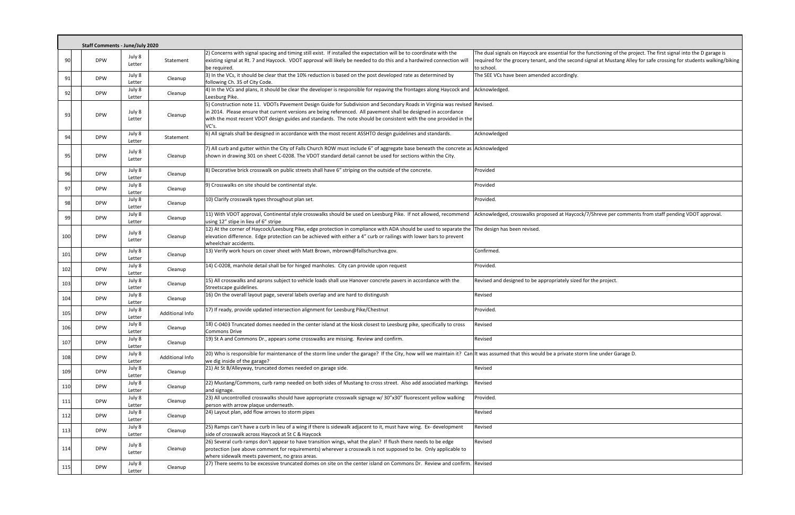|     | <b>Staff Comments - June/July 2020</b> |                  |                 |                                                                                                                                                                                                                                                                                                                                                                            |                                                                                                                                                                                                                                                            |
|-----|----------------------------------------|------------------|-----------------|----------------------------------------------------------------------------------------------------------------------------------------------------------------------------------------------------------------------------------------------------------------------------------------------------------------------------------------------------------------------------|------------------------------------------------------------------------------------------------------------------------------------------------------------------------------------------------------------------------------------------------------------|
| 90  | <b>DPW</b>                             | July 8<br>Letter | Statement       | 2) Concerns with signal spacing and timing still exist. If installed the expectation will be to coordinate with the<br>existing signal at Rt. 7 and Haycock. VDOT approval will likely be needed to do this and a hardwired connection will<br>be required.                                                                                                                | The dual signals on Haycock are essential for the functioning of the project. The first signal into the D garage is<br>required for the grocery tenant, and the second signal at Mustang Alley for safe crossing for students walking/biking<br>to school. |
| 91  | <b>DPW</b>                             | July 8<br>Letter | Cleanup         | 3) In the VCs, it should be clear that the 10% reduction is based on the post developed rate as determined by<br>following Ch. 35 of City Code.                                                                                                                                                                                                                            | The SEE VCs have been amended accordingly.                                                                                                                                                                                                                 |
| 92  | <b>DPW</b>                             | July 8<br>Letter | Cleanup         | 4) In the VCs and plans, it should be clear the developer is responsible for repaving the frontages along Haycock and Acknowledged.<br>Leesburg Pike.                                                                                                                                                                                                                      |                                                                                                                                                                                                                                                            |
| 93  | <b>DPW</b>                             | July 8<br>Letter | Cleanup         | 5) Construction note 11. VDOTs Pavement Design Guide for Subdivision and Secondary Roads in Virginia was revised Revised.<br>in 2014. Please ensure that current versions are being referenced. All pavement shall be designed in accordance<br>with the most recent VDOT design guides and standards. The note should be consistent with the one provided in the<br>VC's. |                                                                                                                                                                                                                                                            |
| 94  | <b>DPW</b>                             | July 8<br>Letter | Statement       | 6) All signals shall be designed in accordance with the most recent ASSHTO design guidelines and standards.                                                                                                                                                                                                                                                                | Acknowledged                                                                                                                                                                                                                                               |
| 95  | <b>DPW</b>                             | July 8<br>Letter | Cleanup         | 7) All curb and gutter within the City of Falls Church ROW must include 6" of aggregate base beneath the concrete as Acknowledged<br>shown in drawing 301 on sheet C-0208. The VDOT standard detail cannot be used for sections within the City.                                                                                                                           |                                                                                                                                                                                                                                                            |
| 96  | <b>DPW</b>                             | July 8<br>Letter | Cleanup         | [8] Decorative brick crosswalk on public streets shall have 6" striping on the outside of the concrete.                                                                                                                                                                                                                                                                    | Provided                                                                                                                                                                                                                                                   |
| 97  | <b>DPW</b>                             | July 8<br>Letter | Cleanup         | 9) Crosswalks on site should be continental style.                                                                                                                                                                                                                                                                                                                         | Provided                                                                                                                                                                                                                                                   |
| 98  | <b>DPW</b>                             | July 8<br>Letter | Cleanup         | 10) Clarify crosswalk types throughout plan set.                                                                                                                                                                                                                                                                                                                           | Provided.                                                                                                                                                                                                                                                  |
| 99  | <b>DPW</b>                             | July 8<br>Letter | Cleanup         | 11) With VDOT approval, Continental style crosswalks should be used on Leesburg Pike. If not allowed, recommend<br>using 12" stipe in lieu of 6" stripe                                                                                                                                                                                                                    | Acknowledged, crosswalks proposed at Haycock/7/Shreve per comments from staff pending VDOT approval.                                                                                                                                                       |
| 100 | <b>DPW</b>                             | July 8<br>Letter | Cleanup         | 12) At the corner of Haycock/Leesburg Pike, edge protection in compliance with ADA should be used to separate the The design has been revised.<br>elevation difference. Edge protection can be achieved with either a 4" curb or railings with lower bars to prevent<br>wheelchair accidents.                                                                              |                                                                                                                                                                                                                                                            |
| 101 | <b>DPW</b>                             | July 8<br>Letter | Cleanup         | 13) Verify work hours on cover sheet with Matt Brown, mbrown@fallschurchva.gov.                                                                                                                                                                                                                                                                                            | Confirmed.                                                                                                                                                                                                                                                 |
| 102 | <b>DPW</b>                             | July 8<br>Letter | Cleanup         | 14) C-0208, manhole detail shall be for hinged manholes. City can provide upon request                                                                                                                                                                                                                                                                                     | Provided.                                                                                                                                                                                                                                                  |
| 103 | <b>DPW</b>                             | July 8<br>Letter | Cleanup         | 15) All crosswalks and aprons subject to vehicle loads shall use Hanover concrete pavers in accordance with the<br>Streetscape guidelines.                                                                                                                                                                                                                                 | Revised and designed to be appropriately sized for the project.                                                                                                                                                                                            |
| 104 | <b>DPW</b>                             | July 8<br>Letter | Cleanup         | 16) On the overall layout page, several labels overlap and are hard to distinguish                                                                                                                                                                                                                                                                                         | Revised                                                                                                                                                                                                                                                    |
| 105 | <b>DPW</b>                             | July 8<br>Letter | Additional Info | 17) If ready, provide updated intersection alignment for Leesburg Pike/Chestnut                                                                                                                                                                                                                                                                                            | Provided.                                                                                                                                                                                                                                                  |
| 106 | <b>DPW</b>                             | July 8<br>Letter | Cleanup         | 18) C-0403 Truncated domes needed in the center island at the kiosk closest to Leesburg pike, specifically to cross<br>Commons Drive                                                                                                                                                                                                                                       | Revised                                                                                                                                                                                                                                                    |
| 107 | <b>DPW</b>                             | July 8<br>Letter | Cleanup         | 19) St A and Commons Dr., appears some crosswalks are missing. Review and confirm.                                                                                                                                                                                                                                                                                         | Revised                                                                                                                                                                                                                                                    |
| 108 | <b>DPW</b>                             | July 8<br>Letter | Additional Info | [20] Who is responsible for maintenance of the storm line under the garage? If the City, how will we maintain it? Can It was assumed that this would be a private storm line under Garage D.<br>we dig inside of the garage?                                                                                                                                               |                                                                                                                                                                                                                                                            |
| 109 | <b>DPW</b>                             | July 8<br>Letter | Cleanup         | 21) At St B/Alleyway, truncated domes needed on garage side.                                                                                                                                                                                                                                                                                                               | Revised                                                                                                                                                                                                                                                    |
| 110 | <b>DPW</b>                             | July 8<br>Letter | Cleanup         | [22] Mustang/Commons, curb ramp needed on both sides of Mustang to cross street. Also add associated markings<br>and signage.                                                                                                                                                                                                                                              | Revised                                                                                                                                                                                                                                                    |
| 111 | <b>DPW</b>                             | July 8<br>Letter | Cleanup         | [23] All uncontrolled crosswalks should have appropriate crosswalk signage w/ 30"x30" fluorescent yellow walking<br>person with arrow plaque underneath.                                                                                                                                                                                                                   | Provided.                                                                                                                                                                                                                                                  |
| 112 | <b>DPW</b>                             | July 8<br>Letter | Cleanup         | 24) Layout plan, add flow arrows to storm pipes                                                                                                                                                                                                                                                                                                                            | Revised                                                                                                                                                                                                                                                    |
| 113 | <b>DPW</b>                             | July 8<br>Letter | Cleanup         | 25) Ramps can't have a curb in lieu of a wing if there is sidewalk adjacent to it, must have wing. Ex-development<br>side of crosswalk across Haycock at St C & Haycock                                                                                                                                                                                                    | Revised                                                                                                                                                                                                                                                    |
| 114 | <b>DPW</b>                             | July 8<br>Letter | Cleanup         | 26) Several curb ramps don't appear to have transition wings, what the plan? If flush there needs to be edge<br>protection (see above comment for requirements) wherever a crosswalk is not supposed to be. Only applicable to<br>where sidewalk meets pavement, no grass areas.                                                                                           | Revised                                                                                                                                                                                                                                                    |
| 115 | <b>DPW</b>                             | July 8<br>Letter | Cleanup         | [27] There seems to be excessive truncated domes on site on the center island on Commons Dr. Review and confirm. Revised                                                                                                                                                                                                                                                   |                                                                                                                                                                                                                                                            |

| I Haycock are essential for the functioning of the project. The first signal into the D garage is  |
|----------------------------------------------------------------------------------------------------|
| ocery tenant, and the second signal at Mustang Alley for safe crossing for students walking/biking |
| been amended accordingly.                                                                          |
|                                                                                                    |
|                                                                                                    |
|                                                                                                    |
|                                                                                                    |
|                                                                                                    |
|                                                                                                    |
|                                                                                                    |
|                                                                                                    |
|                                                                                                    |
|                                                                                                    |
|                                                                                                    |
|                                                                                                    |
|                                                                                                    |
|                                                                                                    |
|                                                                                                    |
|                                                                                                    |
| osswalks proposed at Haycock/7/Shreve per comments from staff pending VDOT approval.               |
|                                                                                                    |
| en revised.                                                                                        |
|                                                                                                    |
|                                                                                                    |
|                                                                                                    |
|                                                                                                    |
|                                                                                                    |
| hed to be appropriately sized for the project.                                                     |
|                                                                                                    |
|                                                                                                    |
|                                                                                                    |
|                                                                                                    |
|                                                                                                    |
|                                                                                                    |
|                                                                                                    |
| at this would be a private storm line under Garage D.                                              |
|                                                                                                    |
|                                                                                                    |
|                                                                                                    |
|                                                                                                    |
|                                                                                                    |
|                                                                                                    |
|                                                                                                    |
|                                                                                                    |
|                                                                                                    |
|                                                                                                    |
|                                                                                                    |
|                                                                                                    |
|                                                                                                    |
|                                                                                                    |
|                                                                                                    |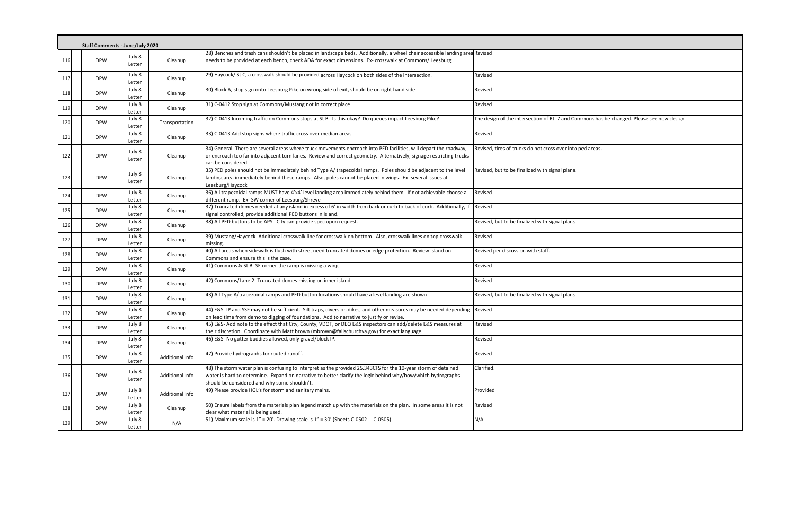|       | <b>Staff Comments - June/July 2020</b> |                  |                 |                                                                                                                                                                                                                                                                                |                                                                                           |  |  |  |  |
|-------|----------------------------------------|------------------|-----------------|--------------------------------------------------------------------------------------------------------------------------------------------------------------------------------------------------------------------------------------------------------------------------------|-------------------------------------------------------------------------------------------|--|--|--|--|
|       |                                        |                  |                 |                                                                                                                                                                                                                                                                                |                                                                                           |  |  |  |  |
| 116   | <b>DPW</b>                             | July 8<br>Letter | Cleanup         | 28) Benches and trash cans shouldn't be placed in landscape beds. Additionally, a wheel chair accessible landing area Revised<br>needs to be provided at each bench, check ADA for exact dimensions. Ex- crosswalk at Commons/ Leesburg                                        |                                                                                           |  |  |  |  |
| 117   | <b>DPW</b>                             | July 8<br>Letter | Cleanup         | 29) Haycock/ St C, a crosswalk should be provided across Haycock on both sides of the intersection.                                                                                                                                                                            | Revised                                                                                   |  |  |  |  |
| 118   | <b>DPW</b>                             | July 8<br>Letter | Cleanup         | 30) Block A, stop sign onto Leesburg Pike on wrong side of exit, should be on right hand side.                                                                                                                                                                                 | Revised                                                                                   |  |  |  |  |
| 119   | <b>DPW</b>                             | July 8<br>Letter | Cleanup         | 31) C-0412 Stop sign at Commons/Mustang not in correct place                                                                                                                                                                                                                   | Revised                                                                                   |  |  |  |  |
| 120   | <b>DPW</b>                             | July 8<br>Letter | Transportation  | 32) C-0413 Incoming traffic on Commons stops at St B. Is this okay? Do queues impact Leesburg Pike?                                                                                                                                                                            | The design of the intersection of Rt. 7 and Commons has be changed. Please see new design |  |  |  |  |
| 121   | <b>DPW</b>                             | July 8<br>Letter | Cleanup         | 33) C-0413 Add stop signs where traffic cross over median areas                                                                                                                                                                                                                | Revised                                                                                   |  |  |  |  |
| 122   | <b>DPW</b>                             | July 8<br>Letter | Cleanup         | [34] General-There are several areas where truck movements encroach into PED facilities, will depart the roadway,<br>or encroach too far into adjacent turn lanes. Review and correct geometry. Alternatively, signage restricting trucks<br>can be considered.                | Revised, tires of trucks do not cross over into ped areas.                                |  |  |  |  |
| $123$ | <b>DPW</b>                             | July 8<br>Letter | Cleanup         | 35) PED poles should not be immediately behind Type A/ trapezoidal ramps. Poles should be adjacent to the level<br>landing area immediately behind these ramps. Also, poles cannot be placed in wings. Ex- several issues at<br>Leesburg/Haycock                               | Revised, but to be finalized with signal plans.                                           |  |  |  |  |
| 124   | <b>DPW</b>                             | July 8<br>Letter | Cleanup         | 36) All trapezoidal ramps MUST have 4'x4' level landing area immediately behind them. If not achievable choose a<br>different ramp. Ex-SW corner of Leesburg/Shreve                                                                                                            | Revised                                                                                   |  |  |  |  |
| 125   | <b>DPW</b>                             | July 8<br>Letter | Cleanup         | 37) Truncated domes needed at any island in excess of 6' in width from back or curb to back of curb. Additionally, if<br>signal controlled, provide additional PED buttons in island.                                                                                          | Revised                                                                                   |  |  |  |  |
| 126   | <b>DPW</b>                             | July 8<br>Letter | Cleanup         | 38) All PED buttons to be APS. City can provide spec upon request.                                                                                                                                                                                                             | Revised, but to be finalized with signal plans.                                           |  |  |  |  |
| 127   | <b>DPW</b>                             | July 8<br>Letter | Cleanup         | 39) Mustang/Haycock-Additional crosswalk line for crosswalk on bottom. Also, crosswalk lines on top crosswalk<br>missing.                                                                                                                                                      | Revised                                                                                   |  |  |  |  |
| 128   | <b>DPW</b>                             | July 8<br>Letter | Cleanup         | 40) All areas when sidewalk is flush with street need truncated domes or edge protection. Review island on<br>Commons and ensure this is the case.                                                                                                                             | Revised per discussion with staff.                                                        |  |  |  |  |
| 129   | <b>DPW</b>                             | July 8<br>Letter | Cleanup         | 41) Commons & St B-SE corner the ramp is missing a wing                                                                                                                                                                                                                        | Revised                                                                                   |  |  |  |  |
| 130   | <b>DPW</b>                             | July 8<br>Letter | Cleanup         | 42) Commons/Lane 2- Truncated domes missing on inner island                                                                                                                                                                                                                    | Revised                                                                                   |  |  |  |  |
| 131   | <b>DPW</b>                             | July 8<br>Letter | Cleanup         | 43) All Type A/trapezoidal ramps and PED button locations should have a level landing are shown                                                                                                                                                                                | Revised, but to be finalized with signal plans.                                           |  |  |  |  |
| 132   | <b>DPW</b>                             | July 8<br>Letter | Cleanup         | 44) E&S-IP and SSF may not be sufficient. Silt traps, diversion dikes, and other measures may be needed depending Revised<br>on lead time from demo to digging of foundations. Add to narrative to justify or revise.                                                          |                                                                                           |  |  |  |  |
| 133   | <b>DPW</b>                             | July 8<br>Letter | Cleanup         | 45) E&S- Add note to the effect that City, County, VDOT, or DEQ E&S inspectors can add/delete E&S measures at<br> their discretion. Coordinate with Matt brown (mbrown@fallschurchva.gov) for exact language.                                                                  | Revised                                                                                   |  |  |  |  |
| 134   | <b>DPW</b>                             | July 8<br>Letter | Cleanup         | 46) E&S- No gutter buddies allowed, only gravel/block IP.                                                                                                                                                                                                                      | Revised                                                                                   |  |  |  |  |
| 135   | <b>DPW</b>                             | July 8<br>Letter | Additional Info | 47) Provide hydrographs for routed runoff.                                                                                                                                                                                                                                     | Revised                                                                                   |  |  |  |  |
| 136   | <b>DPW</b>                             | July 8<br>Letter | Additional Info | 48) The storm water plan is confusing to interpret as the provided 25.343CFS for the 10-year storm of detained<br>water is hard to determine. Expand on narrative to better clarify the logic behind why/how/which hydrographs<br>should be considered and why some shouldn't. | Clarified.                                                                                |  |  |  |  |
| 137   | <b>DPW</b>                             | July 8<br>Letter | Additional Info | 49) Please provide HGL's for storm and sanitary mains.                                                                                                                                                                                                                         | Provided                                                                                  |  |  |  |  |
| 138   | <b>DPW</b>                             | July 8<br>Letter | Cleanup         | 50) Ensure labels from the materials plan legend match up with the materials on the plan. In some areas it is not<br>clear what material is being used.                                                                                                                        | Revised                                                                                   |  |  |  |  |
| 139   | <b>DPW</b>                             | July 8<br>Letter | N/A             | [51] Maximum scale is $1'' = 20'$ . Drawing scale is $1'' = 30'$ (Sheets C-0502 C-0505)                                                                                                                                                                                        | N/A                                                                                       |  |  |  |  |

| nons has be changed. Please see new design. |
|---------------------------------------------|
|                                             |
| d areas.                                    |
|                                             |
|                                             |
|                                             |
|                                             |
|                                             |
|                                             |
|                                             |
|                                             |
|                                             |
|                                             |
|                                             |
|                                             |
|                                             |
|                                             |
|                                             |
|                                             |
|                                             |
|                                             |
|                                             |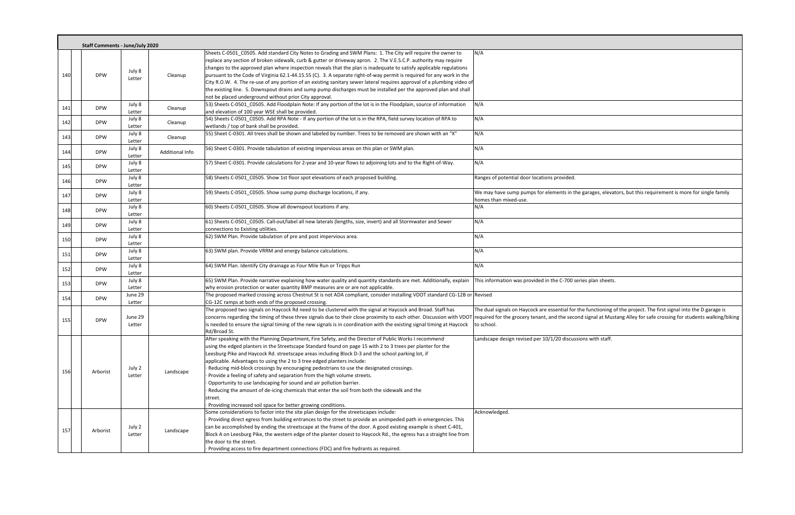|     | <b>Staff Comments - June/July 2020</b> |                   |                 |                                                                                                                                                                                                                                                                                                                                                                                                                                                                                                                                                                                                                                                                                                                                                                                                                                   |                                                                                                                                                   |
|-----|----------------------------------------|-------------------|-----------------|-----------------------------------------------------------------------------------------------------------------------------------------------------------------------------------------------------------------------------------------------------------------------------------------------------------------------------------------------------------------------------------------------------------------------------------------------------------------------------------------------------------------------------------------------------------------------------------------------------------------------------------------------------------------------------------------------------------------------------------------------------------------------------------------------------------------------------------|---------------------------------------------------------------------------------------------------------------------------------------------------|
| 140 | <b>DPW</b>                             | July 8<br>Letter  | Cleanup         | Sheets C-0501_C0505. Add standard City Notes to Grading and SWM Plans: 1. The City will require the owner to<br>replace any section of broken sidewalk, curb & gutter or driveway apron. 2. The V.E.S.C.P. authority may require<br>changes to the approved plan where inspection reveals that the plan is inadequate to satisfy applicable regulations<br>pursuant to the Code of Virginia 62.1-44.15.55 (C). 3. A separate right-of-way permit is required for any work in the<br>City R.O.W. 4. The re-use of any portion of an existing sanitary sewer lateral requires approval of a plumbing video of<br>the existing line. 5. Downspout drains and sump pump discharges must be installed per the approved plan and shall<br>not be placed underground without prior City approval.                                        | N/A                                                                                                                                               |
| 141 | <b>DPW</b>                             | July 8<br>Letter  | Cleanup         | 53) Sheets C-0501_C0505. Add Floodplain Note: If any portion of the lot is in the Floodplain, source of information<br>and elevation of 100 year WSE shall be provided.                                                                                                                                                                                                                                                                                                                                                                                                                                                                                                                                                                                                                                                           | N/A                                                                                                                                               |
| 142 | <b>DPW</b>                             | July 8<br>Letter  | Cleanup         | 54) Sheets C-0501_C0505. Add RPA Note - If any portion of the lot is in the RPA, field survey location of RPA to<br>wetlands / top of bank shall be provided.                                                                                                                                                                                                                                                                                                                                                                                                                                                                                                                                                                                                                                                                     | N/A                                                                                                                                               |
| 143 | <b>DPW</b>                             | July 8<br>Letter  | Cleanup         | 55) Sheet C-0301. All trees shall be shown and labeled by number. Trees to be removed are shown with an "X"                                                                                                                                                                                                                                                                                                                                                                                                                                                                                                                                                                                                                                                                                                                       | N/A                                                                                                                                               |
| 144 | <b>DPW</b>                             | July 8<br>Letter  | Additional Info | 56) Sheet C-0301. Provide tabulation of existing impervious areas on this plan or SWM plan.                                                                                                                                                                                                                                                                                                                                                                                                                                                                                                                                                                                                                                                                                                                                       | N/A                                                                                                                                               |
| 145 | <b>DPW</b>                             | July 8<br>Letter  |                 | 57) Sheet C-0301. Provide calculations for 2-year and 10-year flows to adjoining lots and to the Right-of-Way.                                                                                                                                                                                                                                                                                                                                                                                                                                                                                                                                                                                                                                                                                                                    | N/A                                                                                                                                               |
| 146 | <b>DPW</b>                             | July 8<br>Letter  |                 | 58) Sheets C-0501_C0505. Show 1st floor spot elevations of each proposed building.                                                                                                                                                                                                                                                                                                                                                                                                                                                                                                                                                                                                                                                                                                                                                | Ranges of potential door locations provided.                                                                                                      |
| 147 | <b>DPW</b>                             | July 8<br>Letter  |                 | 59) Sheets C-0501_C0505. Show sump pump discharge locations, if any.                                                                                                                                                                                                                                                                                                                                                                                                                                                                                                                                                                                                                                                                                                                                                              | We may have sump pumps for elements in the garages, elevato<br>homes than mixed-use.                                                              |
| 148 | <b>DPW</b>                             | July 8<br>Letter  |                 | 60) Sheets C-0501_C0505. Show all downspout locations if any.                                                                                                                                                                                                                                                                                                                                                                                                                                                                                                                                                                                                                                                                                                                                                                     | N/A                                                                                                                                               |
| 149 | <b>DPW</b>                             | July 8<br>Letter  |                 | 61) Sheets C-0501_C0505. Call-out/label all new laterals (lengths, size, invert) and all Stormwater and Sewer<br>connections to Existing utilities.                                                                                                                                                                                                                                                                                                                                                                                                                                                                                                                                                                                                                                                                               | N/A                                                                                                                                               |
| 150 | <b>DPW</b>                             | July 8<br>Letter  |                 | 62) SWM Plan. Provide tabulation of pre and post impervious area.                                                                                                                                                                                                                                                                                                                                                                                                                                                                                                                                                                                                                                                                                                                                                                 | N/A                                                                                                                                               |
| 151 | <b>DPW</b>                             | July 8<br>Letter  |                 | 63) SWM plan. Provide VRRM and energy balance calculations.                                                                                                                                                                                                                                                                                                                                                                                                                                                                                                                                                                                                                                                                                                                                                                       | N/A                                                                                                                                               |
| 152 | <b>DPW</b>                             | July 8<br>Letter  |                 | 64) SWM Plan. Identify City drainage as Four Mile Run or Tripps Run                                                                                                                                                                                                                                                                                                                                                                                                                                                                                                                                                                                                                                                                                                                                                               | N/A                                                                                                                                               |
| 153 | <b>DPW</b>                             | July 8<br>Letter  |                 | 65) SWM Plan. Provide narrative explaining how water quality and quantity standards are met. Additionally, explain<br>why erosion protection or water quantity BMP measures are or are not applicable.                                                                                                                                                                                                                                                                                                                                                                                                                                                                                                                                                                                                                            | This information was provided in the C-700 series plan sheets.                                                                                    |
| 154 | <b>DPW</b>                             | June 29<br>Letter |                 | The proposed marked crossing across Chestnut St is not ADA compliant, consider installing VDOT standard CG-12B or Revised<br>CG-12C ramps at both ends of the proposed crossing.                                                                                                                                                                                                                                                                                                                                                                                                                                                                                                                                                                                                                                                  |                                                                                                                                                   |
| 155 | <b>DPW</b>                             | June 29<br>Letter |                 | The proposed two signals on Haycock Rd need to be clustered with the signal at Haycock and Broad. Staff has<br>concerns regarding the timing of these three signals due to their close proximity to each other. Discussion with VDOT<br>is needed to ensure the signal timing of the new signals is in coordination with the existing signal timing at Haycock<br>Rd/Broad St.                                                                                                                                                                                                                                                                                                                                                                                                                                                    | The dual signals on Haycock are essential for the functioning of<br>required for the grocery tenant, and the second signal at Musta<br>to school. |
| 156 | Arborist                               | July 2<br>Letter  | Landscape       | After speaking with the Planning Department, Fire Safety, and the Director of Public Works I recommend<br>using the edged planters in the Streetscape Standard found on page 15 with 2 to 3 trees per planter for the<br>Leesburg Pike and Haycock Rd. streetscape areas including Block D-3 and the school parking lot, if<br>applicable. Advantages to using the 2 to 3 tree edged planters include:<br>Reducing mid-block crossings by encouraging pedestrians to use the designated crossings.<br>Provide a feeling of safety and separation from the high volume streets.<br>Opportunity to use landscaping for sound and air pollution barrier.<br>Reducing the amount of de-icing chemicals that enter the soil from both the sidewalk and the<br>street.<br>Providing increased soil space for better growing conditions. | Landscape design revised per 10/1/20 discussions with staff.                                                                                      |
| 157 | Arborist                               | July 2<br>Letter  | Landscape       | Some considerations to factor into the site plan design for the streetscapes include:<br>Providing direct egress from building entrances to the street to provide an unimpeded path in emergencies. This<br>can be accomplished by ending the streetscape at the frame of the door. A good existing example is sheet C-401,<br>Block A on Leesburg Pike, the western edge of the planter closest to Haycock Rd., the egress has a straight line from<br>the door to the street.<br>· Providing access to fire department connections (FDC) and fire hydrants as required.                                                                                                                                                                                                                                                         | Acknowledged.                                                                                                                                     |

e garages, elevators, but this requirement is more for single family

he functioning of the project. The first signal into the D garage is nd signal at Mustang Alley for safe crossing for students walking/biking  $\overline{\phantom{a}}$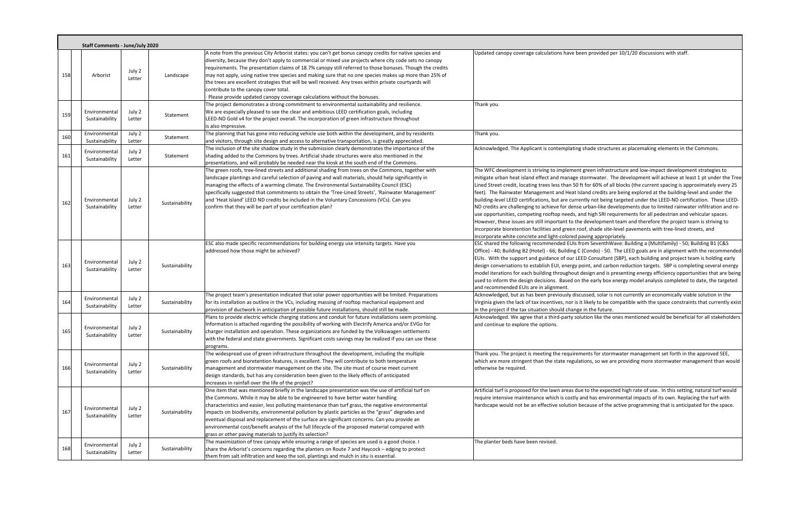|     | <b>Staff Comments - June/July 2020</b> |                  |                |                                                                                                                                                                                                                                                                                                                                                                                                                                                                                                                                                                                                                                                                           |                                                                                                                                                                                                                                                                                                                                                                                                                                                                                                                               |
|-----|----------------------------------------|------------------|----------------|---------------------------------------------------------------------------------------------------------------------------------------------------------------------------------------------------------------------------------------------------------------------------------------------------------------------------------------------------------------------------------------------------------------------------------------------------------------------------------------------------------------------------------------------------------------------------------------------------------------------------------------------------------------------------|-------------------------------------------------------------------------------------------------------------------------------------------------------------------------------------------------------------------------------------------------------------------------------------------------------------------------------------------------------------------------------------------------------------------------------------------------------------------------------------------------------------------------------|
| 158 | Arborist                               | July 2<br>Letter | Landscape      | A note from the previous City Arborist states: you can't get bonus canopy credits for native species and<br>diversity, because they don't apply to commercial or mixed use projects where city code sets no canopy<br>requirements. The presentation claims of 18.7% canopy still referred to those bonuses. Though the credits<br>may not apply, using native tree species and making sure that no one species makes up more than 25% of<br>the trees are excellent strategies that will be well received. Any trees within private courtyards will<br>contribute to the canopy cover total.<br>Please provide updated canopy coverage calculations without the bonuses. | Updated canopy coverage calculations have bee                                                                                                                                                                                                                                                                                                                                                                                                                                                                                 |
| 159 | Environmental<br>Sustainability        | July 2<br>Letter | Statement      | The project demonstrates a strong commitment to environmental sustainability and resilience.<br>We are especially pleased to see the clear and ambitious LEED certification goals, including<br>LEED-ND Gold v4 for the project overall. The incorporation of green infrastructure throughout<br>is also impressive.                                                                                                                                                                                                                                                                                                                                                      | Thank you.                                                                                                                                                                                                                                                                                                                                                                                                                                                                                                                    |
| 160 | Environmental<br>Sustainability        | July 2<br>Letter | Statement      | The planning that has gone into reducing vehicle use both within the development, and by residents<br>and visitors, through site design and access to alternative transportation, is greatly appreciated.                                                                                                                                                                                                                                                                                                                                                                                                                                                                 | Thank you.                                                                                                                                                                                                                                                                                                                                                                                                                                                                                                                    |
| 161 | Environmental<br>Sustainability        | July 2<br>Letter | Statement      | The inclusion of the site shadow study in the submission clearly demonstrates the importance of the<br>shading added to the Commons by trees. Artificial shade structures were also mentioned in the<br>presentations, and will probably be needed near the kiosk at the south end of the Commons.                                                                                                                                                                                                                                                                                                                                                                        | Acknowledged. The Applicant is contemplating                                                                                                                                                                                                                                                                                                                                                                                                                                                                                  |
| 162 | Environmental<br>Sustainability        | July 2<br>Letter | Sustainability | The green roofs, tree-lined streets and additional shading from trees on the Commons, together with<br>landscape plantings and careful selection of paving and wall materials, should help significantly in<br>managing the effects of a warming climate. The Environmental Sustainability Council (ESC)<br>specifically suggested that commitments to obtain the 'Tree-Lined Streets', 'Rainwater Management'<br>and 'Heat Island' LEED ND credits be included in the Voluntary Concessions (VCs). Can you<br>confirm that they will be part of your certification plan?                                                                                                 | The WFC development is striving to implement<br>mitigate urban heat island effect and manage st<br>Lined Street credit, locating trees less than 50 ft<br>feet). The Rainwater Management and Heat Isl<br>building-level LEED certifications, but are currer<br>ND credits are challenging to achieve for dense<br>use opportunities, competing rooftop needs, an<br>However, these issues are still important to the<br>incorporate bioretention facilities and green rod<br>incorporate white concrete and light-colored pa |
| 163 | Environmental<br>Sustainability        | July 2<br>Letter | Sustainability | ESC also made specific recommendations for building energy use intensity targets. Have you<br>addressed how those might be achieved?                                                                                                                                                                                                                                                                                                                                                                                                                                                                                                                                      | ESC shared the following recommended EUIs fro<br>Office) - 40; Building B2 (Hotel) - 66; Building C (<br>EUIs. With the support and guidance of our LEE<br>design conversations to establish EUI, energy po<br>model iterations for each building throughout d<br>used to inform the design decisions. Based on t<br>and recommended EUIs are in alignment.                                                                                                                                                                   |
| 164 | Environmental<br>Sustainability        | July 2<br>Letter | Sustainability | The project team's presentation indicated that solar power opportunities will be limited. Preparations<br>for its installation as outline in the VCs, including massing of rooftop mechanical equipment and<br>provision of ductwork in anticipation of possible future installations, should still be made.                                                                                                                                                                                                                                                                                                                                                              | Acknowledged, but as has been previously discu<br>Virginia given the lack of tax incentives, nor is it<br>in the project if the tax situation should change                                                                                                                                                                                                                                                                                                                                                                   |
| 165 | Environmental<br>Sustainability        | July 2<br>Letter | Sustainability | Plans to provide electric vehicle charging stations and conduit for future installations seem promising.<br>Information is attached regarding the possibility of working with Electrify America and/or EVGo for<br>charger installation and operation. These organizations are funded by the Volkswagen settlements<br>with the federal and state governments. Significant costs savings may be realized if you can use these<br>programs.                                                                                                                                                                                                                                | Acknowledged. We agree that a third-party solu<br>and continue to explore the options.                                                                                                                                                                                                                                                                                                                                                                                                                                        |
| 166 | Environmental<br>Sustainability        | July 2<br>Letter | Sustainability | The widespread use of green infrastructure throughout the development, including the multiple<br>green roofs and bioretention features, is excellent. They will contribute to both temperature<br>management and stormwater management on the site. The site must of course meet current<br>design standards, but has any consideration been given to the likely effects of anticipated<br>increases in rainfall over the life of the project?                                                                                                                                                                                                                            | Thank you. The project is meeting the requirem<br>which are more stringent than the state regulat<br>otherwise be required.                                                                                                                                                                                                                                                                                                                                                                                                   |
| 167 | Environmental<br>Sustainability        | July 2<br>Letter | Sustainability | One item that was mentioned briefly in the landscape presentation was the use of artificial turf on<br>the Commons. While it may be able to be engineered to have better water handling<br>characteristics and easier, less polluting maintenance than turf grass, the negative environmental<br>impacts on biodiversity, environmental pollution by plastic particles as the "grass" degrades and<br>eventual disposal and replacement of the surface are significant concerns. Can you provide an<br>environmental cost/benefit analysis of the full lifecycle of the proposed material compared with<br>grass or other paving materials to justify its selection?      | Artificial turf is proposed for the lawn areas due<br>require intensive maintenance which is costly a<br>hardscape would not be an effective solution be                                                                                                                                                                                                                                                                                                                                                                      |
| 168 | Environmental<br>Sustainability        | July 2<br>Letter | Sustainability | The maximization of tree canopy while ensuring a range of species are used is a good choice. I<br>share the Arborist's concerns regarding the planters on Route 7 and Haycock - edging to protect<br>them from salt infiltration and keep the soil, plantings and mulch in situ is essential.                                                                                                                                                                                                                                                                                                                                                                             | The planter beds have been revised.                                                                                                                                                                                                                                                                                                                                                                                                                                                                                           |

en provided per 10/1/20 discussions with staff.

shade structures as placemaking elements in the Commons.

green infrastructure and low-impact development strategies to tormwater. The development will achieve at least 1 pt under the Tree t for 60% of all blocks (the current spacing is approximately every 25 land credits are being explored at the building-level and under the ntly not being targeted under the LEED-ND certification. These LEEDurban-like developments due to limited rainwater infiltration and reod high SRI requirements for all pedestrian and vehicular spaces. development team and therefore the project team is striving to of, shade site-level pavements with tree-lined streets, and aving appropriately.

om SeventhWave: Building a (Multifamily) - 50; Building B1 (C&S (Condo) - 50. The LEED goals are in alignment with the recommended ED Consultant (SBP), each building and project team is holding early oint, and carbon reduction targets. SBP is completing several energy design and is presenting energy efficiency opportunities that are being the early box energy model analysis completed to date, the targeted

ussed, solar is not currently an economically viable solution in the I likely to be compatible with the space constraints that currently exist  $t$  in the future.

ation like the ones mentioned would be beneficial for all stakeholders

ents for stormwater management set forth in the approved SEE, tions, so we are providing more stormwater management than would

e to the expected high rate of use. In this setting, natural turf would nd has environmental impacts of its own. Replacing the turf with ecause of the active programming that is anticipated for the space.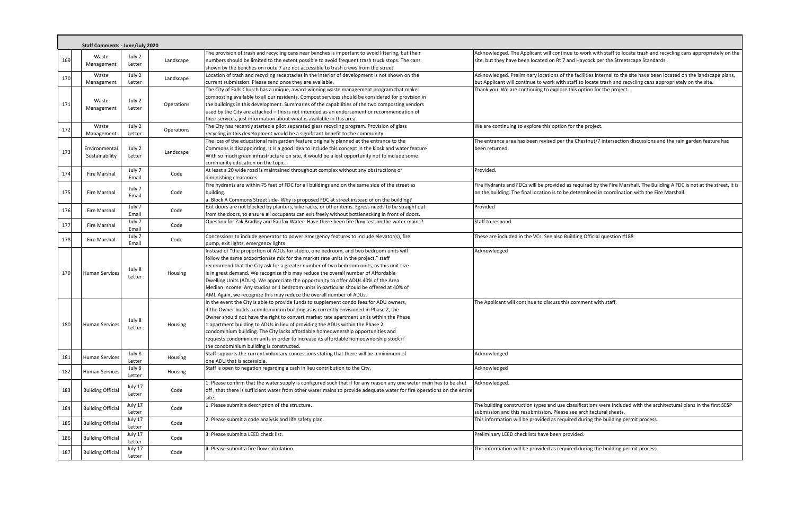| Acknowledged. The Applicant will continue to work with staff to locate trash and recycling cans appropriately on the |
|----------------------------------------------------------------------------------------------------------------------|
| site, but they have been located on Rt 7 and Haycock per the Streetscape Standards.                                  |
|                                                                                                                      |

ilities internal to the site have been located on the landscape plans,<br>b locate trash and recycling cans appropriately on the site. ption for the project.

estnut/7 intersection discussions and the rain garden feature has

uired by the Fire Marshall. The Building A FDC is not at the street, it is mined in coordination with the Fire Marshall.

cations were included with the architectural plans in the first SESP rchitectural sheets.

|     | <b>Staff Comments - June/July 2020</b> |                   |            |                                                                                                                                                                                                                                                                                                                                                                                                                                                                                                                                                                                                                        |                                                                                                                                                                                  |  |
|-----|----------------------------------------|-------------------|------------|------------------------------------------------------------------------------------------------------------------------------------------------------------------------------------------------------------------------------------------------------------------------------------------------------------------------------------------------------------------------------------------------------------------------------------------------------------------------------------------------------------------------------------------------------------------------------------------------------------------------|----------------------------------------------------------------------------------------------------------------------------------------------------------------------------------|--|
| 169 | Waste<br>Management                    | July 2<br>Letter  | Landscape  | The provision of trash and recycling cans near benches is important to avoid littering, but their<br>numbers should be limited to the extent possible to avoid frequent trash truck stops. The cans                                                                                                                                                                                                                                                                                                                                                                                                                    | Acknowledged. The Applicant will continue to work with staff to locate trash and red<br>site, but they have been located on Rt 7 and Haycock per the Streetscape Standards       |  |
| 170 | Waste                                  | July 2            | Landscape  | shown by the benches on route 7 are not accessible to trash crews from the street.<br>Location of trash and recycling receptacles in the interior of development is not shown on the                                                                                                                                                                                                                                                                                                                                                                                                                                   | Acknowledged. Preliminary locations of the facilities internal to the site have been lo                                                                                          |  |
|     | Management                             | Letter            |            | current submission. Please send once they are available.<br>The City of Falls Church has a unique, award-winning waste management program that makes                                                                                                                                                                                                                                                                                                                                                                                                                                                                   | but Applicant will continue to work with staff to locate trash and recycling cans appr<br>Thank you. We are continuing to explore this option for the project.                   |  |
| 171 | Waste<br>Management                    | July 2<br>Letter  | Operations | composting available to all our residents. Compost services should be considered for provision in<br>the buildings in this development. Summaries of the capabilities of the two composting vendors<br>used by the City are attached – this is not intended as an endorsement or recommendation of<br>their services, just information about what is available in this area.                                                                                                                                                                                                                                           |                                                                                                                                                                                  |  |
| 172 | Waste<br>Management                    | July 2<br>Letter  | Operations | The City has recently started a pilot separated glass recycling program. Provision of glass<br>recycling in this development would be a significant benefit to the community.                                                                                                                                                                                                                                                                                                                                                                                                                                          | We are continuing to explore this option for the project.                                                                                                                        |  |
| 173 | Environmental<br>Sustainability        | July 2<br>Letter  | Landscape  | The loss of the educational rain garden feature originally planned at the entrance to the<br>Commons is disappointing. It is a good idea to include this concept in the kiosk and water feature<br>With so much green infrastructure on site, it would be a lost opportunity not to include some<br>community education on the topic.                                                                                                                                                                                                                                                                                  | The entrance area has been revised per the Chestnut/7 intersection discussions and<br>been returned.                                                                             |  |
| 174 | Fire Marshal                           | July 7<br>Email   | Code       | At least a 20 wide road is maintained throughout complex without any obstructions or<br>diminishing clearances                                                                                                                                                                                                                                                                                                                                                                                                                                                                                                         | Provided.                                                                                                                                                                        |  |
| 175 | Fire Marshal                           | July 7<br>Email   | Code       | Fire hydrants are within 75 feet of FDC for all buildings and on the same side of the street as<br>building.<br>a. Block A Commons Street side- Why is proposed FDC at street instead of on the building?                                                                                                                                                                                                                                                                                                                                                                                                              | Fire Hydrants and FDCs will be provided as required by the Fire Marshall. The Buildir<br>on the building. The final location is to be determined in coordination with the Fire I |  |
| 176 | Fire Marshal                           | July 7<br>Email   | Code       | Exit doors are not blocked by planters, bike racks, or other items. Egress needs to be straight out<br>from the doors, to ensure all occupants can exit freely without bottlenecking in front of doors.                                                                                                                                                                                                                                                                                                                                                                                                                | Provided                                                                                                                                                                         |  |
| 177 | Fire Marshal                           | July 7<br>Email   | Code       | Question for Zak Bradley and Fairfax Water-Have there been fire flow test on the water mains?                                                                                                                                                                                                                                                                                                                                                                                                                                                                                                                          | Staff to respond                                                                                                                                                                 |  |
| 178 | Fire Marshal                           | July 7<br>Email   | Code       | Concessions to include generator to power emergency features to include elevator(s), fire<br>pump, exit lights, emergency lights                                                                                                                                                                                                                                                                                                                                                                                                                                                                                       | These are included in the VCs. See also Building Official question #188                                                                                                          |  |
| 179 | <b>Human Services</b>                  | July 8<br>Letter  | Housing    | Instead of "the proportion of ADUs for studio, one bedroom, and two bedroom units will<br>follow the same proportionate mix for the market rate units in the project," staff<br>recommend that the City ask for a greater number of two bedroom units, as this unit size<br>is in great demand. We recognize this may reduce the overall number of Affordable<br>Dwelling Units (ADUs). We appreciate the opportunity to offer ADUs 40% of the Area<br>Median Income. Any studios or 1 bedroom units in particular should be offered at 40% of<br>AMI. Again, we recognize this may reduce the overall number of ADUs. | Acknowledged                                                                                                                                                                     |  |
| 180 | <b>Human Services</b>                  | July 8<br>Letter  | Housing    | In the event the City is able to provide funds to supplement condo fees for ADU owners,<br>if the Owner builds a condominium building as is currently envisioned in Phase 2, the<br>Owner should not have the right to convert market rate apartment units within the Phase<br>1 apartment building to ADUs in lieu of providing the ADUs within the Phase 2<br>condominium building. The City lacks affordable homeownership opportunities and<br>requests condominium units in order to increase its affordable homeownership stock if<br>the condominium building is constructed.                                   | The Applicant will continue to discuss this comment with staff.                                                                                                                  |  |
| 181 | <b>Human Services</b>                  | July 8<br>Letter  | Housing    | Staff supports the current voluntary concessions stating that there will be a minimum of<br>one ADU that is accessible.                                                                                                                                                                                                                                                                                                                                                                                                                                                                                                | Acknowledged                                                                                                                                                                     |  |
| 182 | Human Services                         | July 8<br>Letter  | Housing    | Staff is open to negation regarding a cash in lieu contribution to the City.                                                                                                                                                                                                                                                                                                                                                                                                                                                                                                                                           | Acknowledged                                                                                                                                                                     |  |
| 183 | <b>Building Official</b>               | July 17<br>Letter | Code       | . Please confirm that the water supply is configured such that if for any reason any one water main has to be shut<br>off, that there is sufficient water from other water mains to provide adequate water for fire operations on the entire<br>site.                                                                                                                                                                                                                                                                                                                                                                  | Acknowledged.                                                                                                                                                                    |  |
| 184 | <b>Building Official</b>               | July 17<br>Letter | Code       | . Please submit a description of the structure.                                                                                                                                                                                                                                                                                                                                                                                                                                                                                                                                                                        | The building construction types and use classifications were included with the archit<br>submission and this resubmission. Please see architectural sheets.                      |  |
| 185 | <b>Building Official</b>               | July 17<br>Letter | Code       | 2. Please submit a code analysis and life safety plan.                                                                                                                                                                                                                                                                                                                                                                                                                                                                                                                                                                 | This information will be provided as required during the building permit process.                                                                                                |  |
| 186 | <b>Building Official</b>               | July 17<br>Letter | Code       | 3. Please submit a LEED check list.                                                                                                                                                                                                                                                                                                                                                                                                                                                                                                                                                                                    | Preliminary LEED checklists have been provided.                                                                                                                                  |  |
| 187 | <b>Building Official</b>               | July 17<br>Letter | Code       | 4. Please submit a fire flow calculation.                                                                                                                                                                                                                                                                                                                                                                                                                                                                                                                                                                              | This information will be provided as required during the building permit process.                                                                                                |  |